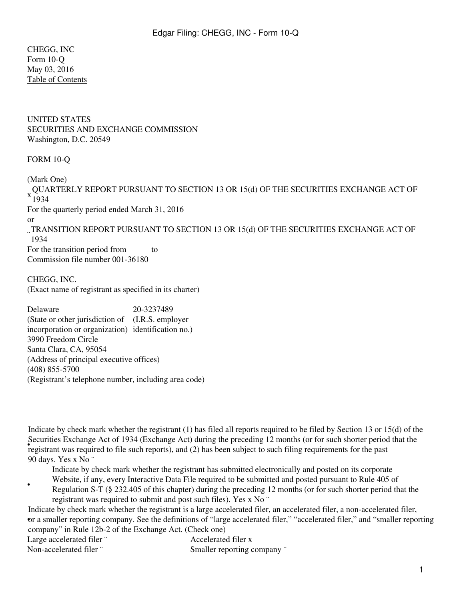CHEGG, INC Form 10-Q May 03, 2016 [Table of Contents](#page-2-0)

UNITED STATES SECURITIES AND EXCHANGE COMMISSION Washington, D.C. 20549

## FORM 10-Q

(Mark One)  $x \frac{80}{1934}$ QUARTERLY REPORT PURSUANT TO SECTION 13 OR 15(d) OF THE SECURITIES EXCHANGE ACT OF For the quarterly period ended March 31, 2016 or ¨ TRANSITION REPORT PURSUANT TO SECTION 13 OR 15(d) OF THE SECURITIES EXCHANGE ACT OF 1934 For the transition period from to Commission file number 001-36180

CHEGG, INC. (Exact name of registrant as specified in its charter)

Delaware 20-3237489 (State or other jurisdiction of (I.R.S. employer incorporation or organization) identification no.) 3990 Freedom Circle Santa Clara, CA, 95054 (Address of principal executive offices) (408) 855-5700 (Registrant's telephone number, including area code)

registrant was required to file such reports), and (2) has been subject to such filing requirements for the past Indicate by check mark whether the registrant (1) has filed all reports required to be filed by Section 13 or 15(d) of the Securities Exchange Act of 1934 (Exchange Act) during the preceding 12 months (or for such shorter period that the 90 days. Yes x No ¨

Indicate by check mark whether the registrant has submitted electronically and posted on its corporate

Website, if any, every Interactive Data File required to be submitted and posted pursuant to Rule 405 of

Regulation S-T (§ 232.405 of this chapter) during the preceding 12 months (or for such shorter period that the registrant was required to submit and post such files). Yes x No ¨

• or a smaller reporting company. See the definitions of "large accelerated filer," "accelerated filer," and "smaller reporting Indicate by check mark whether the registrant is a large accelerated filer, an accelerated filer, a non-accelerated filer, company" in Rule 12b-2 of the Exchange Act. (Check one)

| Large accelerated filer " |  |                   |  |  |
|---------------------------|--|-------------------|--|--|
| ъ т                       |  | $1 \cdot 1$ $0.1$ |  |  |

•

Accelerated filer x Non-accelerated filer ¨ Smaller reporting company ¨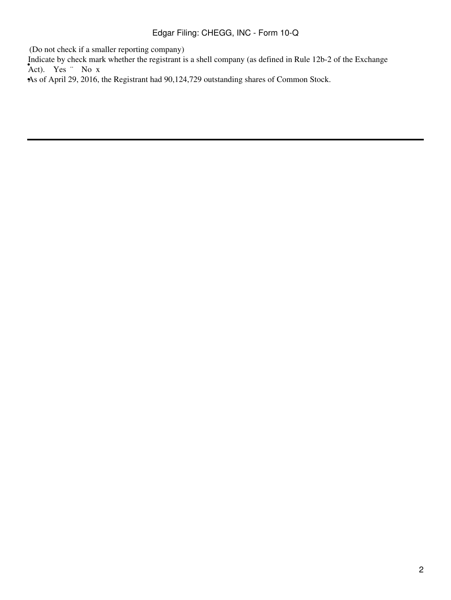(Do not check if a smaller reporting company)

Indicate by check mark whether the registrant is a shell company (as defined in Rule 12b-2 of the Exchange Act). Yes ¨ No x

•As of April 29, 2016, the Registrant had 90,124,729 outstanding shares of Common Stock.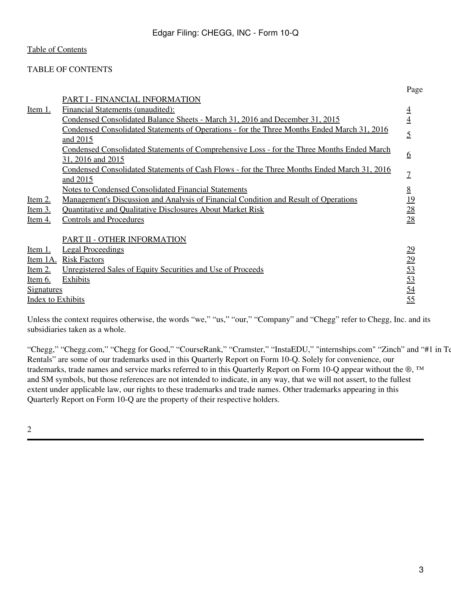## <span id="page-2-0"></span>TABLE OF CONTENTS

|                          | PART I - FINANCIAL INFORMATION                                                                     | $\frac{1}{2}$ ugu |
|--------------------------|----------------------------------------------------------------------------------------------------|-------------------|
| Item 1.                  | Financial Statements (unaudited):                                                                  | $\overline{4}$    |
|                          | Condensed Consolidated Balance Sheets - March 31, 2016 and December 31, 2015                       | $\overline{4}$    |
|                          | <u>Condensed Consolidated Statements of Operations - for the Three Months Ended March 31, 2016</u> |                   |
|                          | and 2015                                                                                           | $\overline{5}$    |
|                          | <u>Condensed Consolidated Statements of Comprehensive Loss - for the Three Months Ended March</u>  |                   |
|                          | 31, 2016 and 2015                                                                                  | <u>6</u>          |
|                          | Condensed Consolidated Statements of Cash Flows - for the Three Months Ended March 31, 2016        | $\overline{1}$    |
|                          | and 2015                                                                                           |                   |
|                          | <b>Notes to Condensed Consolidated Financial Statements</b>                                        | <u>8</u>          |
| <u>Item 2.</u>           | <u>Management's Discussion and Analysis of Financial Condition and Result of Operations</u>        | 19                |
| <u>Item 3.</u>           | <b>Quantitative and Qualitative Disclosures About Market Risk</b>                                  | 28                |
| <u>Item 4.</u>           | <b>Controls and Procedures</b>                                                                     | $\overline{28}$   |
|                          |                                                                                                    |                   |
|                          | PART II - OTHER INFORMATION                                                                        |                   |
| Item 1.                  | <b>Legal Proceedings</b>                                                                           | 29                |
| Item 1A.                 | <b>Risk Factors</b>                                                                                | $\frac{29}{53}$   |
| <u>Item 2.</u>           | Unregistered Sales of Equity Securities and Use of Proceeds                                        |                   |
| <u>Item 6.</u>           | <b>Exhibits</b>                                                                                    | 53                |
| <b>Signatures</b>        |                                                                                                    | 54                |
| <b>Index to Exhibits</b> |                                                                                                    | 55                |

Unless the context requires otherwise, the words "we," "us," "our," "Company" and "Chegg" refer to Chegg, Inc. and its subsidiaries taken as a whole.

"Chegg," "Chegg.com," "Chegg for Good," "CourseRank," "Cramster," "InstaEDU," "internships.com" "Zinch" and "#1 in Te Rentals" are some of our trademarks used in this Quarterly Report on Form 10-Q. Solely for convenience, our trademarks, trade names and service marks referred to in this Quarterly Report on Form 10-Q appear without the ®, ™ and SM symbols, but those references are not intended to indicate, in any way, that we will not assert, to the fullest extent under applicable law, our rights to these trademarks and trade names. Other trademarks appearing in this Quarterly Report on Form 10-Q are the property of their respective holders.

2

Page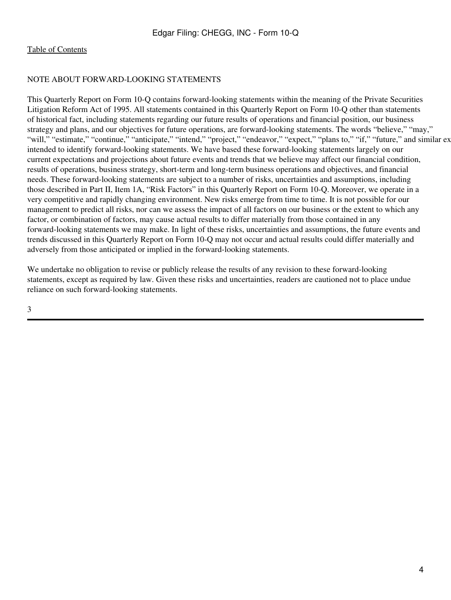## NOTE ABOUT FORWARD-LOOKING STATEMENTS

This Quarterly Report on Form 10-Q contains forward-looking statements within the meaning of the Private Securities Litigation Reform Act of 1995. All statements contained in this Quarterly Report on Form 10-Q other than statements of historical fact, including statements regarding our future results of operations and financial position, our business strategy and plans, and our objectives for future operations, are forward-looking statements. The words "believe," "may," "will," "estimate," "continue," "anticipate," "intend," "project," "endeavor," "expect," "plans to," "if," "future," and similar ex intended to identify forward-looking statements. We have based these forward-looking statements largely on our current expectations and projections about future events and trends that we believe may affect our financial condition, results of operations, business strategy, short-term and long-term business operations and objectives, and financial needs. These forward-looking statements are subject to a number of risks, uncertainties and assumptions, including those described in Part II, Item 1A, "Risk Factors" in this Quarterly Report on Form 10-Q. Moreover, we operate in a very competitive and rapidly changing environment. New risks emerge from time to time. It is not possible for our management to predict all risks, nor can we assess the impact of all factors on our business or the extent to which any factor, or combination of factors, may cause actual results to differ materially from those contained in any forward-looking statements we may make. In light of these risks, uncertainties and assumptions, the future events and trends discussed in this Quarterly Report on Form 10-Q may not occur and actual results could differ materially and adversely from those anticipated or implied in the forward-looking statements.

We undertake no obligation to revise or publicly release the results of any revision to these forward-looking statements, except as required by law. Given these risks and uncertainties, readers are cautioned not to place undue reliance on such forward-looking statements.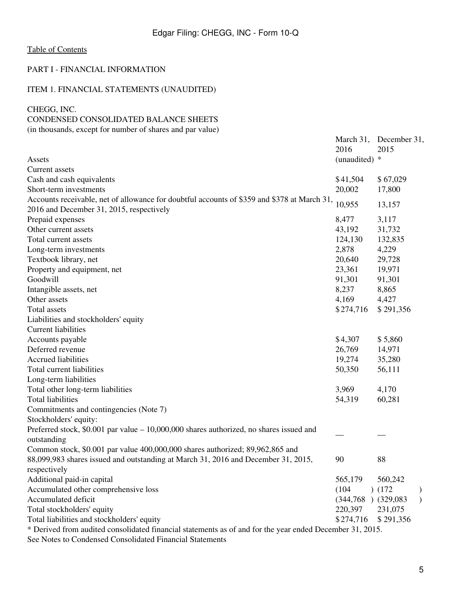## <span id="page-4-0"></span>PART I - FINANCIAL INFORMATION

# <span id="page-4-1"></span>ITEM 1. FINANCIAL STATEMENTS (UNAUDITED)

### <span id="page-4-2"></span>CHEGG, INC.

## CONDENSED CONSOLIDATED BALANCE SHEETS

(in thousands, except for number of shares and par value)

|                                                                                                          | March 31,<br>2016       | December 31,<br>2015 |               |
|----------------------------------------------------------------------------------------------------------|-------------------------|----------------------|---------------|
| Assets                                                                                                   | (unaudited) *           |                      |               |
| Current assets                                                                                           |                         |                      |               |
| Cash and cash equivalents                                                                                | \$41,504                | \$67,029             |               |
| Short-term investments                                                                                   | 20,002                  | 17,800               |               |
| Accounts receivable, net of allowance for doubtful accounts of \$359 and \$378 at March 31,              | 10,955                  | 13,157               |               |
| 2016 and December 31, 2015, respectively                                                                 |                         |                      |               |
| Prepaid expenses                                                                                         | 8,477                   | 3,117                |               |
| Other current assets                                                                                     | 43,192                  | 31,732               |               |
| Total current assets                                                                                     | 124,130                 | 132,835              |               |
| Long-term investments                                                                                    | 2,878                   | 4,229                |               |
| Textbook library, net                                                                                    | 20,640                  | 29,728               |               |
| Property and equipment, net                                                                              | 23,361                  | 19,971               |               |
| Goodwill                                                                                                 | 91,301                  | 91,301               |               |
| Intangible assets, net                                                                                   | 8,237                   | 8,865                |               |
| Other assets                                                                                             | 4,169                   | 4,427                |               |
| Total assets                                                                                             | \$274,716               | \$291,356            |               |
| Liabilities and stockholders' equity                                                                     |                         |                      |               |
| <b>Current liabilities</b>                                                                               |                         |                      |               |
| Accounts payable                                                                                         | \$4,307                 | \$5,860              |               |
| Deferred revenue                                                                                         | 26,769                  | 14,971               |               |
| Accrued liabilities                                                                                      | 19,274                  | 35,280               |               |
| Total current liabilities                                                                                | 50,350                  | 56,111               |               |
| Long-term liabilities                                                                                    |                         |                      |               |
| Total other long-term liabilities                                                                        | 3,969                   | 4,170                |               |
| <b>Total liabilities</b>                                                                                 | 54,319                  | 60,281               |               |
| Commitments and contingencies (Note 7)                                                                   |                         |                      |               |
| Stockholders' equity:                                                                                    |                         |                      |               |
| Preferred stock, $$0.001$ par value $-10,000,000$ shares authorized, no shares issued and                |                         |                      |               |
| outstanding                                                                                              |                         |                      |               |
| Common stock, \$0.001 par value 400,000,000 shares authorized; 89,962,865 and                            |                         |                      |               |
| 88,099,983 shares issued and outstanding at March 31, 2016 and December 31, 2015,                        | 90                      | 88                   |               |
| respectively                                                                                             |                         |                      |               |
| Additional paid-in capital                                                                               | 565,179                 | 560,242              |               |
| Accumulated other comprehensive loss                                                                     | (104)                   | (172)                | $\mathcal{Y}$ |
| Accumulated deficit                                                                                      | $(344,768)$ $(329,083)$ |                      | $\mathcal{L}$ |
| Total stockholders' equity                                                                               | 220,397                 | 231,075              |               |
| Total liabilities and stockholders' equity                                                               | \$274,716               | \$291,356            |               |
| * Derived from audited consolidated financial statements as of and for the year ended December 31, 2015. |                         |                      |               |
|                                                                                                          |                         |                      |               |

See Notes to Condensed Consolidated Financial Statements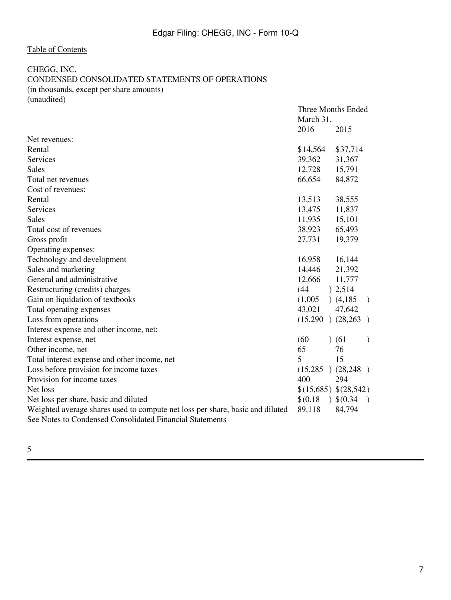# <span id="page-6-0"></span>CHEGG, INC.

# CONDENSED CONSOLIDATED STATEMENTS OF OPERATIONS

(in thousands, except per share amounts)

(unaudited)

|                                                                               | March 31, | Three Months Ended       |
|-------------------------------------------------------------------------------|-----------|--------------------------|
|                                                                               | 2016      | 2015                     |
| Net revenues:                                                                 |           |                          |
| Rental                                                                        | \$14,564  | \$37,714                 |
| Services                                                                      | 39,362    | 31,367                   |
| <b>Sales</b>                                                                  | 12,728    | 15,791                   |
| Total net revenues                                                            | 66,654    | 84,872                   |
| Cost of revenues:                                                             |           |                          |
| Rental                                                                        | 13,513    | 38,555                   |
| Services                                                                      | 13,475    | 11,837                   |
| <b>Sales</b>                                                                  | 11,935    | 15,101                   |
| Total cost of revenues                                                        | 38,923    | 65,493                   |
| Gross profit                                                                  | 27,731    | 19,379                   |
| Operating expenses:                                                           |           |                          |
| Technology and development                                                    | 16,958    | 16,144                   |
| Sales and marketing                                                           | 14,446    | 21,392                   |
| General and administrative                                                    | 12,666    | 11,777                   |
| Restructuring (credits) charges                                               | (44)      | ) 2,514                  |
| Gain on liquidation of textbooks                                              | (1,005)   | (4,185)<br>$\rightarrow$ |
| Total operating expenses                                                      | 43,021    | 47,642                   |
| Loss from operations                                                          |           | $(15,290)$ $(28,263)$    |
| Interest expense and other income, net:                                       |           |                          |
| Interest expense, net                                                         | (60)      | (61)<br>$\lambda$        |
| Other income, net                                                             | 65        | 76                       |
| Total interest expense and other income, net                                  | 5         | 15                       |
| Loss before provision for income taxes                                        |           | $(15,285)$ $(28,248)$    |
| Provision for income taxes                                                    | 400       | 294                      |
| Net loss                                                                      |           | \$(15,685) \$(28,542)    |
| Net loss per share, basic and diluted                                         | \$(0.18)  | 3(0.34)<br>$\rightarrow$ |
| Weighted average shares used to compute net loss per share, basic and diluted | 89,118    | 84,794                   |
| See Notes to Condensed Consolidated Financial Statements                      |           |                          |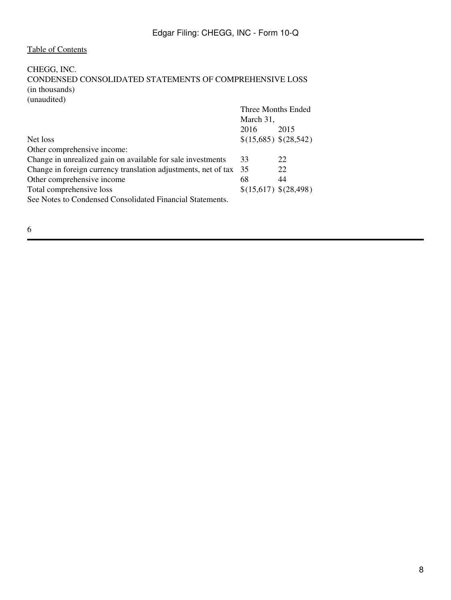# <span id="page-7-0"></span>CHEGG, INC.

CONDENSED CONSOLIDATED STATEMENTS OF COMPREHENSIVE LOSS (in thousands)

(unaudited)

|                                                                | Three Months Ended<br>March 31, |                       |
|----------------------------------------------------------------|---------------------------------|-----------------------|
|                                                                | 2016                            | 2015                  |
| Net loss                                                       |                                 | \$(15,685) \$(28,542) |
| Other comprehensive income:                                    |                                 |                       |
| Change in unrealized gain on available for sale investments    | 33                              | 22                    |
| Change in foreign currency translation adjustments, net of tax | 35                              | 22                    |
| Other comprehensive income                                     | 68                              | 44                    |
| Total comprehensive loss                                       | \$(15,617) \$(28,498)           |                       |
| See Notes to Condensed Consolidated Financial Statements.      |                                 |                       |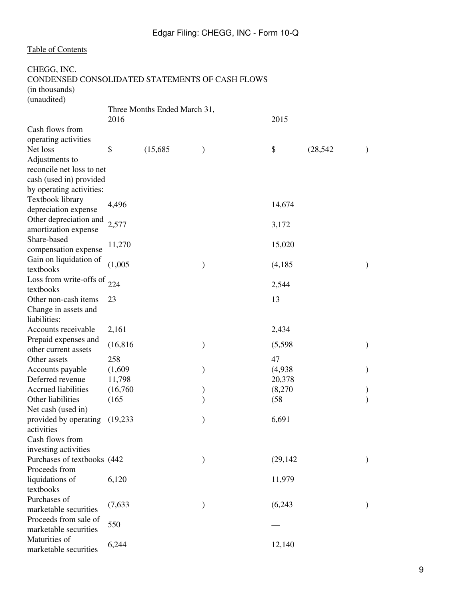<span id="page-8-0"></span>

| CHEGG, INC.<br>CONDENSED CONSOLIDATED STATEMENTS OF CASH FLOWS |           |                              |               |           |           |               |
|----------------------------------------------------------------|-----------|------------------------------|---------------|-----------|-----------|---------------|
| (in thousands)                                                 |           |                              |               |           |           |               |
| (unaudited)                                                    |           |                              |               |           |           |               |
|                                                                |           | Three Months Ended March 31, |               |           |           |               |
|                                                                | 2016      |                              |               | 2015      |           |               |
| Cash flows from                                                |           |                              |               |           |           |               |
| operating activities                                           |           |                              |               |           |           |               |
| Net loss                                                       | \$        | (15,685)                     | $\mathcal{Y}$ | \$        | (28, 542) | $\mathcal{Y}$ |
| Adjustments to                                                 |           |                              |               |           |           |               |
| reconcile net loss to net                                      |           |                              |               |           |           |               |
| cash (used in) provided                                        |           |                              |               |           |           |               |
| by operating activities:                                       |           |                              |               |           |           |               |
| Textbook library                                               | 4,496     |                              |               | 14,674    |           |               |
| depreciation expense                                           |           |                              |               |           |           |               |
| Other depreciation and                                         | 2,577     |                              |               | 3,172     |           |               |
| amortization expense                                           |           |                              |               |           |           |               |
| Share-based                                                    | 11,270    |                              |               | 15,020    |           |               |
| compensation expense                                           |           |                              |               |           |           |               |
| Gain on liquidation of<br>textbooks                            | (1,005)   |                              | $\mathcal{E}$ | (4,185)   |           | $\mathcal{Y}$ |
| Loss from write-offs of                                        | 224       |                              |               | 2,544     |           |               |
| textbooks                                                      |           |                              |               |           |           |               |
| Other non-cash items                                           | 23        |                              |               | 13        |           |               |
| Change in assets and<br>liabilities:                           |           |                              |               |           |           |               |
| Accounts receivable                                            | 2,161     |                              |               | 2,434     |           |               |
| Prepaid expenses and                                           | (16, 816) |                              |               |           |           |               |
| other current assets                                           |           |                              | $\mathcal{)}$ | (5,598)   |           |               |
| Other assets                                                   | 258       |                              |               | 47        |           |               |
| Accounts payable                                               | (1,609)   |                              | $\mathcal{E}$ | (4,938)   |           | $\mathcal{Y}$ |
| Deferred revenue                                               | 11,798    |                              |               | 20,378    |           |               |
| Accrued liabilities                                            | (16,760)  |                              |               | (8,270)   |           |               |
| Other liabilities                                              | (165)     |                              |               | (58)      |           |               |
| Net cash (used in)                                             |           |                              |               |           |           |               |
| provided by operating (19,233)                                 |           |                              | ⟩             | 6,691     |           |               |
| activities                                                     |           |                              |               |           |           |               |
| Cash flows from                                                |           |                              |               |           |           |               |
| investing activities                                           |           |                              |               |           |           |               |
| Purchases of textbooks (442                                    |           |                              | $\mathcal{)}$ | (29, 142) |           | $\mathcal{Y}$ |
| Proceeds from                                                  |           |                              |               |           |           |               |
| liquidations of                                                | 6,120     |                              |               | 11,979    |           |               |
| textbooks                                                      |           |                              |               |           |           |               |
| Purchases of                                                   | (7,633)   |                              | $\mathcal{Y}$ | (6,243)   |           |               |
| marketable securities                                          |           |                              |               |           |           |               |
| Proceeds from sale of                                          | 550       |                              |               |           |           |               |
| marketable securities                                          |           |                              |               |           |           |               |
| Maturities of                                                  | 6,244     |                              |               | 12,140    |           |               |
| marketable securities                                          |           |                              |               |           |           |               |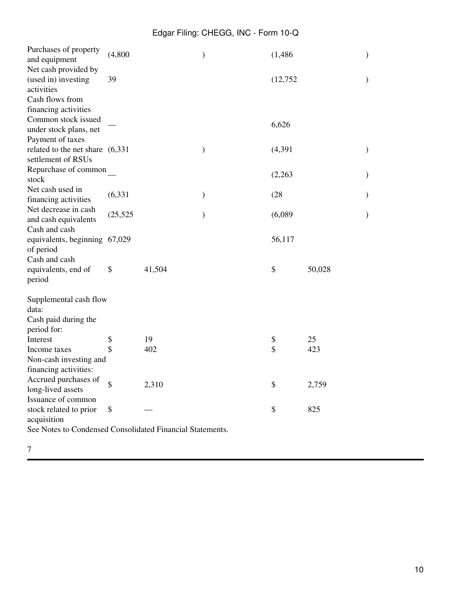| Purchases of property<br>and equipment   | (4,800)   |        | )             | (1, 486) |        | $\mathcal{E}$ |
|------------------------------------------|-----------|--------|---------------|----------|--------|---------------|
| Net cash provided by                     |           |        |               |          |        |               |
| (used in) investing                      | 39        |        |               | (12,752) |        | $\mathcal{)}$ |
| activities                               |           |        |               |          |        |               |
| Cash flows from                          |           |        |               |          |        |               |
| financing activities                     |           |        |               |          |        |               |
| Common stock issued                      |           |        |               | 6,626    |        |               |
| under stock plans, net                   |           |        |               |          |        |               |
| Payment of taxes                         |           |        |               |          |        |               |
| related to the net share (6,331)         |           |        | )             | (4, 391) |        | $\mathcal{)}$ |
| settlement of RSUs                       |           |        |               |          |        |               |
| Repurchase of common                     |           |        |               | (2,263)  |        | $\mathcal{)}$ |
| stock                                    |           |        |               |          |        |               |
| Net cash used in<br>financing activities | (6, 331)  |        | $\mathcal{E}$ | (28)     |        | $\mathcal{E}$ |
| Net decrease in cash                     |           |        |               |          |        |               |
| and cash equivalents                     | (25, 525) |        | $\mathcal{E}$ | (6,089)  |        | $\mathcal{E}$ |
| Cash and cash                            |           |        |               |          |        |               |
| equivalents, beginning 67,029            |           |        |               | 56,117   |        |               |
| of period                                |           |        |               |          |        |               |
| Cash and cash                            |           |        |               |          |        |               |
| equivalents, end of                      | \$        | 41,504 |               | \$       | 50,028 |               |
| period                                   |           |        |               |          |        |               |
| Supplemental cash flow                   |           |        |               |          |        |               |
| data:                                    |           |        |               |          |        |               |
| Cash paid during the                     |           |        |               |          |        |               |
| period for:                              |           |        |               |          |        |               |
| Interest                                 | \$        | 19     |               | \$       | 25     |               |
| Income taxes                             | \$        | 402    |               | \$       | 423    |               |
| Non-cash investing and                   |           |        |               |          |        |               |
| financing activities:                    |           |        |               |          |        |               |
| Accrued purchases of                     | \$        | 2,310  |               | \$       | 2,759  |               |
| long-lived assets                        |           |        |               |          |        |               |
| Issuance of common                       |           |        |               |          |        |               |
| stock related to prior                   | \$        |        |               | \$       | 825    |               |
| acquisition<br>$\mathbf{X}$              | $\sim$    | 1.77   |               |          |        |               |
|                                          |           |        |               |          |        |               |

See Notes to Condensed Consolidated Financial Statements.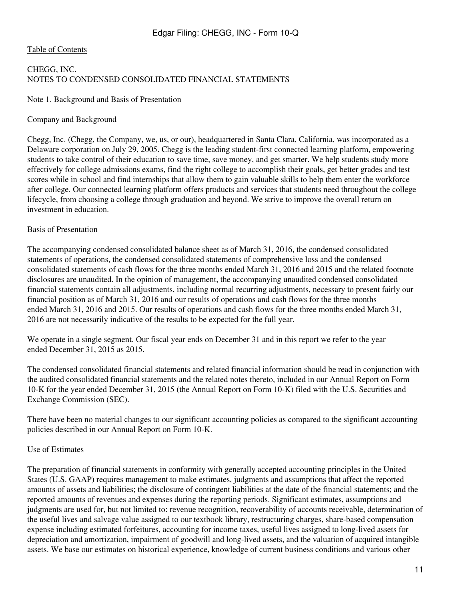### <span id="page-10-0"></span>[Table of Contents](#page-2-0)

## CHEGG, INC. NOTES TO CONDENSED CONSOLIDATED FINANCIAL STATEMENTS

### Note 1. Background and Basis of Presentation

### Company and Background

Chegg, Inc. (Chegg, the Company, we, us, or our), headquartered in Santa Clara, California, was incorporated as a Delaware corporation on July 29, 2005. Chegg is the leading student-first connected learning platform, empowering students to take control of their education to save time, save money, and get smarter. We help students study more effectively for college admissions exams, find the right college to accomplish their goals, get better grades and test scores while in school and find internships that allow them to gain valuable skills to help them enter the workforce after college. Our connected learning platform offers products and services that students need throughout the college lifecycle, from choosing a college through graduation and beyond. We strive to improve the overall return on investment in education.

### Basis of Presentation

The accompanying condensed consolidated balance sheet as of March 31, 2016, the condensed consolidated statements of operations, the condensed consolidated statements of comprehensive loss and the condensed consolidated statements of cash flows for the three months ended March 31, 2016 and 2015 and the related footnote disclosures are unaudited. In the opinion of management, the accompanying unaudited condensed consolidated financial statements contain all adjustments, including normal recurring adjustments, necessary to present fairly our financial position as of March 31, 2016 and our results of operations and cash flows for the three months ended March 31, 2016 and 2015. Our results of operations and cash flows for the three months ended March 31, 2016 are not necessarily indicative of the results to be expected for the full year.

We operate in a single segment. Our fiscal year ends on December 31 and in this report we refer to the year ended December 31, 2015 as 2015.

The condensed consolidated financial statements and related financial information should be read in conjunction with the audited consolidated financial statements and the related notes thereto, included in our Annual Report on Form 10-K for the year ended December 31, 2015 (the Annual Report on Form 10-K) filed with the U.S. Securities and Exchange Commission (SEC).

There have been no material changes to our significant accounting policies as compared to the significant accounting policies described in our Annual Report on Form 10-K.

### Use of Estimates

The preparation of financial statements in conformity with generally accepted accounting principles in the United States (U.S. GAAP) requires management to make estimates, judgments and assumptions that affect the reported amounts of assets and liabilities; the disclosure of contingent liabilities at the date of the financial statements; and the reported amounts of revenues and expenses during the reporting periods. Significant estimates, assumptions and judgments are used for, but not limited to: revenue recognition, recoverability of accounts receivable, determination of the useful lives and salvage value assigned to our textbook library, restructuring charges, share-based compensation expense including estimated forfeitures, accounting for income taxes, useful lives assigned to long-lived assets for depreciation and amortization, impairment of goodwill and long-lived assets, and the valuation of acquired intangible assets. We base our estimates on historical experience, knowledge of current business conditions and various other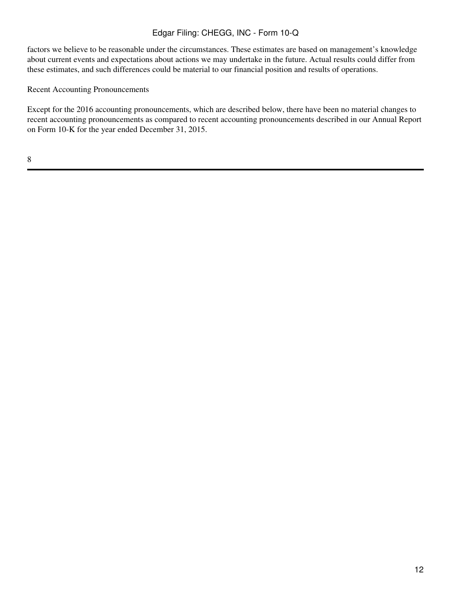factors we believe to be reasonable under the circumstances. These estimates are based on management's knowledge about current events and expectations about actions we may undertake in the future. Actual results could differ from these estimates, and such differences could be material to our financial position and results of operations.

Recent Accounting Pronouncements

Except for the 2016 accounting pronouncements, which are described below, there have been no material changes to recent accounting pronouncements as compared to recent accounting pronouncements described in our Annual Report on Form 10-K for the year ended December 31, 2015.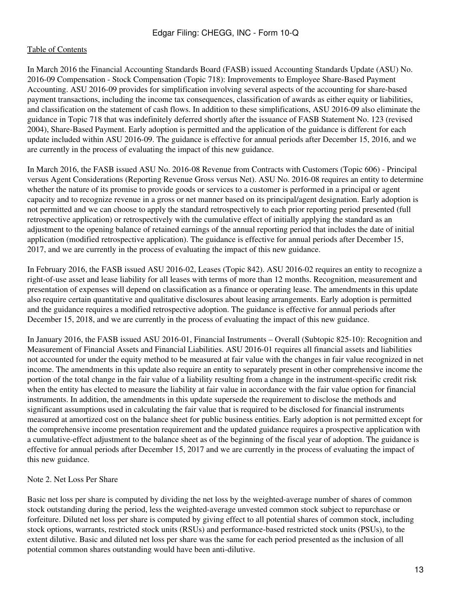In March 2016 the Financial Accounting Standards Board (FASB) issued Accounting Standards Update (ASU) No. 2016-09 Compensation - Stock Compensation (Topic 718): Improvements to Employee Share-Based Payment Accounting. ASU 2016-09 provides for simplification involving several aspects of the accounting for share-based payment transactions, including the income tax consequences, classification of awards as either equity or liabilities, and classification on the statement of cash flows. In addition to these simplifications, ASU 2016-09 also eliminate the guidance in Topic 718 that was indefinitely deferred shortly after the issuance of FASB Statement No. 123 (revised 2004), Share-Based Payment. Early adoption is permitted and the application of the guidance is different for each update included within ASU 2016-09. The guidance is effective for annual periods after December 15, 2016, and we are currently in the process of evaluating the impact of this new guidance.

In March 2016, the FASB issued ASU No. 2016-08 Revenue from Contracts with Customers (Topic 606) - Principal versus Agent Considerations (Reporting Revenue Gross versus Net). ASU No. 2016-08 requires an entity to determine whether the nature of its promise to provide goods or services to a customer is performed in a principal or agent capacity and to recognize revenue in a gross or net manner based on its principal/agent designation. Early adoption is not permitted and we can choose to apply the standard retrospectively to each prior reporting period presented (full retrospective application) or retrospectively with the cumulative effect of initially applying the standard as an adjustment to the opening balance of retained earnings of the annual reporting period that includes the date of initial application (modified retrospective application). The guidance is effective for annual periods after December 15, 2017, and we are currently in the process of evaluating the impact of this new guidance.

In February 2016, the FASB issued ASU 2016-02, Leases (Topic 842). ASU 2016-02 requires an entity to recognize a right-of-use asset and lease liability for all leases with terms of more than 12 months. Recognition, measurement and presentation of expenses will depend on classification as a finance or operating lease. The amendments in this update also require certain quantitative and qualitative disclosures about leasing arrangements. Early adoption is permitted and the guidance requires a modified retrospective adoption. The guidance is effective for annual periods after December 15, 2018, and we are currently in the process of evaluating the impact of this new guidance.

In January 2016, the FASB issued ASU 2016-01, Financial Instruments – Overall (Subtopic 825-10): Recognition and Measurement of Financial Assets and Financial Liabilities. ASU 2016-01 requires all financial assets and liabilities not accounted for under the equity method to be measured at fair value with the changes in fair value recognized in net income. The amendments in this update also require an entity to separately present in other comprehensive income the portion of the total change in the fair value of a liability resulting from a change in the instrument-specific credit risk when the entity has elected to measure the liability at fair value in accordance with the fair value option for financial instruments. In addition, the amendments in this update supersede the requirement to disclose the methods and significant assumptions used in calculating the fair value that is required to be disclosed for financial instruments measured at amortized cost on the balance sheet for public business entities. Early adoption is not permitted except for the comprehensive income presentation requirement and the updated guidance requires a prospective application with a cumulative-effect adjustment to the balance sheet as of the beginning of the fiscal year of adoption. The guidance is effective for annual periods after December 15, 2017 and we are currently in the process of evaluating the impact of this new guidance.

### Note 2. Net Loss Per Share

Basic net loss per share is computed by dividing the net loss by the weighted-average number of shares of common stock outstanding during the period, less the weighted-average unvested common stock subject to repurchase or forfeiture. Diluted net loss per share is computed by giving effect to all potential shares of common stock, including stock options, warrants, restricted stock units (RSUs) and performance-based restricted stock units (PSUs), to the extent dilutive. Basic and diluted net loss per share was the same for each period presented as the inclusion of all potential common shares outstanding would have been anti-dilutive.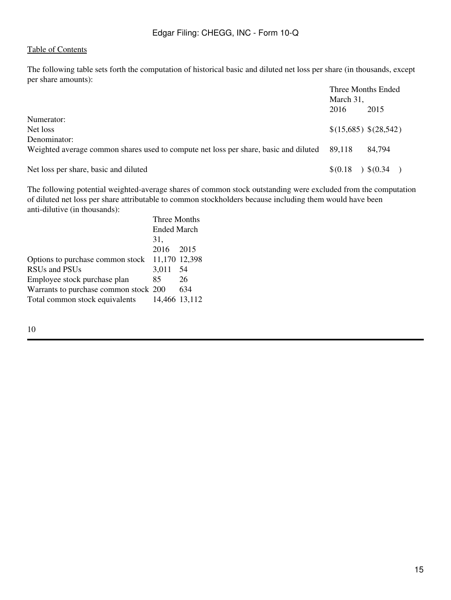The following table sets forth the computation of historical basic and diluted net loss per share (in thousands, except per share amounts):

|                                                                                      |           | Three Months Ended     |
|--------------------------------------------------------------------------------------|-----------|------------------------|
|                                                                                      | March 31, |                        |
|                                                                                      | 2016      | 2015                   |
| Numerator:                                                                           |           |                        |
| Net loss                                                                             |           | \$(15,685) \$(28,542)  |
| Denominator:                                                                         |           |                        |
| Weighted average common shares used to compute net loss per share, basic and diluted | 89.118    | 84,794                 |
| Net loss per share, basic and diluted                                                | \$(0.18)  | $\rightarrow$ \$(0.34) |

The following potential weighted-average shares of common stock outstanding were excluded from the computation of diluted net loss per share attributable to common stockholders because including them would have been anti-dilutive (in thousands):

| Three Months       |                                                                                      |  |
|--------------------|--------------------------------------------------------------------------------------|--|
| <b>Ended March</b> |                                                                                      |  |
| 31.                |                                                                                      |  |
|                    |                                                                                      |  |
|                    |                                                                                      |  |
| 3.011              | 54                                                                                   |  |
| 85                 | 26                                                                                   |  |
|                    | 634                                                                                  |  |
|                    |                                                                                      |  |
|                    | 2016 2015<br>11,170 12,398<br>Warrants to purchase common stock 200<br>14,466 13,112 |  |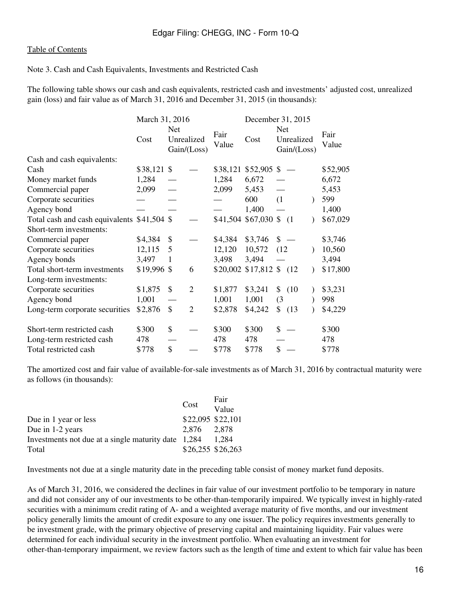### Note 3. Cash and Cash Equivalents, Investments and Restricted Cash

The following table shows our cash and cash equivalents, restricted cash and investments' adjusted cost, unrealized gain (loss) and fair value as of March 31, 2016 and December 31, 2015 (in thousands):

|                                             | March 31, 2016 |                   |                |               | December 31, 2015         |            |                           |  |               |
|---------------------------------------------|----------------|-------------------|----------------|---------------|---------------------------|------------|---------------------------|--|---------------|
|                                             | Cost           | Net<br>Unrealized | Gain/(Loss)    | Fair<br>Value | Cost                      | <b>Net</b> | Unrealized<br>Gain/(Loss) |  | Fair<br>Value |
| Cash and cash equivalents:                  |                |                   |                |               |                           |            |                           |  |               |
| Cash                                        | $$38,121$ \$   |                   |                |               | \$38,121 \$52,905 \$      |            |                           |  | \$52,905      |
| Money market funds                          | 1,284          |                   |                | 1,284         | 6,672                     |            |                           |  | 6,672         |
| Commercial paper                            | 2,099          |                   |                | 2,099         | 5,453                     |            |                           |  | 5,453         |
| Corporate securities                        |                |                   |                |               | 600                       | (1)        |                           |  | 599           |
| Agency bond                                 |                |                   |                |               | 1,400                     |            |                           |  | 1,400         |
| Total cash and cash equivalents \$41,504 \$ |                |                   |                |               | $$41,504$ \$67,030 \$ (1) |            |                           |  | \$67,029      |
| Short-term investments:                     |                |                   |                |               |                           |            |                           |  |               |
| Commercial paper                            | \$4,384        | \$                |                | \$4,384       | \$3,746                   | \$         |                           |  | \$3,746       |
| Corporate securities                        | 12,115         | 5                 |                | 12,120        | 10,572                    | (12)       |                           |  | 10,560        |
| Agency bonds                                | 3,497          | 1                 |                | 3,498         | 3,494                     |            |                           |  | 3,494         |
| Total short-term investments                | \$19,996       | \$                | 6              |               | \$20,002 \$17,812 \$ (12) |            |                           |  | \$17,800      |
| Long-term investments:                      |                |                   |                |               |                           |            |                           |  |               |
| Corporate securities                        | \$1,875        | \$                | $\overline{2}$ | \$1,877       | \$3,241                   |            | \$ (10)                   |  | \$3,231       |
| Agency bond                                 | 1,001          |                   |                | 1,001         | 1,001                     | (3)        |                           |  | 998           |
| Long-term corporate securities              | \$2,876        | $\mathbb{S}$      | $\overline{2}$ | \$2,878       | \$4,242                   | \$         | (13)                      |  | \$4,229       |
| Short-term restricted cash                  | \$300          | \$                |                | \$300         | \$300                     | \$         |                           |  | \$300         |
| Long-term restricted cash                   | 478            |                   |                | 478           | 478                       |            |                           |  | 478           |
| Total restricted cash                       | \$778          | \$                |                | \$778         | \$778                     | \$         |                           |  | \$778         |

The amortized cost and fair value of available-for-sale investments as of March 31, 2016 by contractual maturity were as follows (in thousands):

|                                                     | Cost              | Fair  |
|-----------------------------------------------------|-------------------|-------|
|                                                     |                   | Value |
| Due in 1 year or less                               | \$22,095 \$22,101 |       |
| Due in 1-2 years                                    | 2.876             | 2.878 |
| Investments not due at a single maturity date 1,284 |                   | 1.284 |
| Total                                               | \$26,255 \$26,263 |       |

Investments not due at a single maturity date in the preceding table consist of money market fund deposits.

As of March 31, 2016, we considered the declines in fair value of our investment portfolio to be temporary in nature and did not consider any of our investments to be other-than-temporarily impaired. We typically invest in highly-rated securities with a minimum credit rating of A- and a weighted average maturity of five months, and our investment policy generally limits the amount of credit exposure to any one issuer. The policy requires investments generally to be investment grade, with the primary objective of preserving capital and maintaining liquidity. Fair values were determined for each individual security in the investment portfolio. When evaluating an investment for other-than-temporary impairment, we review factors such as the length of time and extent to which fair value has been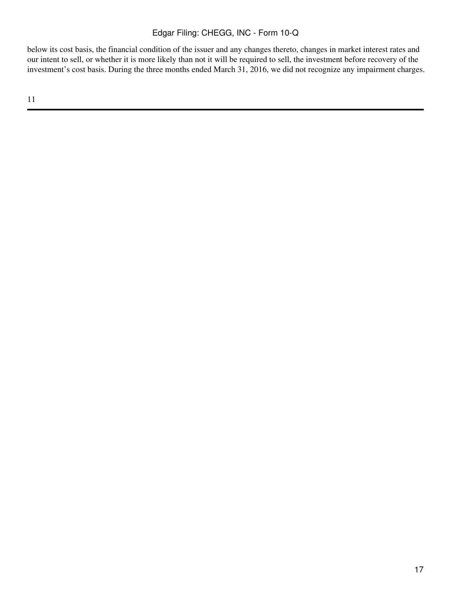below its cost basis, the financial condition of the issuer and any changes thereto, changes in market interest rates and our intent to sell, or whether it is more likely than not it will be required to sell, the investment before recovery of the investment's cost basis. During the three months ended March 31, 2016, we did not recognize any impairment charges.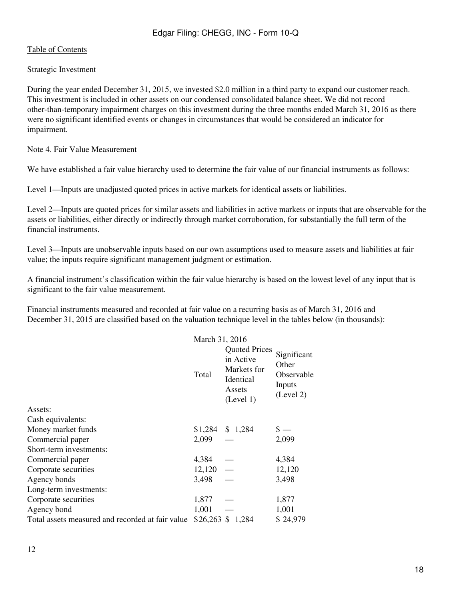## Strategic Investment

During the year ended December 31, 2015, we invested \$2.0 million in a third party to expand our customer reach. This investment is included in other assets on our condensed consolidated balance sheet. We did not record other-than-temporary impairment charges on this investment during the three months ended March 31, 2016 as there were no significant identified events or changes in circumstances that would be considered an indicator for impairment.

Note 4. Fair Value Measurement

We have established a fair value hierarchy used to determine the fair value of our financial instruments as follows:

Level 1—Inputs are unadjusted quoted prices in active markets for identical assets or liabilities.

Level 2—Inputs are quoted prices for similar assets and liabilities in active markets or inputs that are observable for the assets or liabilities, either directly or indirectly through market corroboration, for substantially the full term of the financial instruments.

Level 3—Inputs are unobservable inputs based on our own assumptions used to measure assets and liabilities at fair value; the inputs require significant management judgment or estimation.

A financial instrument's classification within the fair value hierarchy is based on the lowest level of any input that is significant to the fair value measurement.

Financial instruments measured and recorded at fair value on a recurring basis as of March 31, 2016 and December 31, 2015 are classified based on the valuation technique level in the tables below (in thousands):

|                                                  | March 31, 2016 |                                                                                      |                                                           |  |
|--------------------------------------------------|----------------|--------------------------------------------------------------------------------------|-----------------------------------------------------------|--|
|                                                  | Total          | <b>Quoted Prices</b><br>in Active<br>Markets for<br>Identical<br>Assets<br>(Level 1) | Significant<br>Other<br>Observable<br>Inputs<br>(Level 2) |  |
| Assets:                                          |                |                                                                                      |                                                           |  |
| Cash equivalents:                                |                |                                                                                      |                                                           |  |
| Money market funds                               |                | $$1,284$ \, \$ 1,284                                                                 |                                                           |  |
| Commercial paper                                 | 2,099          |                                                                                      | 2,099                                                     |  |
| Short-term investments:                          |                |                                                                                      |                                                           |  |
| Commercial paper                                 | 4,384          |                                                                                      | 4,384                                                     |  |
| Corporate securities                             | 12,120         |                                                                                      | 12,120                                                    |  |
| Agency bonds                                     | 3,498          |                                                                                      | 3,498                                                     |  |
| Long-term investments:                           |                |                                                                                      |                                                           |  |
| Corporate securities                             | 1,877          |                                                                                      | 1,877                                                     |  |
| Agency bond                                      | 1,001          |                                                                                      | 1,001                                                     |  |
| Total assets measured and recorded at fair value |                | $$26,263$ \$ 1,284                                                                   | \$24,979                                                  |  |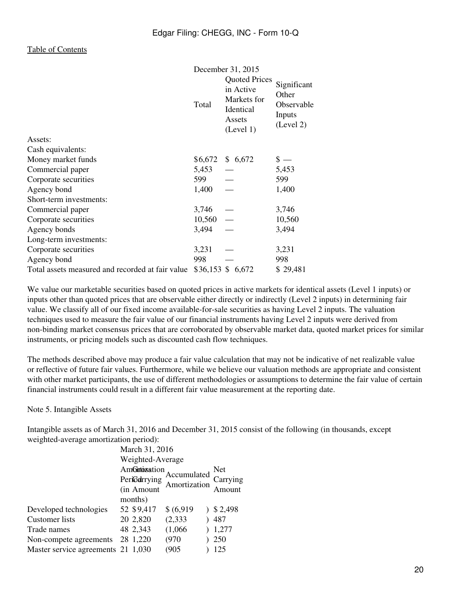|                                                  | December 31, 2015 |                                                                                      |                                                           |  |
|--------------------------------------------------|-------------------|--------------------------------------------------------------------------------------|-----------------------------------------------------------|--|
|                                                  | Total             | <b>Quoted Prices</b><br>in Active<br>Markets for<br>Identical<br>Assets<br>(Level 1) | Significant<br>Other<br>Observable<br>Inputs<br>(Level 2) |  |
| Assets:                                          |                   |                                                                                      |                                                           |  |
| Cash equivalents:                                |                   |                                                                                      |                                                           |  |
| Money market funds                               | \$6,672           | \$6,672                                                                              | $\frac{1}{2}$                                             |  |
| Commercial paper                                 | 5,453             |                                                                                      | 5,453                                                     |  |
| Corporate securities                             | 599               |                                                                                      | 599                                                       |  |
| Agency bond                                      | 1,400             |                                                                                      | 1,400                                                     |  |
| Short-term investments:                          |                   |                                                                                      |                                                           |  |
| Commercial paper                                 | 3,746             |                                                                                      | 3,746                                                     |  |
| Corporate securities                             | 10,560            | $\overline{\phantom{m}}$                                                             | 10,560                                                    |  |
| Agency bonds                                     | 3,494             |                                                                                      | 3,494                                                     |  |
| Long-term investments:                           |                   |                                                                                      |                                                           |  |
| Corporate securities                             | 3,231             |                                                                                      | 3,231                                                     |  |
| Agency bond                                      | 998               |                                                                                      | 998                                                       |  |
| Total assets measured and recorded at fair value |                   | \$36,153 \$ 6,672                                                                    | \$29,481                                                  |  |

We value our marketable securities based on quoted prices in active markets for identical assets (Level 1 inputs) or inputs other than quoted prices that are observable either directly or indirectly (Level 2 inputs) in determining fair value. We classify all of our fixed income available-for-sale securities as having Level 2 inputs. The valuation techniques used to measure the fair value of our financial instruments having Level 2 inputs were derived from non-binding market consensus prices that are corroborated by observable market data, quoted market prices for similar instruments, or pricing models such as discounted cash flow techniques.

The methods described above may produce a fair value calculation that may not be indicative of net realizable value or reflective of future fair values. Furthermore, while we believe our valuation methods are appropriate and consistent with other market participants, the use of different methodologies or assumptions to determine the fair value of certain financial instruments could result in a different fair value measurement at the reporting date.

Note 5. Intangible Assets

Intangible assets as of March 31, 2016 and December 31, 2015 consist of the following (in thousands, except weighted-average amortization period):

|                                    | March 31, 2016   |                                          |          |
|------------------------------------|------------------|------------------------------------------|----------|
|                                    | Weighted-Average |                                          |          |
|                                    | Amontoinsation   |                                          | Net      |
|                                    |                  | Accumulated<br>Periodrrying Amortization | Carrying |
|                                    | (in Amount       |                                          | Amount   |
|                                    | months)          |                                          |          |
| Developed technologies             | 52 \$9,417       | \$ (6,919)                               | \$2,498  |
| Customer lists                     | 20 2,820         | (2, 333)                                 | 487      |
| Trade names                        | 48 2,343         | (1,066)                                  | 1,277    |
| Non-compete agreements             | 28 1,220         | (970)                                    | 250      |
| Master service agreements 21 1,030 |                  | (905                                     | 125      |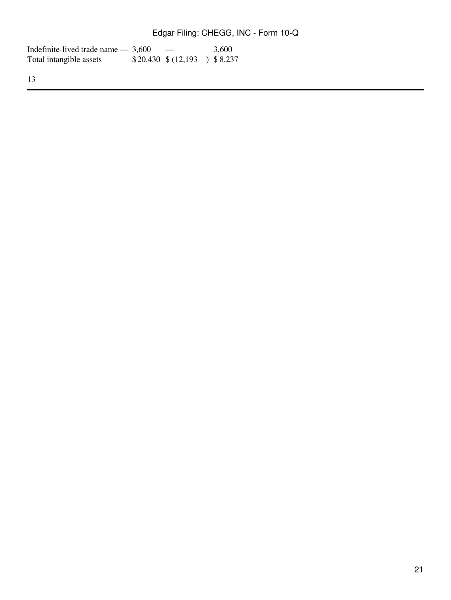| Indefinite-lived trade name $-3,600$ | $\overline{\phantom{a}}$      | 3.600 |
|--------------------------------------|-------------------------------|-------|
| Total intangible assets              | $$20,430 \$ (12,193) \$8,237$ |       |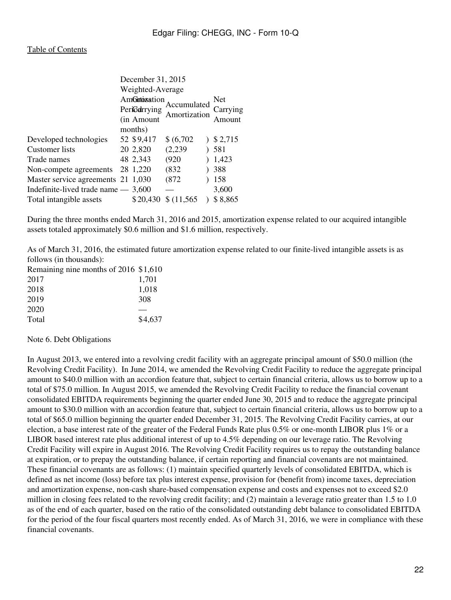|                                      | December 31, 2015 |             |              |  |           |
|--------------------------------------|-------------------|-------------|--------------|--|-----------|
|                                      | Weighted-Average  |             |              |  |           |
|                                      | AmGntoinsation    |             | Net          |  |           |
|                                      |                   | Periodrying | Accumulated  |  | Carrying  |
|                                      |                   | (in Amount) | Amortization |  | Amount    |
|                                      |                   | months)     |              |  |           |
| Developed technologies               |                   | 52 \$9,417  | \$ (6,702)   |  | 3, 2, 715 |
| Customer lists                       |                   | 20 2,820    | (2,239)      |  | 581       |
| Trade names                          |                   | 48 2,343    | (920)        |  | 1,423     |
| Non-compete agreements               |                   | 28 1,220    | (832)        |  | 388       |
| Master service agreements 21 1,030   |                   |             | (872)        |  | 158       |
| Indefinite-lived trade name $-3,600$ |                   |             |              |  | 3,600     |
| Total intangible assets              |                   | \$20,430    | \$(11,565)   |  | \$8,865   |

During the three months ended March 31, 2016 and 2015, amortization expense related to our acquired intangible assets totaled approximately \$0.6 million and \$1.6 million, respectively.

As of March 31, 2016, the estimated future amortization expense related to our finite-lived intangible assets is as follows (in thousands):

| Remaining nine months of 2016 \$1,610 |
|---------------------------------------|
| 1.701                                 |
| 1,018                                 |
| 308                                   |
|                                       |
| \$4,637                               |
|                                       |

Note 6. Debt Obligations

In August 2013, we entered into a revolving credit facility with an aggregate principal amount of \$50.0 million (the Revolving Credit Facility). In June 2014, we amended the Revolving Credit Facility to reduce the aggregate principal amount to \$40.0 million with an accordion feature that, subject to certain financial criteria, allows us to borrow up to a total of \$75.0 million. In August 2015, we amended the Revolving Credit Facility to reduce the financial covenant consolidated EBITDA requirements beginning the quarter ended June 30, 2015 and to reduce the aggregate principal amount to \$30.0 million with an accordion feature that, subject to certain financial criteria, allows us to borrow up to a total of \$65.0 million beginning the quarter ended December 31, 2015. The Revolving Credit Facility carries, at our election, a base interest rate of the greater of the Federal Funds Rate plus 0.5% or one-month LIBOR plus 1% or a LIBOR based interest rate plus additional interest of up to 4.5% depending on our leverage ratio. The Revolving Credit Facility will expire in August 2016. The Revolving Credit Facility requires us to repay the outstanding balance at expiration, or to prepay the outstanding balance, if certain reporting and financial covenants are not maintained. These financial covenants are as follows: (1) maintain specified quarterly levels of consolidated EBITDA, which is defined as net income (loss) before tax plus interest expense, provision for (benefit from) income taxes, depreciation and amortization expense, non-cash share-based compensation expense and costs and expenses not to exceed \$2.0 million in closing fees related to the revolving credit facility; and (2) maintain a leverage ratio greater than 1.5 to 1.0 as of the end of each quarter, based on the ratio of the consolidated outstanding debt balance to consolidated EBITDA for the period of the four fiscal quarters most recently ended. As of March 31, 2016, we were in compliance with these financial covenants.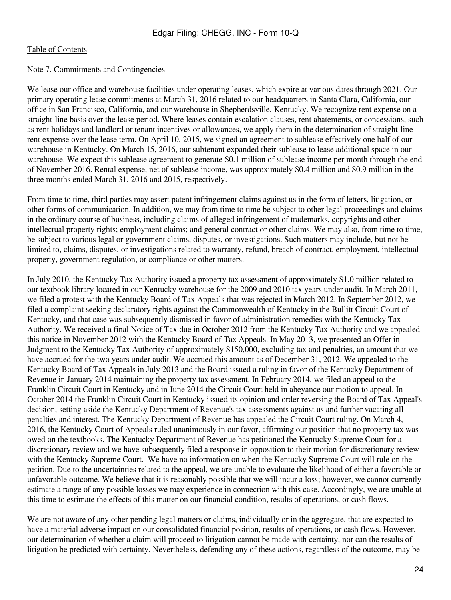### Note 7. Commitments and Contingencies

We lease our office and warehouse facilities under operating leases, which expire at various dates through 2021. Our primary operating lease commitments at March 31, 2016 related to our headquarters in Santa Clara, California, our office in San Francisco, California, and our warehouse in Shepherdsville, Kentucky. We recognize rent expense on a straight-line basis over the lease period. Where leases contain escalation clauses, rent abatements, or concessions, such as rent holidays and landlord or tenant incentives or allowances, we apply them in the determination of straight-line rent expense over the lease term. On April 10, 2015, we signed an agreement to sublease effectively one half of our warehouse in Kentucky. On March 15, 2016, our subtenant expanded their sublease to lease additional space in our warehouse. We expect this sublease agreement to generate \$0.1 million of sublease income per month through the end of November 2016. Rental expense, net of sublease income, was approximately \$0.4 million and \$0.9 million in the three months ended March 31, 2016 and 2015, respectively.

From time to time, third parties may assert patent infringement claims against us in the form of letters, litigation, or other forms of communication. In addition, we may from time to time be subject to other legal proceedings and claims in the ordinary course of business, including claims of alleged infringement of trademarks, copyrights and other intellectual property rights; employment claims; and general contract or other claims. We may also, from time to time, be subject to various legal or government claims, disputes, or investigations. Such matters may include, but not be limited to, claims, disputes, or investigations related to warranty, refund, breach of contract, employment, intellectual property, government regulation, or compliance or other matters.

In July 2010, the Kentucky Tax Authority issued a property tax assessment of approximately \$1.0 million related to our textbook library located in our Kentucky warehouse for the 2009 and 2010 tax years under audit. In March 2011, we filed a protest with the Kentucky Board of Tax Appeals that was rejected in March 2012. In September 2012, we filed a complaint seeking declaratory rights against the Commonwealth of Kentucky in the Bullitt Circuit Court of Kentucky, and that case was subsequently dismissed in favor of administration remedies with the Kentucky Tax Authority. We received a final Notice of Tax due in October 2012 from the Kentucky Tax Authority and we appealed this notice in November 2012 with the Kentucky Board of Tax Appeals. In May 2013, we presented an Offer in Judgment to the Kentucky Tax Authority of approximately \$150,000, excluding tax and penalties, an amount that we have accrued for the two years under audit. We accrued this amount as of December 31, 2012. We appealed to the Kentucky Board of Tax Appeals in July 2013 and the Board issued a ruling in favor of the Kentucky Department of Revenue in January 2014 maintaining the property tax assessment. In February 2014, we filed an appeal to the Franklin Circuit Court in Kentucky and in June 2014 the Circuit Court held in abeyance our motion to appeal. In October 2014 the Franklin Circuit Court in Kentucky issued its opinion and order reversing the Board of Tax Appeal's decision, setting aside the Kentucky Department of Revenue's tax assessments against us and further vacating all penalties and interest. The Kentucky Department of Revenue has appealed the Circuit Court ruling. On March 4, 2016, the Kentucky Court of Appeals ruled unanimously in our favor, affirming our position that no property tax was owed on the textbooks. The Kentucky Department of Revenue has petitioned the Kentucky Supreme Court for a discretionary review and we have subsequently filed a response in opposition to their motion for discretionary review with the Kentucky Supreme Court. We have no information on when the Kentucky Supreme Court will rule on the petition. Due to the uncertainties related to the appeal, we are unable to evaluate the likelihood of either a favorable or unfavorable outcome. We believe that it is reasonably possible that we will incur a loss; however, we cannot currently estimate a range of any possible losses we may experience in connection with this case. Accordingly, we are unable at this time to estimate the effects of this matter on our financial condition, results of operations, or cash flows.

We are not aware of any other pending legal matters or claims, individually or in the aggregate, that are expected to have a material adverse impact on our consolidated financial position, results of operations, or cash flows. However, our determination of whether a claim will proceed to litigation cannot be made with certainty, nor can the results of litigation be predicted with certainty. Nevertheless, defending any of these actions, regardless of the outcome, may be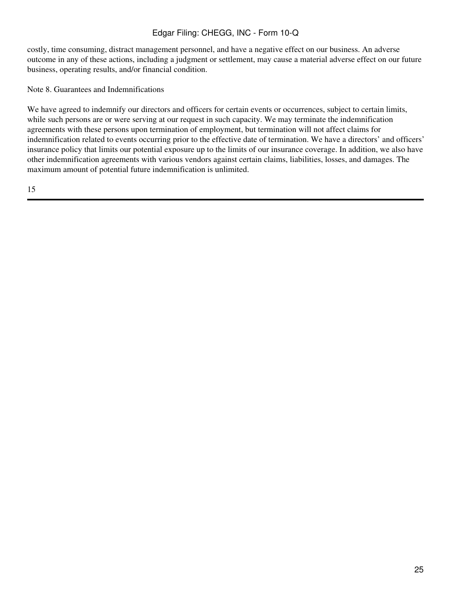costly, time consuming, distract management personnel, and have a negative effect on our business. An adverse outcome in any of these actions, including a judgment or settlement, may cause a material adverse effect on our future business, operating results, and/or financial condition.

Note 8. Guarantees and Indemnifications

We have agreed to indemnify our directors and officers for certain events or occurrences, subject to certain limits, while such persons are or were serving at our request in such capacity. We may terminate the indemnification agreements with these persons upon termination of employment, but termination will not affect claims for indemnification related to events occurring prior to the effective date of termination. We have a directors' and officers' insurance policy that limits our potential exposure up to the limits of our insurance coverage. In addition, we also have other indemnification agreements with various vendors against certain claims, liabilities, losses, and damages. The maximum amount of potential future indemnification is unlimited.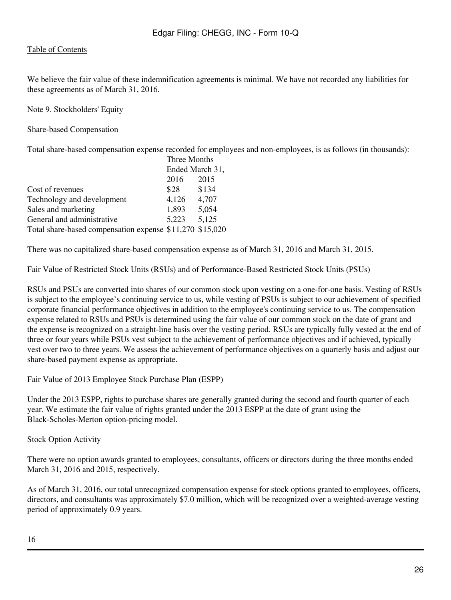We believe the fair value of these indemnification agreements is minimal. We have not recorded any liabilities for these agreements as of March 31, 2016.

Note 9. Stockholders' Equity

Share-based Compensation

Total share-based compensation expense recorded for employees and non-employees, is as follows (in thousands):

|                                                          | Three Months<br>Ended March 31, |       |  |
|----------------------------------------------------------|---------------------------------|-------|--|
|                                                          |                                 |       |  |
|                                                          | 2016                            | 2015  |  |
| Cost of revenues                                         | \$28                            | \$134 |  |
| Technology and development                               | 4,126                           | 4,707 |  |
| Sales and marketing                                      | 1,893                           | 5,054 |  |
| General and administrative                               | 5.223                           | 5,125 |  |
| Total share-based compensation expense \$11,270 \$15,020 |                                 |       |  |

There was no capitalized share-based compensation expense as of March 31, 2016 and March 31, 2015.

Fair Value of Restricted Stock Units (RSUs) and of Performance-Based Restricted Stock Units (PSUs)

RSUs and PSUs are converted into shares of our common stock upon vesting on a one-for-one basis. Vesting of RSUs is subject to the employee's continuing service to us, while vesting of PSUs is subject to our achievement of specified corporate financial performance objectives in addition to the employee's continuing service to us. The compensation expense related to RSUs and PSUs is determined using the fair value of our common stock on the date of grant and the expense is recognized on a straight-line basis over the vesting period. RSUs are typically fully vested at the end of three or four years while PSUs vest subject to the achievement of performance objectives and if achieved, typically vest over two to three years. We assess the achievement of performance objectives on a quarterly basis and adjust our share-based payment expense as appropriate.

Fair Value of 2013 Employee Stock Purchase Plan (ESPP)

Under the 2013 ESPP, rights to purchase shares are generally granted during the second and fourth quarter of each year. We estimate the fair value of rights granted under the 2013 ESPP at the date of grant using the Black-Scholes-Merton option-pricing model.

Stock Option Activity

There were no option awards granted to employees, consultants, officers or directors during the three months ended March 31, 2016 and 2015, respectively.

As of March 31, 2016, our total unrecognized compensation expense for stock options granted to employees, officers, directors, and consultants was approximately \$7.0 million, which will be recognized over a weighted-average vesting period of approximately 0.9 years.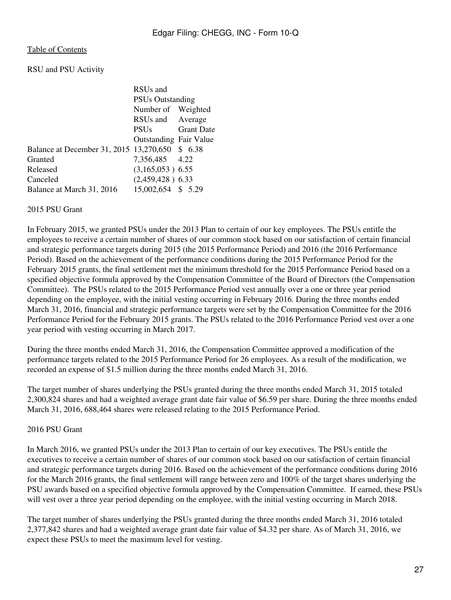RSU and PSU Activity

| RSU <sub>s</sub> and                            |                                                                                                                                                             |  |
|-------------------------------------------------|-------------------------------------------------------------------------------------------------------------------------------------------------------------|--|
| <b>PSUs Outstanding</b>                         |                                                                                                                                                             |  |
|                                                 |                                                                                                                                                             |  |
|                                                 |                                                                                                                                                             |  |
| <b>PSUs</b>                                     | <b>Grant Date</b>                                                                                                                                           |  |
|                                                 |                                                                                                                                                             |  |
| Balance at December 31, 2015 13,270,650 \$ 6.38 |                                                                                                                                                             |  |
|                                                 |                                                                                                                                                             |  |
|                                                 |                                                                                                                                                             |  |
|                                                 |                                                                                                                                                             |  |
|                                                 |                                                                                                                                                             |  |
|                                                 | Number of Weighted<br>RSUs and Average<br><b>Outstanding Fair Value</b><br>7,356,485 4.22<br>$(3,165,053)$ 6.55<br>$(2,459,428)$ 6.33<br>15,002,654 \$ 5.29 |  |

### 2015 PSU Grant

In February 2015, we granted PSUs under the 2013 Plan to certain of our key employees. The PSUs entitle the employees to receive a certain number of shares of our common stock based on our satisfaction of certain financial and strategic performance targets during 2015 (the 2015 Performance Period) and 2016 (the 2016 Performance Period). Based on the achievement of the performance conditions during the 2015 Performance Period for the February 2015 grants, the final settlement met the minimum threshold for the 2015 Performance Period based on a specified objective formula approved by the Compensation Committee of the Board of Directors (the Compensation Committee). The PSUs related to the 2015 Performance Period vest annually over a one or three year period depending on the employee, with the initial vesting occurring in February 2016. During the three months ended March 31, 2016, financial and strategic performance targets were set by the Compensation Committee for the 2016 Performance Period for the February 2015 grants. The PSUs related to the 2016 Performance Period vest over a one year period with vesting occurring in March 2017.

During the three months ended March 31, 2016, the Compensation Committee approved a modification of the performance targets related to the 2015 Performance Period for 26 employees. As a result of the modification, we recorded an expense of \$1.5 million during the three months ended March 31, 2016.

The target number of shares underlying the PSUs granted during the three months ended March 31, 2015 totaled 2,300,824 shares and had a weighted average grant date fair value of \$6.59 per share. During the three months ended March 31, 2016, 688,464 shares were released relating to the 2015 Performance Period.

## 2016 PSU Grant

In March 2016, we granted PSUs under the 2013 Plan to certain of our key executives. The PSUs entitle the executives to receive a certain number of shares of our common stock based on our satisfaction of certain financial and strategic performance targets during 2016. Based on the achievement of the performance conditions during 2016 for the March 2016 grants, the final settlement will range between zero and 100% of the target shares underlying the PSU awards based on a specified objective formula approved by the Compensation Committee. If earned, these PSUs will vest over a three year period depending on the employee, with the initial vesting occurring in March 2018.

The target number of shares underlying the PSUs granted during the three months ended March 31, 2016 totaled 2,377,842 shares and had a weighted average grant date fair value of \$4.32 per share. As of March 31, 2016, we expect these PSUs to meet the maximum level for vesting.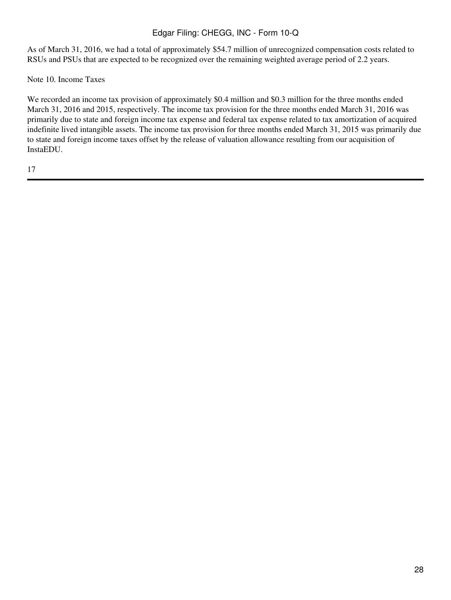As of March 31, 2016, we had a total of approximately \$54.7 million of unrecognized compensation costs related to RSUs and PSUs that are expected to be recognized over the remaining weighted average period of 2.2 years.

Note 10. Income Taxes

We recorded an income tax provision of approximately \$0.4 million and \$0.3 million for the three months ended March 31, 2016 and 2015, respectively. The income tax provision for the three months ended March 31, 2016 was primarily due to state and foreign income tax expense and federal tax expense related to tax amortization of acquired indefinite lived intangible assets. The income tax provision for three months ended March 31, 2015 was primarily due to state and foreign income taxes offset by the release of valuation allowance resulting from our acquisition of InstaEDU.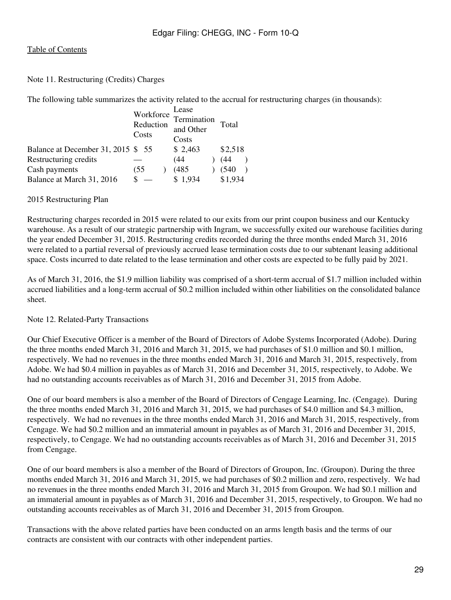### Note 11. Restructuring (Credits) Charges

The following table summarizes the activity related to the accrual for restructuring charges (in thousands):

|                                    | Workforce<br>Reduction<br>Costs | Lease<br>Termination<br>and Other<br>Costs | Total   |
|------------------------------------|---------------------------------|--------------------------------------------|---------|
| Balance at December 31, 2015 \$ 55 |                                 | \$2,463                                    | \$2,518 |
| Restructuring credits              |                                 | (44                                        | (44     |
| Cash payments                      | (55                             | (485)                                      | (540)   |
| Balance at March 31, 2016          |                                 | \$1,934                                    | \$1,934 |

### 2015 Restructuring Plan

Restructuring charges recorded in 2015 were related to our exits from our print coupon business and our Kentucky warehouse. As a result of our strategic partnership with Ingram, we successfully exited our warehouse facilities during the year ended December 31, 2015. Restructuring credits recorded during the three months ended March 31, 2016 were related to a partial reversal of previously accrued lease termination costs due to our subtenant leasing additional space. Costs incurred to date related to the lease termination and other costs are expected to be fully paid by 2021.

As of March 31, 2016, the \$1.9 million liability was comprised of a short-term accrual of \$1.7 million included within accrued liabilities and a long-term accrual of \$0.2 million included within other liabilities on the consolidated balance sheet.

## Note 12. Related-Party Transactions

Our Chief Executive Officer is a member of the Board of Directors of Adobe Systems Incorporated (Adobe). During the three months ended March 31, 2016 and March 31, 2015, we had purchases of \$1.0 million and \$0.1 million, respectively. We had no revenues in the three months ended March 31, 2016 and March 31, 2015, respectively, from Adobe. We had \$0.4 million in payables as of March 31, 2016 and December 31, 2015, respectively, to Adobe. We had no outstanding accounts receivables as of March 31, 2016 and December 31, 2015 from Adobe.

One of our board members is also a member of the Board of Directors of Cengage Learning, Inc. (Cengage). During the three months ended March 31, 2016 and March 31, 2015, we had purchases of \$4.0 million and \$4.3 million, respectively. We had no revenues in the three months ended March 31, 2016 and March 31, 2015, respectively, from Cengage. We had \$0.2 million and an immaterial amount in payables as of March 31, 2016 and December 31, 2015, respectively, to Cengage. We had no outstanding accounts receivables as of March 31, 2016 and December 31, 2015 from Cengage.

One of our board members is also a member of the Board of Directors of Groupon, Inc. (Groupon). During the three months ended March 31, 2016 and March 31, 2015, we had purchases of \$0.2 million and zero, respectively. We had no revenues in the three months ended March 31, 2016 and March 31, 2015 from Groupon. We had \$0.1 million and an immaterial amount in payables as of March 31, 2016 and December 31, 2015, respectively, to Groupon. We had no outstanding accounts receivables as of March 31, 2016 and December 31, 2015 from Groupon.

Transactions with the above related parties have been conducted on an arms length basis and the terms of our contracts are consistent with our contracts with other independent parties.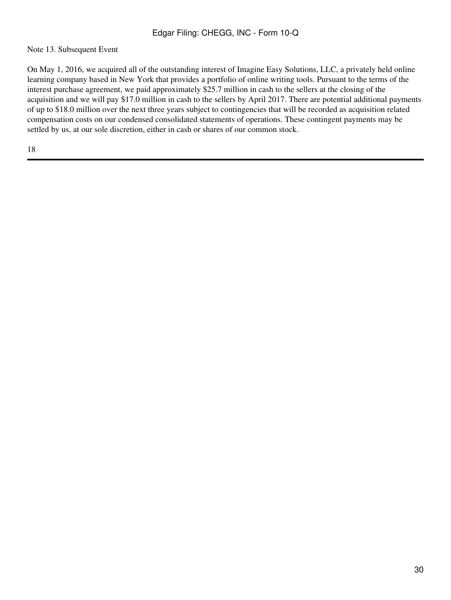## Note 13. Subsequent Event

On May 1, 2016, we acquired all of the outstanding interest of Imagine Easy Solutions, LLC, a privately held online learning company based in New York that provides a portfolio of online writing tools. Pursuant to the terms of the interest purchase agreement, we paid approximately \$25.7 million in cash to the sellers at the closing of the acquisition and we will pay \$17.0 million in cash to the sellers by April 2017. There are potential additional payments of up to \$18.0 million over the next three years subject to contingencies that will be recorded as acquisition related compensation costs on our condensed consolidated statements of operations. These contingent payments may be settled by us, at our sole discretion, either in cash or shares of our common stock.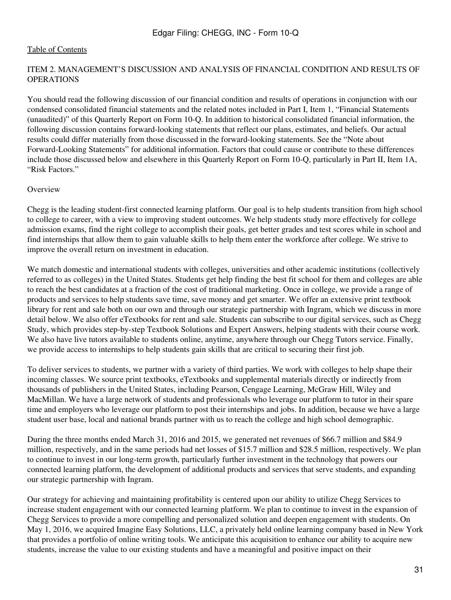### <span id="page-30-0"></span>ITEM 2. MANAGEMENT'S DISCUSSION AND ANALYSIS OF FINANCIAL CONDITION AND RESULTS OF OPERATIONS

You should read the following discussion of our financial condition and results of operations in conjunction with our condensed consolidated financial statements and the related notes included in Part I, Item 1, "Financial Statements (unaudited)" of this Quarterly Report on Form 10-Q. In addition to historical consolidated financial information, the following discussion contains forward-looking statements that reflect our plans, estimates, and beliefs. Our actual results could differ materially from those discussed in the forward-looking statements. See the "Note about Forward-Looking Statements" for additional information. Factors that could cause or contribute to these differences include those discussed below and elsewhere in this Quarterly Report on Form 10-Q, particularly in Part II, Item 1A, "Risk Factors."

### **Overview**

Chegg is the leading student-first connected learning platform. Our goal is to help students transition from high school to college to career, with a view to improving student outcomes. We help students study more effectively for college admission exams, find the right college to accomplish their goals, get better grades and test scores while in school and find internships that allow them to gain valuable skills to help them enter the workforce after college. We strive to improve the overall return on investment in education.

We match domestic and international students with colleges, universities and other academic institutions (collectively referred to as colleges) in the United States. Students get help finding the best fit school for them and colleges are able to reach the best candidates at a fraction of the cost of traditional marketing. Once in college, we provide a range of products and services to help students save time, save money and get smarter. We offer an extensive print textbook library for rent and sale both on our own and through our strategic partnership with Ingram, which we discuss in more detail below. We also offer eTextbooks for rent and sale. Students can subscribe to our digital services, such as Chegg Study, which provides step-by-step Textbook Solutions and Expert Answers, helping students with their course work. We also have live tutors available to students online, anytime, anywhere through our Chegg Tutors service. Finally, we provide access to internships to help students gain skills that are critical to securing their first job.

To deliver services to students, we partner with a variety of third parties. We work with colleges to help shape their incoming classes. We source print textbooks, eTextbooks and supplemental materials directly or indirectly from thousands of publishers in the United States, including Pearson, Cengage Learning, McGraw Hill, Wiley and MacMillan. We have a large network of students and professionals who leverage our platform to tutor in their spare time and employers who leverage our platform to post their internships and jobs. In addition, because we have a large student user base, local and national brands partner with us to reach the college and high school demographic.

During the three months ended March 31, 2016 and 2015, we generated net revenues of \$66.7 million and \$84.9 million, respectively, and in the same periods had net losses of \$15.7 million and \$28.5 million, respectively. We plan to continue to invest in our long-term growth, particularly further investment in the technology that powers our connected learning platform, the development of additional products and services that serve students, and expanding our strategic partnership with Ingram.

Our strategy for achieving and maintaining profitability is centered upon our ability to utilize Chegg Services to increase student engagement with our connected learning platform. We plan to continue to invest in the expansion of Chegg Services to provide a more compelling and personalized solution and deepen engagement with students. On May 1, 2016, we acquired Imagine Easy Solutions, LLC, a privately held online learning company based in New York that provides a portfolio of online writing tools. We anticipate this acquisition to enhance our ability to acquire new students, increase the value to our existing students and have a meaningful and positive impact on their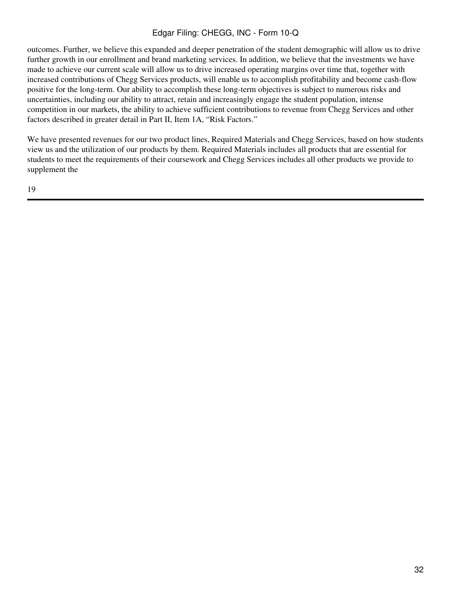outcomes. Further, we believe this expanded and deeper penetration of the student demographic will allow us to drive further growth in our enrollment and brand marketing services. In addition, we believe that the investments we have made to achieve our current scale will allow us to drive increased operating margins over time that, together with increased contributions of Chegg Services products, will enable us to accomplish profitability and become cash-flow positive for the long-term. Our ability to accomplish these long-term objectives is subject to numerous risks and uncertainties, including our ability to attract, retain and increasingly engage the student population, intense competition in our markets, the ability to achieve sufficient contributions to revenue from Chegg Services and other factors described in greater detail in Part II, Item 1A, "Risk Factors."

We have presented revenues for our two product lines, Required Materials and Chegg Services, based on how students view us and the utilization of our products by them. Required Materials includes all products that are essential for students to meet the requirements of their coursework and Chegg Services includes all other products we provide to supplement the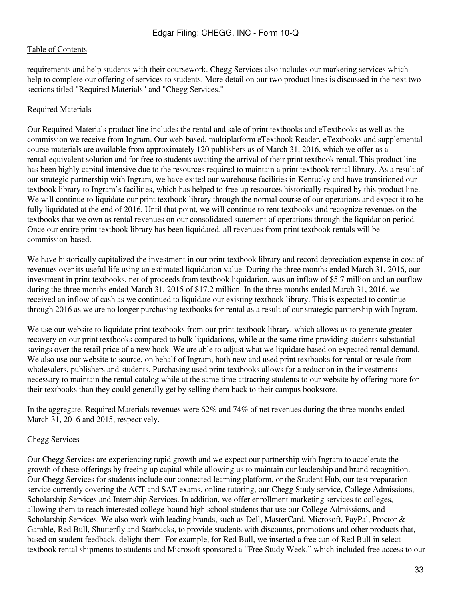requirements and help students with their coursework. Chegg Services also includes our marketing services which help to complete our offering of services to students. More detail on our two product lines is discussed in the next two sections titled "Required Materials" and "Chegg Services."

### Required Materials

Our Required Materials product line includes the rental and sale of print textbooks and eTextbooks as well as the commission we receive from Ingram. Our web-based, multiplatform eTextbook Reader, eTextbooks and supplemental course materials are available from approximately 120 publishers as of March 31, 2016, which we offer as a rental-equivalent solution and for free to students awaiting the arrival of their print textbook rental. This product line has been highly capital intensive due to the resources required to maintain a print textbook rental library. As a result of our strategic partnership with Ingram, we have exited our warehouse facilities in Kentucky and have transitioned our textbook library to Ingram's facilities, which has helped to free up resources historically required by this product line. We will continue to liquidate our print textbook library through the normal course of our operations and expect it to be fully liquidated at the end of 2016. Until that point, we will continue to rent textbooks and recognize revenues on the textbooks that we own as rental revenues on our consolidated statement of operations through the liquidation period. Once our entire print textbook library has been liquidated, all revenues from print textbook rentals will be commission-based.

We have historically capitalized the investment in our print textbook library and record depreciation expense in cost of revenues over its useful life using an estimated liquidation value. During the three months ended March 31, 2016, our investment in print textbooks, net of proceeds from textbook liquidation, was an inflow of \$5.7 million and an outflow during the three months ended March 31, 2015 of \$17.2 million. In the three months ended March 31, 2016, we received an inflow of cash as we continued to liquidate our existing textbook library. This is expected to continue through 2016 as we are no longer purchasing textbooks for rental as a result of our strategic partnership with Ingram.

We use our website to liquidate print textbooks from our print textbook library, which allows us to generate greater recovery on our print textbooks compared to bulk liquidations, while at the same time providing students substantial savings over the retail price of a new book. We are able to adjust what we liquidate based on expected rental demand. We also use our website to source, on behalf of Ingram, both new and used print textbooks for rental or resale from wholesalers, publishers and students. Purchasing used print textbooks allows for a reduction in the investments necessary to maintain the rental catalog while at the same time attracting students to our website by offering more for their textbooks than they could generally get by selling them back to their campus bookstore.

In the aggregate, Required Materials revenues were 62% and 74% of net revenues during the three months ended March 31, 2016 and 2015, respectively.

## Chegg Services

Our Chegg Services are experiencing rapid growth and we expect our partnership with Ingram to accelerate the growth of these offerings by freeing up capital while allowing us to maintain our leadership and brand recognition. Our Chegg Services for students include our connected learning platform, or the Student Hub, our test preparation service currently covering the ACT and SAT exams, online tutoring, our Chegg Study service, College Admissions, Scholarship Services and Internship Services. In addition, we offer enrollment marketing services to colleges, allowing them to reach interested college-bound high school students that use our College Admissions, and Scholarship Services. We also work with leading brands, such as Dell, MasterCard, Microsoft, PayPal, Proctor & Gamble, Red Bull, Shutterfly and Starbucks, to provide students with discounts, promotions and other products that, based on student feedback, delight them. For example, for Red Bull, we inserted a free can of Red Bull in select textbook rental shipments to students and Microsoft sponsored a "Free Study Week," which included free access to our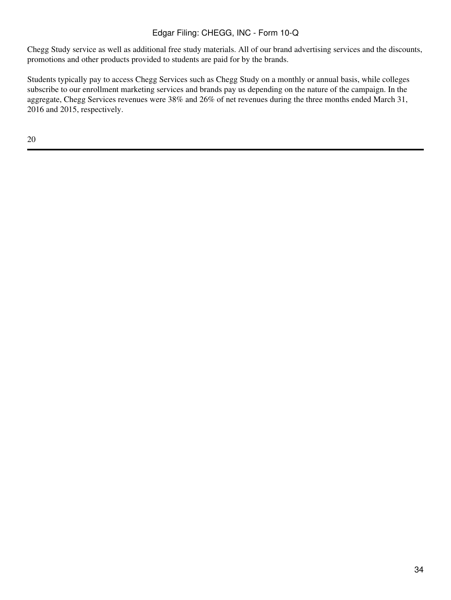Chegg Study service as well as additional free study materials. All of our brand advertising services and the discounts, promotions and other products provided to students are paid for by the brands.

Students typically pay to access Chegg Services such as Chegg Study on a monthly or annual basis, while colleges subscribe to our enrollment marketing services and brands pay us depending on the nature of the campaign. In the aggregate, Chegg Services revenues were 38% and 26% of net revenues during the three months ended March 31, 2016 and 2015, respectively.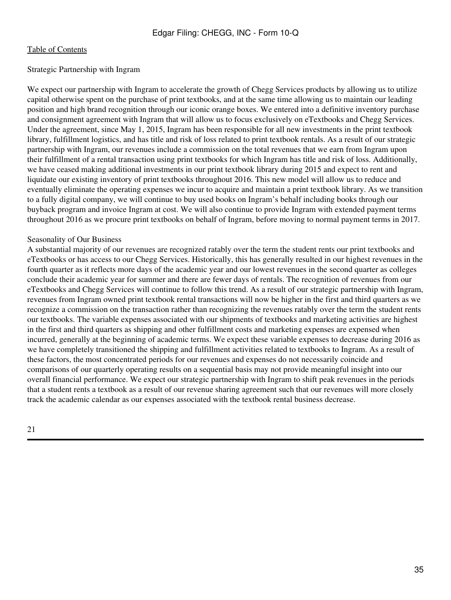### Strategic Partnership with Ingram

We expect our partnership with Ingram to accelerate the growth of Chegg Services products by allowing us to utilize capital otherwise spent on the purchase of print textbooks, and at the same time allowing us to maintain our leading position and high brand recognition through our iconic orange boxes. We entered into a definitive inventory purchase and consignment agreement with Ingram that will allow us to focus exclusively on eTextbooks and Chegg Services. Under the agreement, since May 1, 2015, Ingram has been responsible for all new investments in the print textbook library, fulfillment logistics, and has title and risk of loss related to print textbook rentals. As a result of our strategic partnership with Ingram, our revenues include a commission on the total revenues that we earn from Ingram upon their fulfillment of a rental transaction using print textbooks for which Ingram has title and risk of loss. Additionally, we have ceased making additional investments in our print textbook library during 2015 and expect to rent and liquidate our existing inventory of print textbooks throughout 2016. This new model will allow us to reduce and eventually eliminate the operating expenses we incur to acquire and maintain a print textbook library. As we transition to a fully digital company, we will continue to buy used books on Ingram's behalf including books through our buyback program and invoice Ingram at cost. We will also continue to provide Ingram with extended payment terms throughout 2016 as we procure print textbooks on behalf of Ingram, before moving to normal payment terms in 2017.

### Seasonality of Our Business

A substantial majority of our revenues are recognized ratably over the term the student rents our print textbooks and eTextbooks or has access to our Chegg Services. Historically, this has generally resulted in our highest revenues in the fourth quarter as it reflects more days of the academic year and our lowest revenues in the second quarter as colleges conclude their academic year for summer and there are fewer days of rentals. The recognition of revenues from our eTextbooks and Chegg Services will continue to follow this trend. As a result of our strategic partnership with Ingram, revenues from Ingram owned print textbook rental transactions will now be higher in the first and third quarters as we recognize a commission on the transaction rather than recognizing the revenues ratably over the term the student rents our textbooks. The variable expenses associated with our shipments of textbooks and marketing activities are highest in the first and third quarters as shipping and other fulfillment costs and marketing expenses are expensed when incurred, generally at the beginning of academic terms. We expect these variable expenses to decrease during 2016 as we have completely transitioned the shipping and fulfillment activities related to textbooks to Ingram. As a result of these factors, the most concentrated periods for our revenues and expenses do not necessarily coincide and comparisons of our quarterly operating results on a sequential basis may not provide meaningful insight into our overall financial performance. We expect our strategic partnership with Ingram to shift peak revenues in the periods that a student rents a textbook as a result of our revenue sharing agreement such that our revenues will more closely track the academic calendar as our expenses associated with the textbook rental business decrease.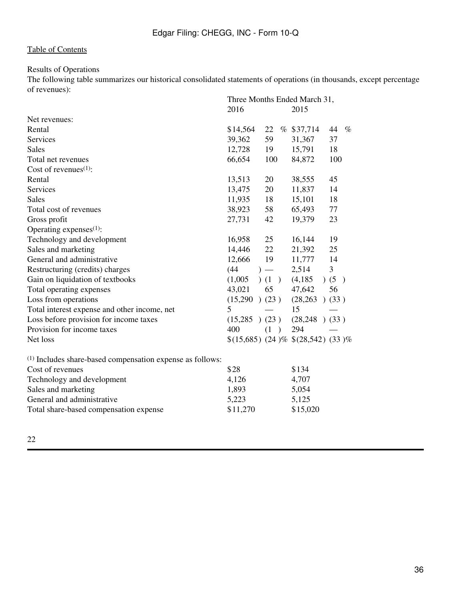# Results of Operations

The following table summarizes our historical consolidated statements of operations (in thousands, except percentage of revenues):

|                                                                      | Three Months Ended March 31, |                      |                                     |            |
|----------------------------------------------------------------------|------------------------------|----------------------|-------------------------------------|------------|
|                                                                      | 2016                         |                      | 2015                                |            |
| Net revenues:                                                        |                              |                      |                                     |            |
| Rental                                                               | \$14,564                     | 22                   | % \$37,714                          | 44<br>$\%$ |
| Services                                                             | 39,362                       | 59                   | 31,367                              | 37         |
| <b>Sales</b>                                                         | 12,728                       | 19                   | 15,791                              | 18         |
| Total net revenues                                                   | 66,654                       | 100                  | 84,872                              | 100        |
| Cost of revenues $(1)$ :                                             |                              |                      |                                     |            |
| Rental                                                               | 13,513                       | 20                   | 38,555                              | 45         |
| Services                                                             | 13,475                       | 20                   | 11,837                              | 14         |
| <b>Sales</b>                                                         | 11,935                       | 18                   | 15,101                              | 18         |
| Total cost of revenues                                               | 38,923                       | 58                   | 65,493                              | 77         |
| Gross profit                                                         | 27,731                       | 42                   | 19,379                              | 23         |
| Operating expenses $(1)$ :                                           |                              |                      |                                     |            |
| Technology and development                                           | 16,958                       | 25                   | 16,144                              | 19         |
| Sales and marketing                                                  | 14,446                       | 22                   | 21,392                              | 25         |
| General and administrative                                           | 12,666                       | 19                   | 11,777                              | 14         |
| Restructuring (credits) charges                                      | (44)                         | $)$ —                | 2,514                               | 3          |
| Gain on liquidation of textbooks                                     | (1,005)                      | (1)                  | (4,185)                             | )(5)       |
| Total operating expenses                                             | 43,021                       | 65                   | 47,642                              | 56         |
| Loss from operations                                                 | $(15,290)$ $(23)$            |                      | (28, 263)                           | )(33)      |
| Total interest expense and other income, net                         | 5                            |                      | 15                                  |            |
| Loss before provision for income taxes                               | (15,285)                     | (23)                 | (28, 248)                           | )(33)      |
| Provision for income taxes                                           | 400                          | (1)<br>$\rightarrow$ | 294                                 |            |
| Net loss                                                             |                              |                      | $$(15,685)$ (24)% $$(28,542)$ (33)% |            |
| <sup>(1)</sup> Includes share-based compensation expense as follows: |                              |                      |                                     |            |
| Cost of revenues                                                     | \$28                         |                      | \$134                               |            |
| Technology and development                                           | 4,126                        |                      | 4,707                               |            |
| Sales and marketing                                                  | 1,893                        |                      | 5,054                               |            |
| General and administrative                                           | 5,223                        |                      | 5,125                               |            |
| Total share-based compensation expense                               | \$11,270                     |                      | \$15,020                            |            |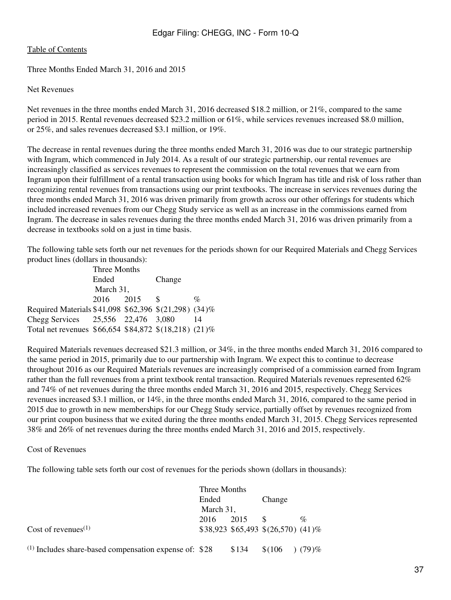Three Months Ended March 31, 2016 and 2015

#### Net Revenues

Net revenues in the three months ended March 31, 2016 decreased \$18.2 million, or 21%, compared to the same period in 2015. Rental revenues decreased \$23.2 million or 61%, while services revenues increased \$8.0 million, or 25%, and sales revenues decreased \$3.1 million, or 19%.

The decrease in rental revenues during the three months ended March 31, 2016 was due to our strategic partnership with Ingram, which commenced in July 2014. As a result of our strategic partnership, our rental revenues are increasingly classified as services revenues to represent the commission on the total revenues that we earn from Ingram upon their fulfillment of a rental transaction using books for which Ingram has title and risk of loss rather than recognizing rental revenues from transactions using our print textbooks. The increase in services revenues during the three months ended March 31, 2016 was driven primarily from growth across our other offerings for students which included increased revenues from our Chegg Study service as well as an increase in the commissions earned from Ingram. The decrease in sales revenues during the three months ended March 31, 2016 was driven primarily from a decrease in textbooks sold on a just in time basis.

The following table sets forth our net revenues for the periods shown for our Required Materials and Chegg Services product lines (dollars in thousands):

| Three Months                                          |       |      |        |      |
|-------------------------------------------------------|-------|------|--------|------|
|                                                       | Ended |      | Change |      |
| March 31,                                             |       |      |        |      |
|                                                       | 2016  | 2015 | - S    | $\%$ |
| Required Materials \$41,098 \$62,396 \$(21,298) (34)% |       |      |        |      |
| Chegg Services 25,556 22,476 3,080                    |       |      |        | 14   |
| Total net revenues \$66,654 \$84,872 \$(18,218) (21)% |       |      |        |      |

Required Materials revenues decreased \$21.3 million, or 34%, in the three months ended March 31, 2016 compared to the same period in 2015, primarily due to our partnership with Ingram. We expect this to continue to decrease throughout 2016 as our Required Materials revenues are increasingly comprised of a commission earned from Ingram rather than the full revenues from a print textbook rental transaction. Required Materials revenues represented 62% and 74% of net revenues during the three months ended March 31, 2016 and 2015, respectively. Chegg Services revenues increased \$3.1 million, or 14%, in the three months ended March 31, 2016, compared to the same period in 2015 due to growth in new memberships for our Chegg Study service, partially offset by revenues recognized from our print coupon business that we exited during the three months ended March 31, 2015. Chegg Services represented 38% and 26% of net revenues during the three months ended March 31, 2016 and 2015, respectively.

#### Cost of Revenues

The following table sets forth our cost of revenues for the periods shown (dollars in thousands):

|                                                          | Three Months |       |                                     |          |
|----------------------------------------------------------|--------------|-------|-------------------------------------|----------|
|                                                          | Ended        |       | Change                              |          |
|                                                          | March 31,    |       |                                     |          |
|                                                          | 2016         | 2015  |                                     | $\%$     |
| Cost of revenues <sup><math>(1)</math></sup>             |              |       | $$38,923$ \$65,493 \$(26,570) (41)% |          |
| $(1)$ Includes share-based compensation expense of: \$28 |              | \$134 | \$(106)                             | $(79)$ % |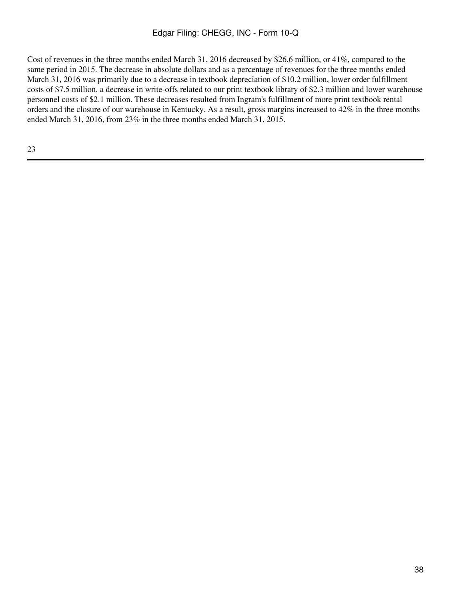Cost of revenues in the three months ended March 31, 2016 decreased by \$26.6 million, or 41%, compared to the same period in 2015. The decrease in absolute dollars and as a percentage of revenues for the three months ended March 31, 2016 was primarily due to a decrease in textbook depreciation of \$10.2 million, lower order fulfillment costs of \$7.5 million, a decrease in write-offs related to our print textbook library of \$2.3 million and lower warehouse personnel costs of \$2.1 million. These decreases resulted from Ingram's fulfillment of more print textbook rental orders and the closure of our warehouse in Kentucky. As a result, gross margins increased to 42% in the three months ended March 31, 2016, from 23% in the three months ended March 31, 2015.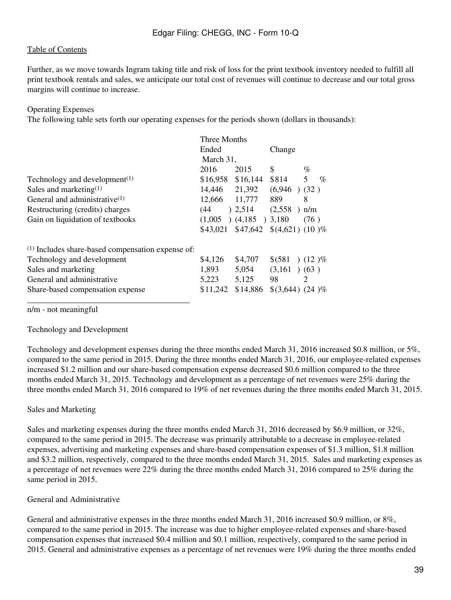Further, as we move towards Ingram taking title and risk of loss for the print textbook inventory needed to fulfill all print textbook rentals and sales, we anticipate our total cost of revenues will continue to decrease and our total gross margins will continue to increase.

#### Operating Expenses

The following table sets forth our operating expenses for the periods shown (dollars in thousands):

|                                                              | Three Months                 |                                       |                          |           |
|--------------------------------------------------------------|------------------------------|---------------------------------------|--------------------------|-----------|
|                                                              | Ended<br>Change<br>March 31, |                                       |                          |           |
|                                                              |                              |                                       |                          |           |
|                                                              | 2016                         | 2015                                  | \$                       | $\%$      |
| Technology and development <sup><math>(1)</math></sup>       | \$16,958                     | \$16,144                              | \$814                    | 5<br>$\%$ |
| Sales and marketing $(1)$                                    | 14,446 21,392                |                                       | $(6,946)$ $(32)$         |           |
| General and administrative $(1)$                             | 12,666 11,777                |                                       | 889                      | 8         |
| Restructuring (credits) charges                              | (44)                         | 2,514                                 | (2,558)<br>$\rightarrow$ | n/m       |
| Gain on liquidation of textbooks                             | (1,005)                      | $(4,185)$ $3,180$                     |                          | (76)      |
|                                                              | \$43,021                     | $$47,642 \quad $(4,621) \quad (10)\%$ |                          |           |
| <sup>(1)</sup> Includes share-based compensation expense of: |                              |                                       |                          |           |
| Technology and development                                   | \$4,126                      | \$4,707                               | $$ (581) (12) \%$        |           |
| Sales and marketing                                          | 1,893                        | 5,054                                 | $(3,161)$ $(63)$         |           |
| General and administrative                                   | 5,223                        | 5,125                                 | 98                       | 2         |
| Share-based compensation expense                             | \$11,242                     | \$14,886                              | $$(3,644) (24)$ %        |           |

n/m - not meaningful

#### Technology and Development

Technology and development expenses during the three months ended March 31, 2016 increased \$0.8 million, or 5%, compared to the same period in 2015. During the three months ended March 31, 2016, our employee-related expenses increased \$1.2 million and our share-based compensation expense decreased \$0.6 million compared to the three months ended March 31, 2015. Technology and development as a percentage of net revenues were 25% during the three months ended March 31, 2016 compared to 19% of net revenues during the three months ended March 31, 2015.

# Sales and Marketing

Sales and marketing expenses during the three months ended March 31, 2016 decreased by \$6.9 million, or 32%, compared to the same period in 2015. The decrease was primarily attributable to a decrease in employee-related expenses, advertising and marketing expenses and share-based compensation expenses of \$1.3 million, \$1.8 million and \$3.2 million, respectively, compared to the three months ended March 31, 2015. Sales and marketing expenses as a percentage of net revenues were 22% during the three months ended March 31, 2016 compared to 25% during the same period in 2015.

#### General and Administrative

General and administrative expenses in the three months ended March 31, 2016 increased \$0.9 million, or 8%, compared to the same period in 2015. The increase was due to higher employee-related expenses and share-based compensation expenses that increased \$0.4 million and \$0.1 million, respectively, compared to the same period in 2015. General and administrative expenses as a percentage of net revenues were 19% during the three months ended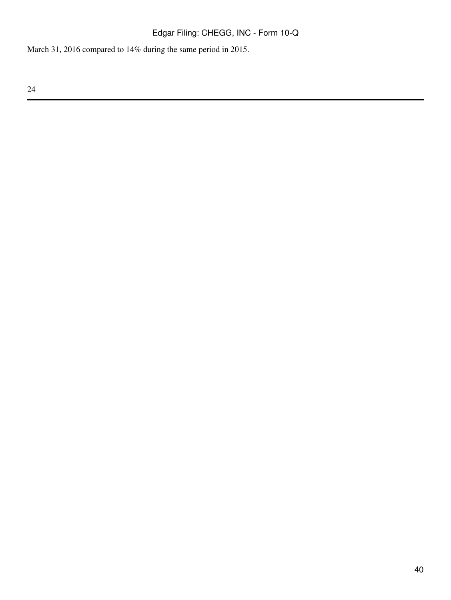March 31, 2016 compared to 14% during the same period in 2015.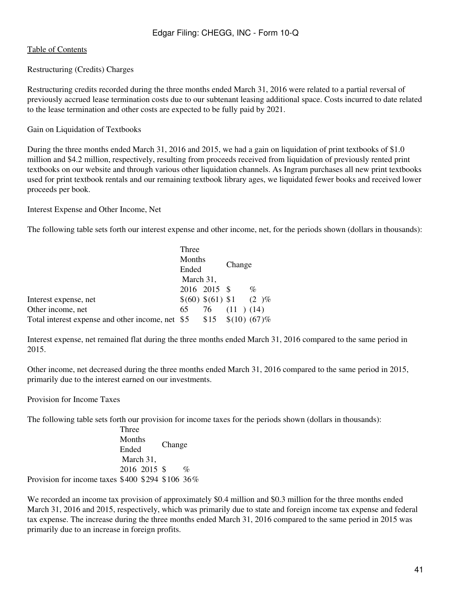Restructuring (Credits) Charges

Restructuring credits recorded during the three months ended March 31, 2016 were related to a partial reversal of previously accrued lease termination costs due to our subtenant leasing additional space. Costs incurred to date related to the lease termination and other costs are expected to be fully paid by 2021.

Gain on Liquidation of Textbooks

During the three months ended March 31, 2016 and 2015, we had a gain on liquidation of print textbooks of \$1.0 million and \$4.2 million, respectively, resulting from proceeds received from liquidation of previously rented print textbooks on our website and through various other liquidation channels. As Ingram purchases all new print textbooks used for print textbook rentals and our remaining textbook library ages, we liquidated fewer books and received lower proceeds per book.

Interest Expense and Other Income, Net

The following table sets forth our interest expense and other income, net, for the periods shown (dollars in thousands):

|                                                       | Three                        |              |                    |                           |
|-------------------------------------------------------|------------------------------|--------------|--------------------|---------------------------|
|                                                       | Months<br>Ended<br>March 31, |              | Change             |                           |
|                                                       |                              |              |                    |                           |
|                                                       |                              |              |                    |                           |
|                                                       |                              | 2016 2015 \$ |                    | $\%$                      |
| Interest expense, net                                 |                              |              |                    | $$(60) $(61) $1 \t(2) \%$ |
| Other income, net                                     | 65                           |              | $76$ $(11)$ $(14)$ |                           |
| Total interest expense and other income, net \$5 \$15 |                              |              |                    | $$(10)(67)\%$             |

Interest expense, net remained flat during the three months ended March 31, 2016 compared to the same period in 2015.

Other income, net decreased during the three months ended March 31, 2016 compared to the same period in 2015, primarily due to the interest earned on our investments.

Provision for Income Taxes

The following table sets forth our provision for income taxes for the periods shown (dollars in thousands):

Three Months Ended March 31, Change 2016 2015 \$ % Provision for income taxes \$400 \$294 \$106 36%

We recorded an income tax provision of approximately \$0.4 million and \$0.3 million for the three months ended March 31, 2016 and 2015, respectively, which was primarily due to state and foreign income tax expense and federal tax expense. The increase during the three months ended March 31, 2016 compared to the same period in 2015 was primarily due to an increase in foreign profits.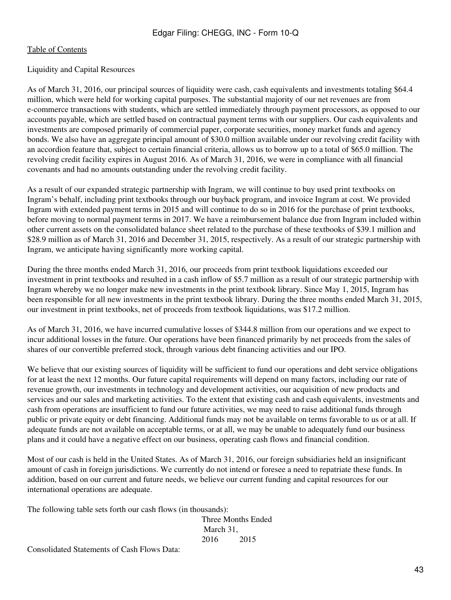#### Liquidity and Capital Resources

As of March 31, 2016, our principal sources of liquidity were cash, cash equivalents and investments totaling \$64.4 million, which were held for working capital purposes. The substantial majority of our net revenues are from e-commerce transactions with students, which are settled immediately through payment processors, as opposed to our accounts payable, which are settled based on contractual payment terms with our suppliers. Our cash equivalents and investments are composed primarily of commercial paper, corporate securities, money market funds and agency bonds. We also have an aggregate principal amount of \$30.0 million available under our revolving credit facility with an accordion feature that, subject to certain financial criteria, allows us to borrow up to a total of \$65.0 million. The revolving credit facility expires in August 2016. As of March 31, 2016, we were in compliance with all financial covenants and had no amounts outstanding under the revolving credit facility.

As a result of our expanded strategic partnership with Ingram, we will continue to buy used print textbooks on Ingram's behalf, including print textbooks through our buyback program, and invoice Ingram at cost. We provided Ingram with extended payment terms in 2015 and will continue to do so in 2016 for the purchase of print textbooks, before moving to normal payment terms in 2017. We have a reimbursement balance due from Ingram included within other current assets on the consolidated balance sheet related to the purchase of these textbooks of \$39.1 million and \$28.9 million as of March 31, 2016 and December 31, 2015, respectively. As a result of our strategic partnership with Ingram, we anticipate having significantly more working capital.

During the three months ended March 31, 2016, our proceeds from print textbook liquidations exceeded our investment in print textbooks and resulted in a cash inflow of \$5.7 million as a result of our strategic partnership with Ingram whereby we no longer make new investments in the print textbook library. Since May 1, 2015, Ingram has been responsible for all new investments in the print textbook library. During the three months ended March 31, 2015, our investment in print textbooks, net of proceeds from textbook liquidations, was \$17.2 million.

As of March 31, 2016, we have incurred cumulative losses of \$344.8 million from our operations and we expect to incur additional losses in the future. Our operations have been financed primarily by net proceeds from the sales of shares of our convertible preferred stock, through various debt financing activities and our IPO.

We believe that our existing sources of liquidity will be sufficient to fund our operations and debt service obligations for at least the next 12 months. Our future capital requirements will depend on many factors, including our rate of revenue growth, our investments in technology and development activities, our acquisition of new products and services and our sales and marketing activities. To the extent that existing cash and cash equivalents, investments and cash from operations are insufficient to fund our future activities, we may need to raise additional funds through public or private equity or debt financing. Additional funds may not be available on terms favorable to us or at all. If adequate funds are not available on acceptable terms, or at all, we may be unable to adequately fund our business plans and it could have a negative effect on our business, operating cash flows and financial condition.

Most of our cash is held in the United States. As of March 31, 2016, our foreign subsidiaries held an insignificant amount of cash in foreign jurisdictions. We currently do not intend or foresee a need to repatriate these funds. In addition, based on our current and future needs, we believe our current funding and capital resources for our international operations are adequate.

The following table sets forth our cash flows (in thousands):

Three Months Ended March 31, 2016 2015

Consolidated Statements of Cash Flows Data: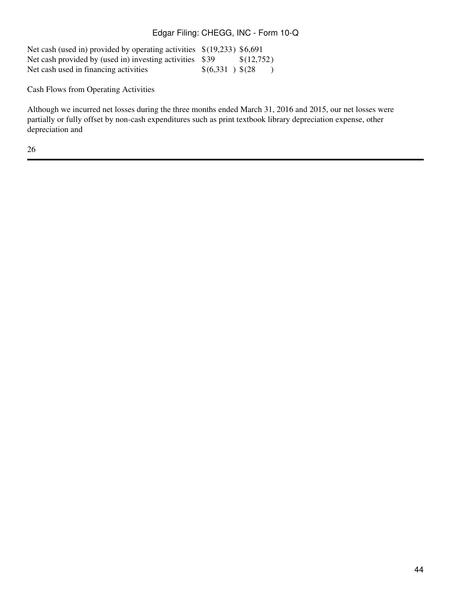| Net cash (used in) provided by operating activities $\{(19,233)$ \$6,691 |                    |            |
|--------------------------------------------------------------------------|--------------------|------------|
| Net cash provided by (used in) investing activities $$39$                |                    | \$(12,752) |
| Net cash used in financing activities                                    | $$(6,331)$ $$(28)$ |            |

Cash Flows from Operating Activities

Although we incurred net losses during the three months ended March 31, 2016 and 2015, our net losses were partially or fully offset by non-cash expenditures such as print textbook library depreciation expense, other depreciation and

26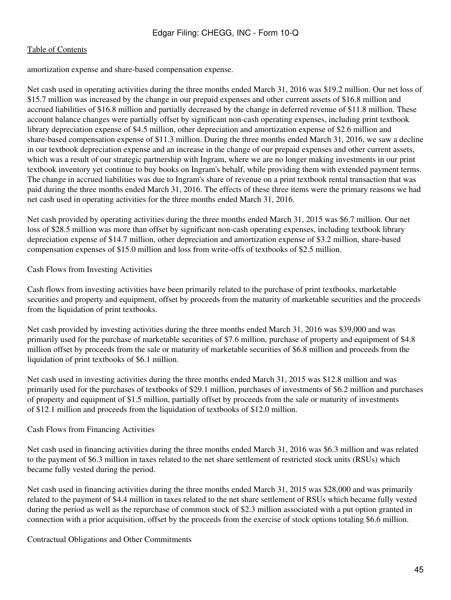amortization expense and share-based compensation expense.

Net cash used in operating activities during the three months ended March 31, 2016 was \$19.2 million. Our net loss of \$15.7 million was increased by the change in our prepaid expenses and other current assets of \$16.8 million and accrued liabilities of \$16.8 million and partially decreased by the change in deferred revenue of \$11.8 million. These account balance changes were partially offset by significant non-cash operating expenses, including print textbook library depreciation expense of \$4.5 million, other depreciation and amortization expense of \$2.6 million and share-based compensation expense of \$11.3 million. During the three months ended March 31, 2016, we saw a decline in our textbook depreciation expense and an increase in the change of our prepaid expenses and other current assets, which was a result of our strategic partnership with Ingram, where we are no longer making investments in our print textbook inventory yet continue to buy books on Ingram's behalf, while providing them with extended payment terms. The change in accrued liabilities was due to Ingram's share of revenue on a print textbook rental transaction that was paid during the three months ended March 31, 2016. The effects of these three items were the primary reasons we had net cash used in operating activities for the three months ended March 31, 2016.

Net cash provided by operating activities during the three months ended March 31, 2015 was \$6.7 million. Our net loss of \$28.5 million was more than offset by significant non-cash operating expenses, including textbook library depreciation expense of \$14.7 million, other depreciation and amortization expense of \$3.2 million, share-based compensation expenses of \$15.0 million and loss from write-offs of textbooks of \$2.5 million.

# Cash Flows from Investing Activities

Cash flows from investing activities have been primarily related to the purchase of print textbooks, marketable securities and property and equipment, offset by proceeds from the maturity of marketable securities and the proceeds from the liquidation of print textbooks.

Net cash provided by investing activities during the three months ended March 31, 2016 was \$39,000 and was primarily used for the purchase of marketable securities of \$7.6 million, purchase of property and equipment of \$4.8 million offset by proceeds from the sale or maturity of marketable securities of \$6.8 million and proceeds from the liquidation of print textbooks of \$6.1 million.

Net cash used in investing activities during the three months ended March 31, 2015 was \$12.8 million and was primarily used for the purchases of textbooks of \$29.1 million, purchases of investments of \$6.2 million and purchases of property and equipment of \$1.5 million, partially offset by proceeds from the sale or maturity of investments of \$12.1 million and proceeds from the liquidation of textbooks of \$12.0 million.

# Cash Flows from Financing Activities

Net cash used in financing activities during the three months ended March 31, 2016 was \$6.3 million and was related to the payment of \$6.3 million in taxes related to the net share settlement of restricted stock units (RSUs) which became fully vested during the period.

Net cash used in financing activities during the three months ended March 31, 2015 was \$28,000 and was primarily related to the payment of \$4.4 million in taxes related to the net share settlement of RSUs which became fully vested during the period as well as the repurchase of common stock of \$2.3 million associated with a put option granted in connection with a prior acquisition, offset by the proceeds from the exercise of stock options totaling \$6.6 million.

# Contractual Obligations and Other Commitments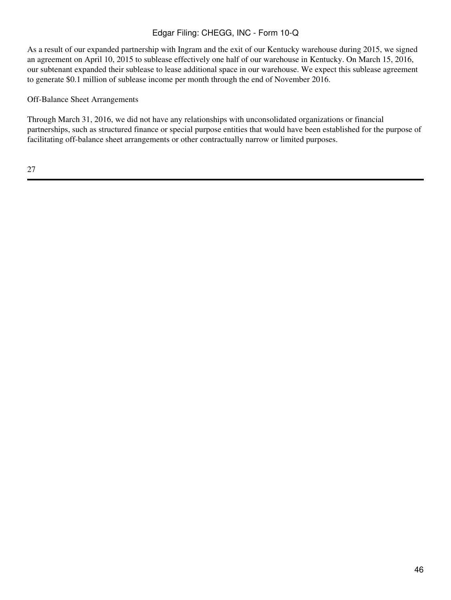As a result of our expanded partnership with Ingram and the exit of our Kentucky warehouse during 2015, we signed an agreement on April 10, 2015 to sublease effectively one half of our warehouse in Kentucky. On March 15, 2016, our subtenant expanded their sublease to lease additional space in our warehouse. We expect this sublease agreement to generate \$0.1 million of sublease income per month through the end of November 2016.

# Off-Balance Sheet Arrangements

Through March 31, 2016, we did not have any relationships with unconsolidated organizations or financial partnerships, such as structured finance or special purpose entities that would have been established for the purpose of facilitating off-balance sheet arrangements or other contractually narrow or limited purposes.

27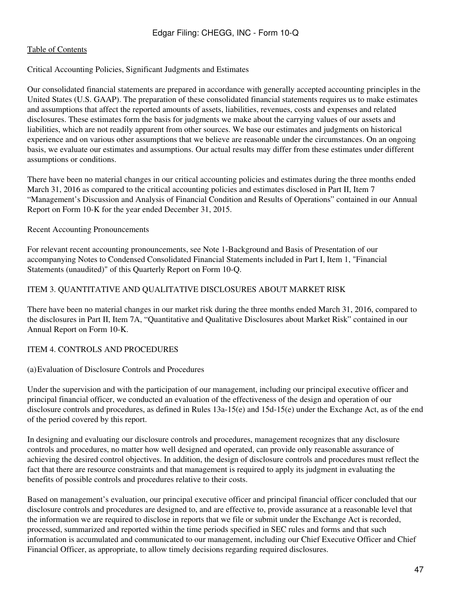#### Critical Accounting Policies, Significant Judgments and Estimates

Our consolidated financial statements are prepared in accordance with generally accepted accounting principles in the United States (U.S. GAAP). The preparation of these consolidated financial statements requires us to make estimates and assumptions that affect the reported amounts of assets, liabilities, revenues, costs and expenses and related disclosures. These estimates form the basis for judgments we make about the carrying values of our assets and liabilities, which are not readily apparent from other sources. We base our estimates and judgments on historical experience and on various other assumptions that we believe are reasonable under the circumstances. On an ongoing basis, we evaluate our estimates and assumptions. Our actual results may differ from these estimates under different assumptions or conditions.

There have been no material changes in our critical accounting policies and estimates during the three months ended March 31, 2016 as compared to the critical accounting policies and estimates disclosed in Part II, Item 7 "Management's Discussion and Analysis of Financial Condition and Results of Operations" contained in our Annual Report on Form 10-K for the year ended December 31, 2015.

### Recent Accounting Pronouncements

For relevant recent accounting pronouncements, see Note 1-Background and Basis of Presentation of our accompanying Notes to Condensed Consolidated Financial Statements included in Part I, Item 1, "Financial Statements (unaudited)" of this Quarterly Report on Form 10-Q.

### ITEM 3. QUANTITATIVE AND QUALITATIVE DISCLOSURES ABOUT MARKET RISK

There have been no material changes in our market risk during the three months ended March 31, 2016, compared to the disclosures in Part II, Item 7A, "Quantitative and Qualitative Disclosures about Market Risk" contained in our Annual Report on Form 10-K.

# ITEM 4. CONTROLS AND PROCEDURES

#### (a)Evaluation of Disclosure Controls and Procedures

Under the supervision and with the participation of our management, including our principal executive officer and principal financial officer, we conducted an evaluation of the effectiveness of the design and operation of our disclosure controls and procedures, as defined in Rules 13a-15(e) and 15d-15(e) under the Exchange Act, as of the end of the period covered by this report.

In designing and evaluating our disclosure controls and procedures, management recognizes that any disclosure controls and procedures, no matter how well designed and operated, can provide only reasonable assurance of achieving the desired control objectives. In addition, the design of disclosure controls and procedures must reflect the fact that there are resource constraints and that management is required to apply its judgment in evaluating the benefits of possible controls and procedures relative to their costs.

Based on management's evaluation, our principal executive officer and principal financial officer concluded that our disclosure controls and procedures are designed to, and are effective to, provide assurance at a reasonable level that the information we are required to disclose in reports that we file or submit under the Exchange Act is recorded, processed, summarized and reported within the time periods specified in SEC rules and forms and that such information is accumulated and communicated to our management, including our Chief Executive Officer and Chief Financial Officer, as appropriate, to allow timely decisions regarding required disclosures.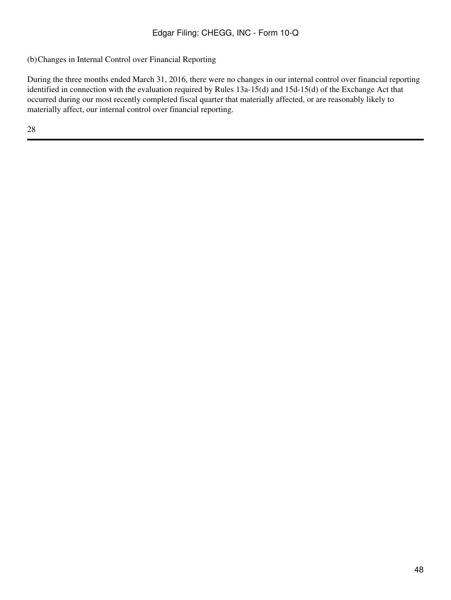(b)Changes in Internal Control over Financial Reporting

During the three months ended March 31, 2016, there were no changes in our internal control over financial reporting identified in connection with the evaluation required by Rules 13a-15(d) and 15d-15(d) of the Exchange Act that occurred during our most recently completed fiscal quarter that materially affected, or are reasonably likely to materially affect, our internal control over financial reporting.

28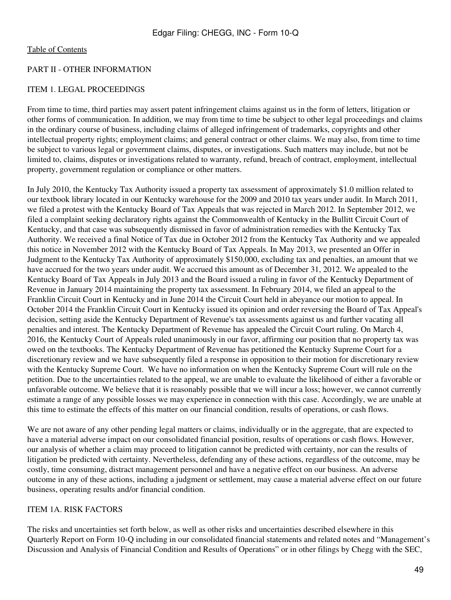#### PART II - OTHER INFORMATION

### ITEM 1. LEGAL PROCEEDINGS

From time to time, third parties may assert patent infringement claims against us in the form of letters, litigation or other forms of communication. In addition, we may from time to time be subject to other legal proceedings and claims in the ordinary course of business, including claims of alleged infringement of trademarks, copyrights and other intellectual property rights; employment claims; and general contract or other claims. We may also, from time to time be subject to various legal or government claims, disputes, or investigations. Such matters may include, but not be limited to, claims, disputes or investigations related to warranty, refund, breach of contract, employment, intellectual property, government regulation or compliance or other matters.

In July 2010, the Kentucky Tax Authority issued a property tax assessment of approximately \$1.0 million related to our textbook library located in our Kentucky warehouse for the 2009 and 2010 tax years under audit. In March 2011, we filed a protest with the Kentucky Board of Tax Appeals that was rejected in March 2012. In September 2012, we filed a complaint seeking declaratory rights against the Commonwealth of Kentucky in the Bullitt Circuit Court of Kentucky, and that case was subsequently dismissed in favor of administration remedies with the Kentucky Tax Authority. We received a final Notice of Tax due in October 2012 from the Kentucky Tax Authority and we appealed this notice in November 2012 with the Kentucky Board of Tax Appeals. In May 2013, we presented an Offer in Judgment to the Kentucky Tax Authority of approximately \$150,000, excluding tax and penalties, an amount that we have accrued for the two years under audit. We accrued this amount as of December 31, 2012. We appealed to the Kentucky Board of Tax Appeals in July 2013 and the Board issued a ruling in favor of the Kentucky Department of Revenue in January 2014 maintaining the property tax assessment. In February 2014, we filed an appeal to the Franklin Circuit Court in Kentucky and in June 2014 the Circuit Court held in abeyance our motion to appeal. In October 2014 the Franklin Circuit Court in Kentucky issued its opinion and order reversing the Board of Tax Appeal's decision, setting aside the Kentucky Department of Revenue's tax assessments against us and further vacating all penalties and interest. The Kentucky Department of Revenue has appealed the Circuit Court ruling. On March 4, 2016, the Kentucky Court of Appeals ruled unanimously in our favor, affirming our position that no property tax was owed on the textbooks. The Kentucky Department of Revenue has petitioned the Kentucky Supreme Court for a discretionary review and we have subsequently filed a response in opposition to their motion for discretionary review with the Kentucky Supreme Court. We have no information on when the Kentucky Supreme Court will rule on the petition. Due to the uncertainties related to the appeal, we are unable to evaluate the likelihood of either a favorable or unfavorable outcome. We believe that it is reasonably possible that we will incur a loss; however, we cannot currently estimate a range of any possible losses we may experience in connection with this case. Accordingly, we are unable at this time to estimate the effects of this matter on our financial condition, results of operations, or cash flows.

We are not aware of any other pending legal matters or claims, individually or in the aggregate, that are expected to have a material adverse impact on our consolidated financial position, results of operations or cash flows. However, our analysis of whether a claim may proceed to litigation cannot be predicted with certainty, nor can the results of litigation be predicted with certainty. Nevertheless, defending any of these actions, regardless of the outcome, may be costly, time consuming, distract management personnel and have a negative effect on our business. An adverse outcome in any of these actions, including a judgment or settlement, may cause a material adverse effect on our future business, operating results and/or financial condition.

# ITEM 1A. RISK FACTORS

The risks and uncertainties set forth below, as well as other risks and uncertainties described elsewhere in this Quarterly Report on Form 10-Q including in our consolidated financial statements and related notes and "Management's Discussion and Analysis of Financial Condition and Results of Operations" or in other filings by Chegg with the SEC,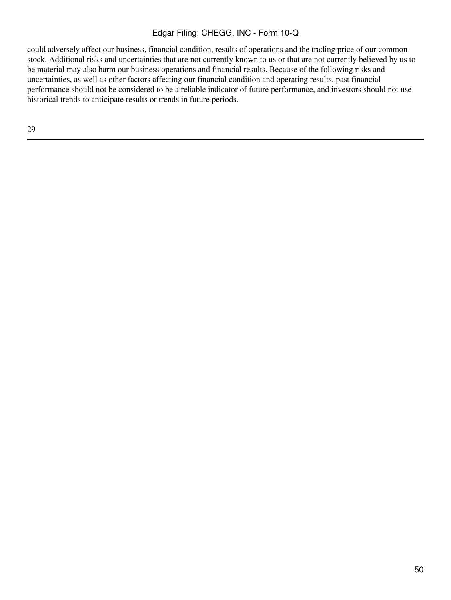could adversely affect our business, financial condition, results of operations and the trading price of our common stock. Additional risks and uncertainties that are not currently known to us or that are not currently believed by us to be material may also harm our business operations and financial results. Because of the following risks and uncertainties, as well as other factors affecting our financial condition and operating results, past financial performance should not be considered to be a reliable indicator of future performance, and investors should not use historical trends to anticipate results or trends in future periods.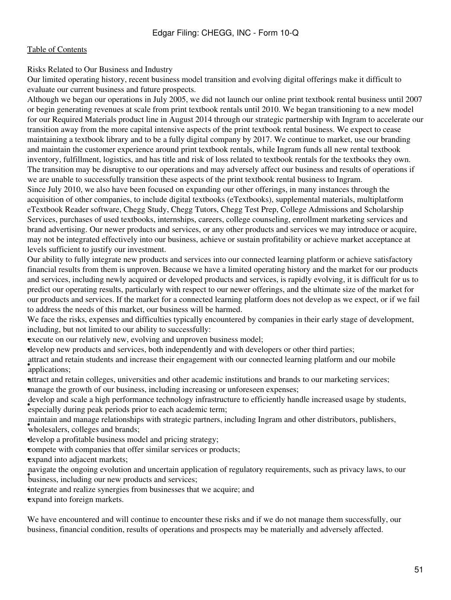Risks Related to Our Business and Industry

Our limited operating history, recent business model transition and evolving digital offerings make it difficult to evaluate our current business and future prospects.

Although we began our operations in July 2005, we did not launch our online print textbook rental business until 2007 or begin generating revenues at scale from print textbook rentals until 2010. We began transitioning to a new model for our Required Materials product line in August 2014 through our strategic partnership with Ingram to accelerate our transition away from the more capital intensive aspects of the print textbook rental business. We expect to cease maintaining a textbook library and to be a fully digital company by 2017. We continue to market, use our branding and maintain the customer experience around print textbook rentals, while Ingram funds all new rental textbook inventory, fulfillment, logistics, and has title and risk of loss related to textbook rentals for the textbooks they own. The transition may be disruptive to our operations and may adversely affect our business and results of operations if we are unable to successfully transition these aspects of the print textbook rental business to Ingram. Since July 2010, we also have been focused on expanding our other offerings, in many instances through the

acquisition of other companies, to include digital textbooks (eTextbooks), supplemental materials, multiplatform eTextbook Reader software, Chegg Study, Chegg Tutors, Chegg Test Prep, College Admissions and Scholarship Services, purchases of used textbooks, internships, careers, college counseling, enrollment marketing services and brand advertising. Our newer products and services, or any other products and services we may introduce or acquire, may not be integrated effectively into our business, achieve or sustain profitability or achieve market acceptance at levels sufficient to justify our investment.

Our ability to fully integrate new products and services into our connected learning platform or achieve satisfactory financial results from them is unproven. Because we have a limited operating history and the market for our products and services, including newly acquired or developed products and services, is rapidly evolving, it is difficult for us to predict our operating results, particularly with respect to our newer offerings, and the ultimate size of the market for our products and services. If the market for a connected learning platform does not develop as we expect, or if we fail to address the needs of this market, our business will be harmed.

We face the risks, expenses and difficulties typically encountered by companies in their early stage of development, including, but not limited to our ability to successfully:

**execute on our relatively new, evolving and unproven business model;** 

•develop new products and services, both independently and with developers or other third parties;

attract and re attract and retain students and increase their engagement with our connected learning platform and our mobile

•attract and retain colleges, universities and other academic institutions and brands to our marketing services; •manage the growth of our business, including increasing or unforeseen expenses;

everop and seale a mgn performance demology influence especially during peak periods prior to each academic term; develop and scale a high performance technology infrastructure to efficiently handle increased usage by students,

wholesalers, colleges and brands; maintain and manage relationships with strategic partners, including Ingram and other distributors, publishers,

•develop a profitable business model and pricing strategy;

•compete with companies that offer similar services or products;

expand into adjacent markets;

*Intergate the ongoing evolution and ancertain appli*navigate the ongoing evolution and uncertain application of regulatory requirements, such as privacy laws, to our

integrate and realize synergies from businesses that we acquire; and

expand into foreign markets.

We have encountered and will continue to encounter these risks and if we do not manage them successfully, our business, financial condition, results of operations and prospects may be materially and adversely affected.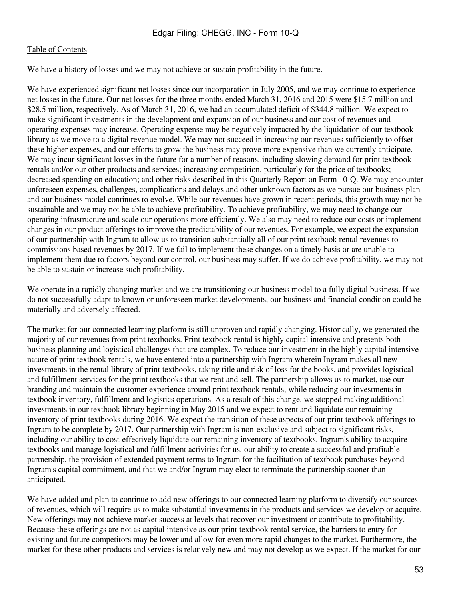We have a history of losses and we may not achieve or sustain profitability in the future.

We have experienced significant net losses since our incorporation in July 2005, and we may continue to experience net losses in the future. Our net losses for the three months ended March 31, 2016 and 2015 were \$15.7 million and \$28.5 million, respectively. As of March 31, 2016, we had an accumulated deficit of \$344.8 million. We expect to make significant investments in the development and expansion of our business and our cost of revenues and operating expenses may increase. Operating expense may be negatively impacted by the liquidation of our textbook library as we move to a digital revenue model. We may not succeed in increasing our revenues sufficiently to offset these higher expenses, and our efforts to grow the business may prove more expensive than we currently anticipate. We may incur significant losses in the future for a number of reasons, including slowing demand for print textbook rentals and/or our other products and services; increasing competition, particularly for the price of textbooks; decreased spending on education; and other risks described in this Quarterly Report on Form 10-Q. We may encounter unforeseen expenses, challenges, complications and delays and other unknown factors as we pursue our business plan and our business model continues to evolve. While our revenues have grown in recent periods, this growth may not be sustainable and we may not be able to achieve profitability. To achieve profitability, we may need to change our operating infrastructure and scale our operations more efficiently. We also may need to reduce our costs or implement changes in our product offerings to improve the predictability of our revenues. For example, we expect the expansion of our partnership with Ingram to allow us to transition substantially all of our print textbook rental revenues to commissions based revenues by 2017. If we fail to implement these changes on a timely basis or are unable to implement them due to factors beyond our control, our business may suffer. If we do achieve profitability, we may not be able to sustain or increase such profitability.

We operate in a rapidly changing market and we are transitioning our business model to a fully digital business. If we do not successfully adapt to known or unforeseen market developments, our business and financial condition could be materially and adversely affected.

The market for our connected learning platform is still unproven and rapidly changing. Historically, we generated the majority of our revenues from print textbooks. Print textbook rental is highly capital intensive and presents both business planning and logistical challenges that are complex. To reduce our investment in the highly capital intensive nature of print textbook rentals, we have entered into a partnership with Ingram wherein Ingram makes all new investments in the rental library of print textbooks, taking title and risk of loss for the books, and provides logistical and fulfillment services for the print textbooks that we rent and sell. The partnership allows us to market, use our branding and maintain the customer experience around print textbook rentals, while reducing our investments in textbook inventory, fulfillment and logistics operations. As a result of this change, we stopped making additional investments in our textbook library beginning in May 2015 and we expect to rent and liquidate our remaining inventory of print textbooks during 2016. We expect the transition of these aspects of our print textbook offerings to Ingram to be complete by 2017. Our partnership with Ingram is non-exclusive and subject to significant risks, including our ability to cost-effectively liquidate our remaining inventory of textbooks, Ingram's ability to acquire textbooks and manage logistical and fulfillment activities for us, our ability to create a successful and profitable partnership, the provision of extended payment terms to Ingram for the facilitation of textbook purchases beyond Ingram's capital commitment, and that we and/or Ingram may elect to terminate the partnership sooner than anticipated.

We have added and plan to continue to add new offerings to our connected learning platform to diversify our sources of revenues, which will require us to make substantial investments in the products and services we develop or acquire. New offerings may not achieve market success at levels that recover our investment or contribute to profitability. Because these offerings are not as capital intensive as our print textbook rental service, the barriers to entry for existing and future competitors may be lower and allow for even more rapid changes to the market. Furthermore, the market for these other products and services is relatively new and may not develop as we expect. If the market for our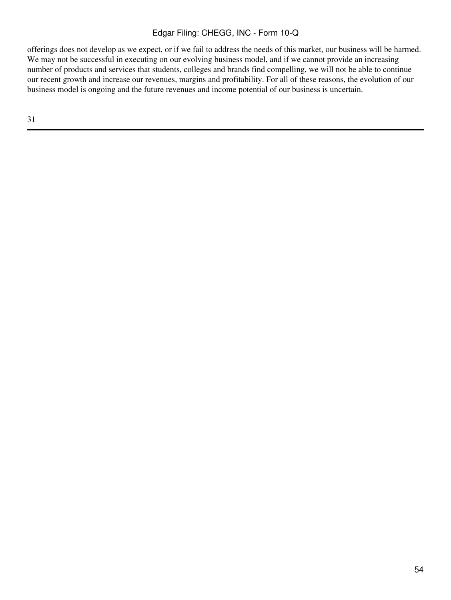offerings does not develop as we expect, or if we fail to address the needs of this market, our business will be harmed. We may not be successful in executing on our evolving business model, and if we cannot provide an increasing number of products and services that students, colleges and brands find compelling, we will not be able to continue our recent growth and increase our revenues, margins and profitability. For all of these reasons, the evolution of our business model is ongoing and the future revenues and income potential of our business is uncertain.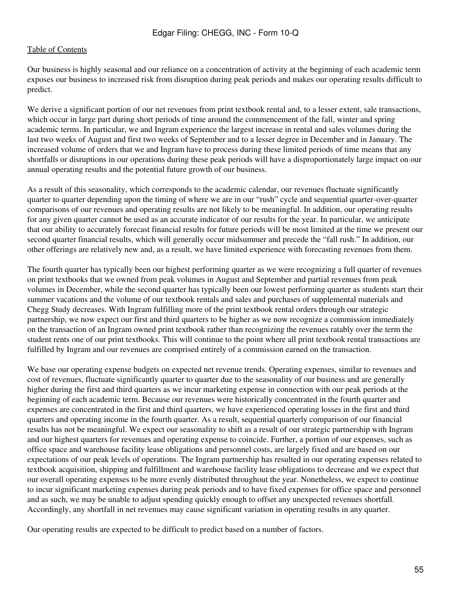Our business is highly seasonal and our reliance on a concentration of activity at the beginning of each academic term exposes our business to increased risk from disruption during peak periods and makes our operating results difficult to predict.

We derive a significant portion of our net revenues from print textbook rental and, to a lesser extent, sale transactions, which occur in large part during short periods of time around the commencement of the fall, winter and spring academic terms. In particular, we and Ingram experience the largest increase in rental and sales volumes during the last two weeks of August and first two weeks of September and to a lesser degree in December and in January. The increased volume of orders that we and Ingram have to process during these limited periods of time means that any shortfalls or disruptions in our operations during these peak periods will have a disproportionately large impact on our annual operating results and the potential future growth of our business.

As a result of this seasonality, which corresponds to the academic calendar, our revenues fluctuate significantly quarter to quarter depending upon the timing of where we are in our "rush" cycle and sequential quarter-over-quarter comparisons of our revenues and operating results are not likely to be meaningful. In addition, our operating results for any given quarter cannot be used as an accurate indicator of our results for the year. In particular, we anticipate that our ability to accurately forecast financial results for future periods will be most limited at the time we present our second quarter financial results, which will generally occur midsummer and precede the "fall rush." In addition, our other offerings are relatively new and, as a result, we have limited experience with forecasting revenues from them.

The fourth quarter has typically been our highest performing quarter as we were recognizing a full quarter of revenues on print textbooks that we owned from peak volumes in August and September and partial revenues from peak volumes in December, while the second quarter has typically been our lowest performing quarter as students start their summer vacations and the volume of our textbook rentals and sales and purchases of supplemental materials and Chegg Study decreases. With Ingram fulfilling more of the print textbook rental orders through our strategic partnership, we now expect our first and third quarters to be higher as we now recognize a commission immediately on the transaction of an Ingram owned print textbook rather than recognizing the revenues ratably over the term the student rents one of our print textbooks. This will continue to the point where all print textbook rental transactions are fulfilled by Ingram and our revenues are comprised entirely of a commission earned on the transaction.

We base our operating expense budgets on expected net revenue trends. Operating expenses, similar to revenues and cost of revenues, fluctuate significantly quarter to quarter due to the seasonality of our business and are generally higher during the first and third quarters as we incur marketing expense in connection with our peak periods at the beginning of each academic term. Because our revenues were historically concentrated in the fourth quarter and expenses are concentrated in the first and third quarters, we have experienced operating losses in the first and third quarters and operating income in the fourth quarter. As a result, sequential quarterly comparison of our financial results has not be meaningful. We expect our seasonality to shift as a result of our strategic partnership with Ingram and our highest quarters for revenues and operating expense to coincide. Further, a portion of our expenses, such as office space and warehouse facility lease obligations and personnel costs, are largely fixed and are based on our expectations of our peak levels of operations. The Ingram partnership has resulted in our operating expenses related to textbook acquisition, shipping and fulfillment and warehouse facility lease obligations to decrease and we expect that our overall operating expenses to be more evenly distributed throughout the year. Nonetheless, we expect to continue to incur significant marketing expenses during peak periods and to have fixed expenses for office space and personnel and as such, we may be unable to adjust spending quickly enough to offset any unexpected revenues shortfall. Accordingly, any shortfall in net revenues may cause significant variation in operating results in any quarter.

Our operating results are expected to be difficult to predict based on a number of factors.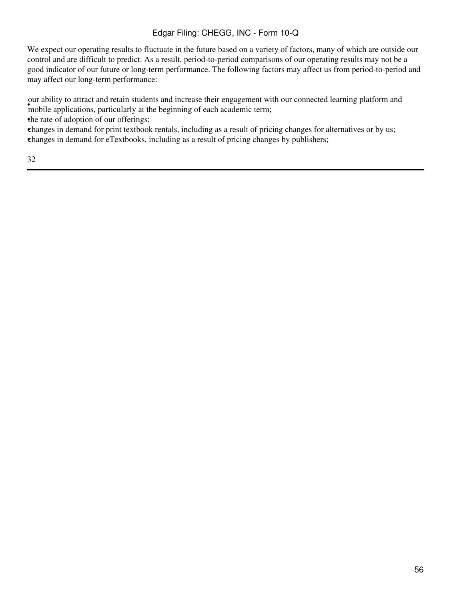We expect our operating results to fluctuate in the future based on a variety of factors, many of which are outside our control and are difficult to predict. As a result, period-to-period comparisons of our operating results may not be a good indicator of our future or long-term performance. The following factors may affect us from period-to-period and may affect our long-term performance:

was about a complex of the beginning of each academic term; our ability to attract and retain students and increase their engagement with our connected learning platform and

the rate of adoption of our offerings;

•changes in demand for print textbook rentals, including as a result of pricing changes for alternatives or by us; •changes in demand for eTextbooks, including as a result of pricing changes by publishers;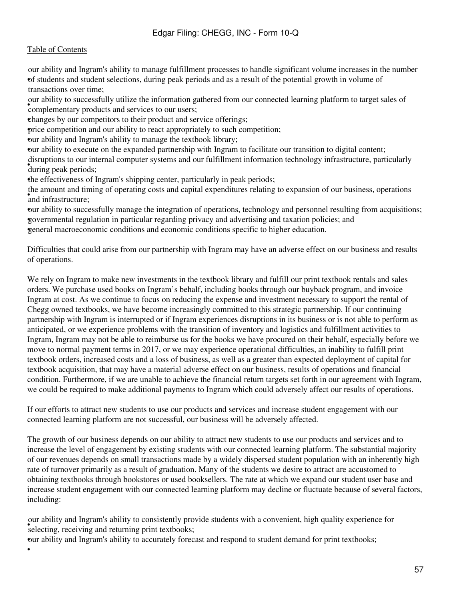•

• of students and student selections, during peak periods and as a result of the potential growth in volume of our ability and Ingram's ability to manage fulfillment processes to handle significant volume increases in the number transactions over time;

car abiny to successiany unified the information geomplementary products and services to our users; our ability to successfully utilize the information gathered from our connected learning platform to target sales of

•changes by our competitors to their product and service offerings;

•price competition and our ability to react appropriately to such competition;

•our ability and Ingram's ability to manage the textbook library;

•our ability to execute on the expanded partnership with Ingram to facilitate our transition to digital content; during peak periods; disruptions to our internal computer systems and our fulfillment information technology infrastructure, particularly

•the effectiveness of Ingram's shipping center, particularly in peak periods;

and infrastructure; the amount and timing of operating costs and capital expenditures relating to expansion of our business, operations

•our ability to successfully manage the integration of operations, technology and personnel resulting from acquisitions; •governmental regulation in particular regarding privacy and advertising and taxation policies; and •general macroeconomic conditions and economic conditions specific to higher education.

Difficulties that could arise from our partnership with Ingram may have an adverse effect on our business and results of operations.

We rely on Ingram to make new investments in the textbook library and fulfill our print textbook rentals and sales orders. We purchase used books on Ingram's behalf, including books through our buyback program, and invoice Ingram at cost. As we continue to focus on reducing the expense and investment necessary to support the rental of Chegg owned textbooks, we have become increasingly committed to this strategic partnership. If our continuing partnership with Ingram is interrupted or if Ingram experiences disruptions in its business or is not able to perform as anticipated, or we experience problems with the transition of inventory and logistics and fulfillment activities to Ingram, Ingram may not be able to reimburse us for the books we have procured on their behalf, especially before we move to normal payment terms in 2017, or we may experience operational difficulties, an inability to fulfill print textbook orders, increased costs and a loss of business, as well as a greater than expected deployment of capital for textbook acquisition, that may have a material adverse effect on our business, results of operations and financial condition. Furthermore, if we are unable to achieve the financial return targets set forth in our agreement with Ingram, we could be required to make additional payments to Ingram which could adversely affect our results of operations.

If our efforts to attract new students to use our products and services and increase student engagement with our connected learning platform are not successful, our business will be adversely affected.

The growth of our business depends on our ability to attract new students to use our products and services and to increase the level of engagement by existing students with our connected learning platform. The substantial majority of our revenues depends on small transactions made by a widely dispersed student population with an inherently high rate of turnover primarily as a result of graduation. Many of the students we desire to attract are accustomed to obtaining textbooks through bookstores or used booksellers. The rate at which we expand our student user base and increase student engagement with our connected learning platform may decline or fluctuate because of several factors, including:

ed about and infinite stating to consistently provided in the selecting, receiving and returning print textbooks; our ability and Ingram's ability to consistently provide students with a convenient, high quality experience for

•our ability and Ingram's ability to accurately forecast and respond to student demand for print textbooks;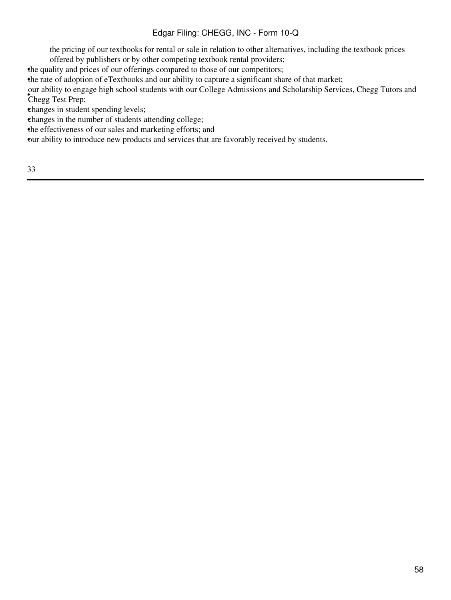the pricing of our textbooks for rental or sale in relation to other alternatives, including the textbook prices offered by publishers or by other competing textbook rental providers;

•the quality and prices of our offerings compared to those of our competitors;

•the rate of adoption of eTextbooks and our ability to capture a significant share of that market;

Chegg Test Prep; our ability to engage high school students with our College Admissions and Scholarship Services, Chegg Tutors and

•changes in student spending levels;

•changes in the number of students attending college;

•the effectiveness of our sales and marketing efforts; and

•our ability to introduce new products and services that are favorably received by students.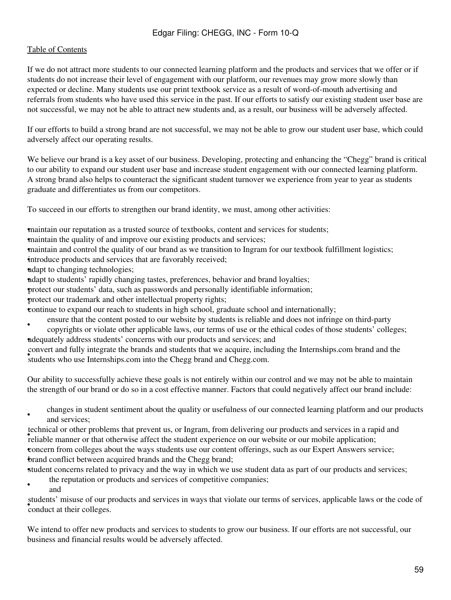### [Table of Contents](#page-2-0)

If we do not attract more students to our connected learning platform and the products and services that we offer or if students do not increase their level of engagement with our platform, our revenues may grow more slowly than expected or decline. Many students use our print textbook service as a result of word-of-mouth advertising and referrals from students who have used this service in the past. If our efforts to satisfy our existing student user base are not successful, we may not be able to attract new students and, as a result, our business will be adversely affected.

If our efforts to build a strong brand are not successful, we may not be able to grow our student user base, which could adversely affect our operating results.

We believe our brand is a key asset of our business. Developing, protecting and enhancing the "Chegg" brand is critical to our ability to expand our student user base and increase student engagement with our connected learning platform. A strong brand also helps to counteract the significant student turnover we experience from year to year as students graduate and differentiates us from our competitors.

To succeed in our efforts to strengthen our brand identity, we must, among other activities:

•maintain our reputation as a trusted source of textbooks, content and services for students;

•maintain the quality of and improve our existing products and services;

•maintain and control the quality of our brand as we transition to Ingram for our textbook fulfillment logistics;

introduce products and services that are favorably received;

•adapt to changing technologies;

•adapt to students' rapidly changing tastes, preferences, behavior and brand loyalties;

•protect our students' data, such as passwords and personally identifiable information;

•protect our trademark and other intellectual property rights;

•continue to expand our reach to students in high school, graduate school and internationally;

- ensure that the content posted to our website by students is reliable and does not infringe on third-party
- copyrights or violate other applicable laws, our terms of use or the ethical codes of those students' colleges; •adequately address students' concerns with our products and services; and

students who use Internships.com into the Chegg brand and Chegg.com. convert and fully integrate the brands and students that we acquire, including the Internships.com brand and the

Our ability to successfully achieve these goals is not entirely within our control and we may not be able to maintain the strength of our brand or do so in a cost effective manner. Factors that could negatively affect our brand include:

• changes in student sentiment about the quality or usefulness of our connected learning platform and our products and services;

reliable manner or that otherwise affect the student experience on our website or our mobile application; technical or other problems that prevent us, or Ingram, from delivering our products and services in a rapid and •concern from colleges about the ways students use our content offerings, such as our Expert Answers service; •brand conflict between acquired brands and the Chegg brand;

•student concerns related to privacy and the way in which we use student data as part of our products and services;

- the reputation or products and services of competitive companies;
- and

• conduct at their colleges. students' misuse of our products and services in ways that violate our terms of services, applicable laws or the code of

We intend to offer new products and services to students to grow our business. If our efforts are not successful, our business and financial results would be adversely affected.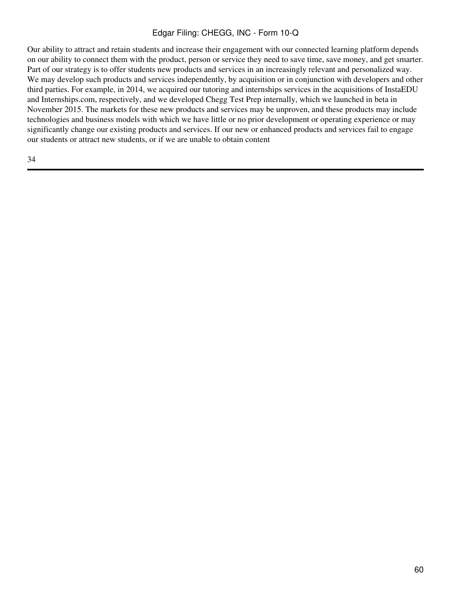Our ability to attract and retain students and increase their engagement with our connected learning platform depends on our ability to connect them with the product, person or service they need to save time, save money, and get smarter. Part of our strategy is to offer students new products and services in an increasingly relevant and personalized way. We may develop such products and services independently, by acquisition or in conjunction with developers and other third parties. For example, in 2014, we acquired our tutoring and internships services in the acquisitions of InstaEDU and Internships.com, respectively, and we developed Chegg Test Prep internally, which we launched in beta in November 2015. The markets for these new products and services may be unproven, and these products may include technologies and business models with which we have little or no prior development or operating experience or may significantly change our existing products and services. If our new or enhanced products and services fail to engage our students or attract new students, or if we are unable to obtain content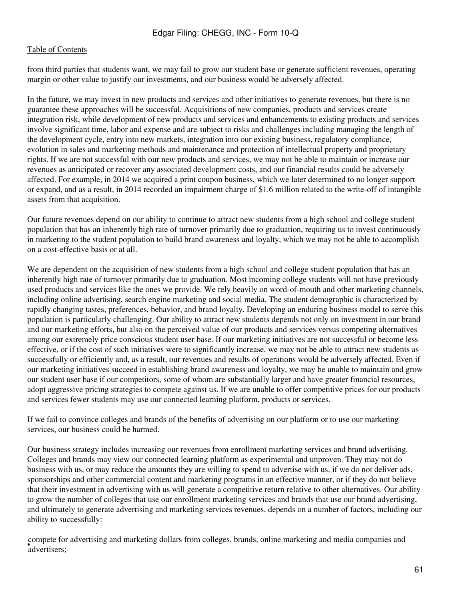from third parties that students want, we may fail to grow our student base or generate sufficient revenues, operating margin or other value to justify our investments, and our business would be adversely affected.

In the future, we may invest in new products and services and other initiatives to generate revenues, but there is no guarantee these approaches will be successful. Acquisitions of new companies, products and services create integration risk, while development of new products and services and enhancements to existing products and services involve significant time, labor and expense and are subject to risks and challenges including managing the length of the development cycle, entry into new markets, integration into our existing business, regulatory compliance, evolution in sales and marketing methods and maintenance and protection of intellectual property and proprietary rights. If we are not successful with our new products and services, we may not be able to maintain or increase our revenues as anticipated or recover any associated development costs, and our financial results could be adversely affected. For example, in 2014 we acquired a print coupon business, which we later determined to no longer support or expand, and as a result, in 2014 recorded an impairment charge of \$1.6 million related to the write-off of intangible assets from that acquisition.

Our future revenues depend on our ability to continue to attract new students from a high school and college student population that has an inherently high rate of turnover primarily due to graduation, requiring us to invest continuously in marketing to the student population to build brand awareness and loyalty, which we may not be able to accomplish on a cost-effective basis or at all.

We are dependent on the acquisition of new students from a high school and college student population that has an inherently high rate of turnover primarily due to graduation. Most incoming college students will not have previously used products and services like the ones we provide. We rely heavily on word-of-mouth and other marketing channels, including online advertising, search engine marketing and social media. The student demographic is characterized by rapidly changing tastes, preferences, behavior, and brand loyalty. Developing an enduring business model to serve this population is particularly challenging. Our ability to attract new students depends not only on investment in our brand and our marketing efforts, but also on the perceived value of our products and services versus competing alternatives among our extremely price conscious student user base. If our marketing initiatives are not successful or become less effective, or if the cost of such initiatives were to significantly increase, we may not be able to attract new students as successfully or efficiently and, as a result, our revenues and results of operations would be adversely affected. Even if our marketing initiatives succeed in establishing brand awareness and loyalty, we may be unable to maintain and grow our student user base if our competitors, some of whom are substantially larger and have greater financial resources, adopt aggressive pricing strategies to compete against us. If we are unable to offer competitive prices for our products and services fewer students may use our connected learning platform, products or services.

If we fail to convince colleges and brands of the benefits of advertising on our platform or to use our marketing services, our business could be harmed.

Our business strategy includes increasing our revenues from enrollment marketing services and brand advertising. Colleges and brands may view our connected learning platform as experimental and unproven. They may not do business with us, or may reduce the amounts they are willing to spend to advertise with us, if we do not deliver ads, sponsorships and other commercial content and marketing programs in an effective manner, or if they do not believe that their investment in advertising with us will generate a competitive return relative to other alternatives. Our ability to grow the number of colleges that use our enrollment marketing services and brands that use our brand advertising, and ultimately to generate advertising and marketing services revenues, depends on a number of factors, including our ability to successfully:

• advertisers; compete for advertising and marketing dollars from colleges, brands, online marketing and media companies and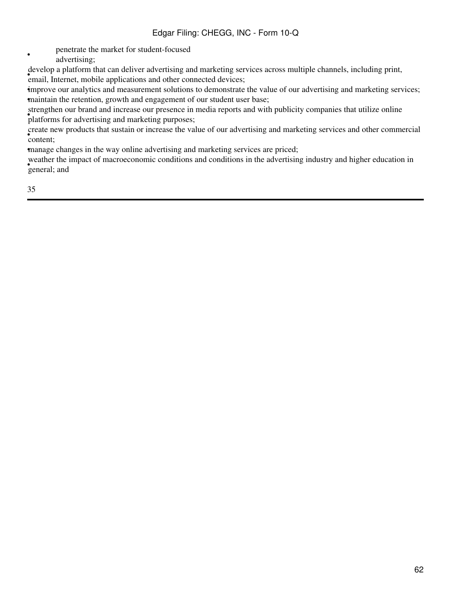- penetrate the market for student-focused
	- advertising;

end a pharonic that can deriver developing and marketing set develop a platform that can deliver advertising and marketing services across multiple channels, including print,

•improve our analytics and measurement solutions to demonstrate the value of our advertising and marketing services; •maintain the retention, growth and engagement of our student user base;

• platforms for advertising and marketing purposes; strengthen our brand and increase our presence in media reports and with publicity companies that utilize online

• content; create new products that sustain or increase the value of our advertising and marketing services and other commercial

•manage changes in the way online advertising and marketing services are priced;

• general; and weather the impact of macroeconomic conditions and conditions in the advertising industry and higher education in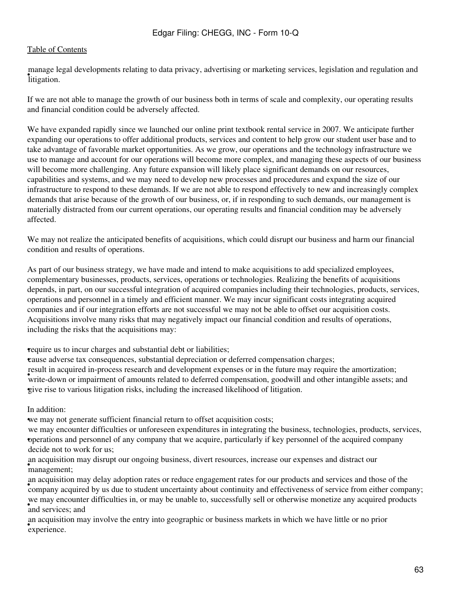• litigation. manage legal developments relating to data privacy, advertising or marketing services, legislation and regulation and

If we are not able to manage the growth of our business both in terms of scale and complexity, our operating results and financial condition could be adversely affected.

We have expanded rapidly since we launched our online print textbook rental service in 2007. We anticipate further expanding our operations to offer additional products, services and content to help grow our student user base and to take advantage of favorable market opportunities. As we grow, our operations and the technology infrastructure we use to manage and account for our operations will become more complex, and managing these aspects of our business will become more challenging. Any future expansion will likely place significant demands on our resources, capabilities and systems, and we may need to develop new processes and procedures and expand the size of our infrastructure to respond to these demands. If we are not able to respond effectively to new and increasingly complex demands that arise because of the growth of our business, or, if in responding to such demands, our management is materially distracted from our current operations, our operating results and financial condition may be adversely affected.

We may not realize the anticipated benefits of acquisitions, which could disrupt our business and harm our financial condition and results of operations.

As part of our business strategy, we have made and intend to make acquisitions to add specialized employees, complementary businesses, products, services, operations or technologies. Realizing the benefits of acquisitions depends, in part, on our successful integration of acquired companies including their technologies, products, services, operations and personnel in a timely and efficient manner. We may incur significant costs integrating acquired companies and if our integration efforts are not successful we may not be able to offset our acquisition costs. Acquisitions involve many risks that may negatively impact our financial condition and results of operations, including the risks that the acquisitions may:

•require us to incur charges and substantial debt or liabilities;

•cause adverse tax consequences, substantial depreciation or deferred compensation charges;

Fourt in acquired in process research and development expenses of in the rature may require the amortization,<br>write-down or impairment of amounts related to deferred compensation, goodwill and other intangible assets; and result in acquired in-process research and development expenses or in the future may require the amortization; •give rise to various litigation risks, including the increased likelihood of litigation.

#### In addition:

•we may not generate sufficient financial return to offset acquisition costs;

• operations and personnel of any company that we acquire, particularly if key personnel of the acquired company we may encounter difficulties or unforeseen expenditures in integrating the business, technologies, products, services, decide not to work for us;

• management; an acquisition may disrupt our ongoing business, divert resources, increase our expenses and distract our

an acquisition may delay adoption rates or reduce engagement rates for our products and services and diose or the<br>company acquired by us due to student uncertainty about continuity and effectiveness of service from either an acquisition may delay adoption rates or reduce engagement rates for our products and services and those of the <sup>•</sup> and services; and we may encounter difficulties in, or may be unable to, successfully sell or otherwise monetize any acquired products

• experience. an acquisition may involve the entry into geographic or business markets in which we have little or no prior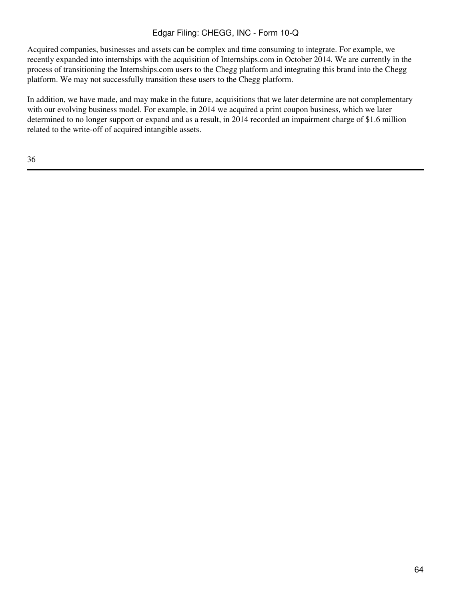Acquired companies, businesses and assets can be complex and time consuming to integrate. For example, we recently expanded into internships with the acquisition of Internships.com in October 2014. We are currently in the process of transitioning the Internships.com users to the Chegg platform and integrating this brand into the Chegg platform. We may not successfully transition these users to the Chegg platform.

In addition, we have made, and may make in the future, acquisitions that we later determine are not complementary with our evolving business model. For example, in 2014 we acquired a print coupon business, which we later determined to no longer support or expand and as a result, in 2014 recorded an impairment charge of \$1.6 million related to the write-off of acquired intangible assets.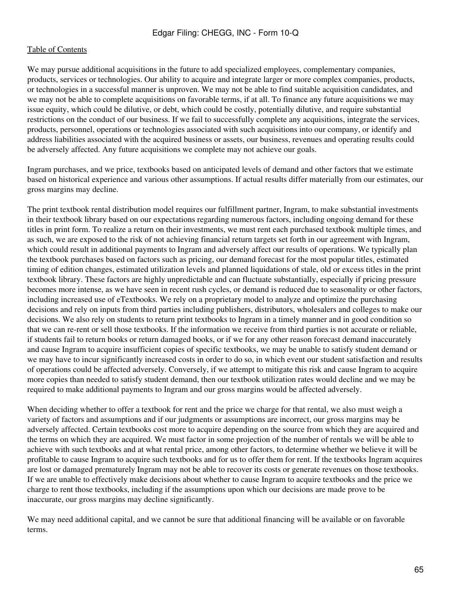We may pursue additional acquisitions in the future to add specialized employees, complementary companies, products, services or technologies. Our ability to acquire and integrate larger or more complex companies, products, or technologies in a successful manner is unproven. We may not be able to find suitable acquisition candidates, and we may not be able to complete acquisitions on favorable terms, if at all. To finance any future acquisitions we may issue equity, which could be dilutive, or debt, which could be costly, potentially dilutive, and require substantial restrictions on the conduct of our business. If we fail to successfully complete any acquisitions, integrate the services, products, personnel, operations or technologies associated with such acquisitions into our company, or identify and address liabilities associated with the acquired business or assets, our business, revenues and operating results could be adversely affected. Any future acquisitions we complete may not achieve our goals.

Ingram purchases, and we price, textbooks based on anticipated levels of demand and other factors that we estimate based on historical experience and various other assumptions. If actual results differ materially from our estimates, our gross margins may decline.

The print textbook rental distribution model requires our fulfillment partner, Ingram, to make substantial investments in their textbook library based on our expectations regarding numerous factors, including ongoing demand for these titles in print form. To realize a return on their investments, we must rent each purchased textbook multiple times, and as such, we are exposed to the risk of not achieving financial return targets set forth in our agreement with Ingram, which could result in additional payments to Ingram and adversely affect our results of operations. We typically plan the textbook purchases based on factors such as pricing, our demand forecast for the most popular titles, estimated timing of edition changes, estimated utilization levels and planned liquidations of stale, old or excess titles in the print textbook library. These factors are highly unpredictable and can fluctuate substantially, especially if pricing pressure becomes more intense, as we have seen in recent rush cycles, or demand is reduced due to seasonality or other factors, including increased use of eTextbooks. We rely on a proprietary model to analyze and optimize the purchasing decisions and rely on inputs from third parties including publishers, distributors, wholesalers and colleges to make our decisions. We also rely on students to return print textbooks to Ingram in a timely manner and in good condition so that we can re-rent or sell those textbooks. If the information we receive from third parties is not accurate or reliable, if students fail to return books or return damaged books, or if we for any other reason forecast demand inaccurately and cause Ingram to acquire insufficient copies of specific textbooks, we may be unable to satisfy student demand or we may have to incur significantly increased costs in order to do so, in which event our student satisfaction and results of operations could be affected adversely. Conversely, if we attempt to mitigate this risk and cause Ingram to acquire more copies than needed to satisfy student demand, then our textbook utilization rates would decline and we may be required to make additional payments to Ingram and our gross margins would be affected adversely.

When deciding whether to offer a textbook for rent and the price we charge for that rental, we also must weigh a variety of factors and assumptions and if our judgments or assumptions are incorrect, our gross margins may be adversely affected. Certain textbooks cost more to acquire depending on the source from which they are acquired and the terms on which they are acquired. We must factor in some projection of the number of rentals we will be able to achieve with such textbooks and at what rental price, among other factors, to determine whether we believe it will be profitable to cause Ingram to acquire such textbooks and for us to offer them for rent. If the textbooks Ingram acquires are lost or damaged prematurely Ingram may not be able to recover its costs or generate revenues on those textbooks. If we are unable to effectively make decisions about whether to cause Ingram to acquire textbooks and the price we charge to rent those textbooks, including if the assumptions upon which our decisions are made prove to be inaccurate, our gross margins may decline significantly.

We may need additional capital, and we cannot be sure that additional financing will be available or on favorable terms.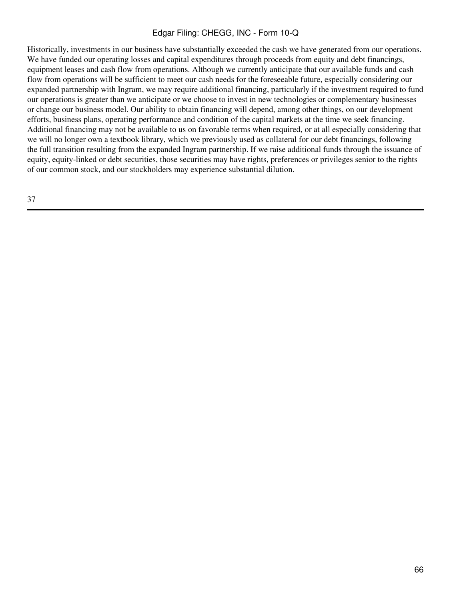Historically, investments in our business have substantially exceeded the cash we have generated from our operations. We have funded our operating losses and capital expenditures through proceeds from equity and debt financings, equipment leases and cash flow from operations. Although we currently anticipate that our available funds and cash flow from operations will be sufficient to meet our cash needs for the foreseeable future, especially considering our expanded partnership with Ingram, we may require additional financing, particularly if the investment required to fund our operations is greater than we anticipate or we choose to invest in new technologies or complementary businesses or change our business model. Our ability to obtain financing will depend, among other things, on our development efforts, business plans, operating performance and condition of the capital markets at the time we seek financing. Additional financing may not be available to us on favorable terms when required, or at all especially considering that we will no longer own a textbook library, which we previously used as collateral for our debt financings, following the full transition resulting from the expanded Ingram partnership. If we raise additional funds through the issuance of equity, equity-linked or debt securities, those securities may have rights, preferences or privileges senior to the rights of our common stock, and our stockholders may experience substantial dilution.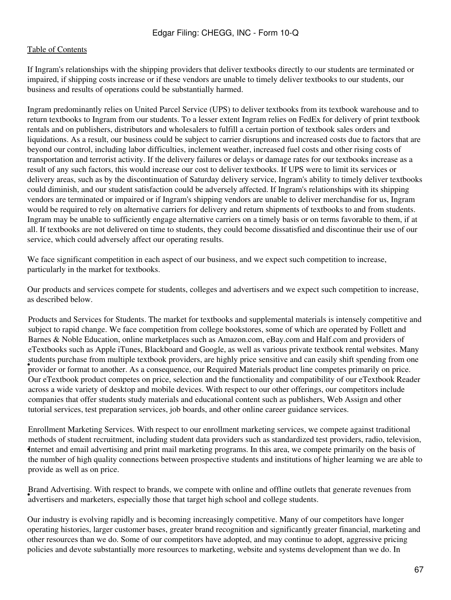If Ingram's relationships with the shipping providers that deliver textbooks directly to our students are terminated or impaired, if shipping costs increase or if these vendors are unable to timely deliver textbooks to our students, our business and results of operations could be substantially harmed.

Ingram predominantly relies on United Parcel Service (UPS) to deliver textbooks from its textbook warehouse and to return textbooks to Ingram from our students. To a lesser extent Ingram relies on FedEx for delivery of print textbook rentals and on publishers, distributors and wholesalers to fulfill a certain portion of textbook sales orders and liquidations. As a result, our business could be subject to carrier disruptions and increased costs due to factors that are beyond our control, including labor difficulties, inclement weather, increased fuel costs and other rising costs of transportation and terrorist activity. If the delivery failures or delays or damage rates for our textbooks increase as a result of any such factors, this would increase our cost to deliver textbooks. If UPS were to limit its services or delivery areas, such as by the discontinuation of Saturday delivery service, Ingram's ability to timely deliver textbooks could diminish, and our student satisfaction could be adversely affected. If Ingram's relationships with its shipping vendors are terminated or impaired or if Ingram's shipping vendors are unable to deliver merchandise for us, Ingram would be required to rely on alternative carriers for delivery and return shipments of textbooks to and from students. Ingram may be unable to sufficiently engage alternative carriers on a timely basis or on terms favorable to them, if at all. If textbooks are not delivered on time to students, they could become dissatisfied and discontinue their use of our service, which could adversely affect our operating results.

We face significant competition in each aspect of our business, and we expect such competition to increase, particularly in the market for textbooks.

Our products and services compete for students, colleges and advertisers and we expect such competition to increase, as described below.

• provider or format to another. As a consequence, our Required Materials product line competes primarily on price. Products and Services for Students. The market for textbooks and supplemental materials is intensely competitive and subject to rapid change. We face competition from college bookstores, some of which are operated by Follett and Barnes & Noble Education, online marketplaces such as Amazon.com, eBay.com and Half.com and providers of eTextbooks such as Apple iTunes, Blackboard and Google, as well as various private textbook rental websites. Many students purchase from multiple textbook providers, are highly price sensitive and can easily shift spending from one Our eTextbook product competes on price, selection and the functionality and compatibility of our eTextbook Reader across a wide variety of desktop and mobile devices. With respect to our other offerings, our competitors include companies that offer students study materials and educational content such as publishers, Web Assign and other tutorial services, test preparation services, job boards, and other online career guidance services.

Internet and email advertising and print mail marketing programs. In this area, we compete primarily on the basis of Enrollment Marketing Services. With respect to our enrollment marketing services, we compete against traditional methods of student recruitment, including student data providers such as standardized test providers, radio, television, the number of high quality connections between prospective students and institutions of higher learning we are able to provide as well as on price.

France Advertising. While respect to brands, we compete while official divertisers and marketers, especially those that target high school and college students. Brand Advertising. With respect to brands, we compete with online and offline outlets that generate revenues from

Our industry is evolving rapidly and is becoming increasingly competitive. Many of our competitors have longer operating histories, larger customer bases, greater brand recognition and significantly greater financial, marketing and other resources than we do. Some of our competitors have adopted, and may continue to adopt, aggressive pricing policies and devote substantially more resources to marketing, website and systems development than we do. In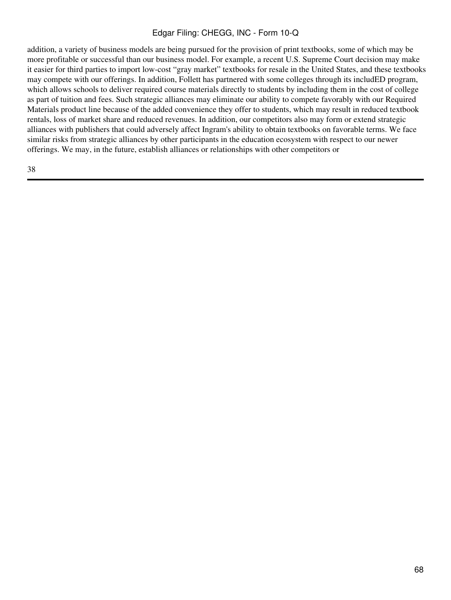addition, a variety of business models are being pursued for the provision of print textbooks, some of which may be more profitable or successful than our business model. For example, a recent U.S. Supreme Court decision may make it easier for third parties to import low-cost "gray market" textbooks for resale in the United States, and these textbooks may compete with our offerings. In addition, Follett has partnered with some colleges through its includED program, which allows schools to deliver required course materials directly to students by including them in the cost of college as part of tuition and fees. Such strategic alliances may eliminate our ability to compete favorably with our Required Materials product line because of the added convenience they offer to students, which may result in reduced textbook rentals, loss of market share and reduced revenues. In addition, our competitors also may form or extend strategic alliances with publishers that could adversely affect Ingram's ability to obtain textbooks on favorable terms. We face similar risks from strategic alliances by other participants in the education ecosystem with respect to our newer offerings. We may, in the future, establish alliances or relationships with other competitors or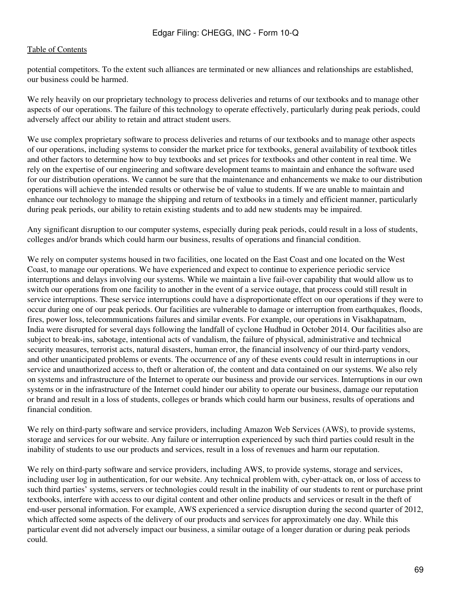potential competitors. To the extent such alliances are terminated or new alliances and relationships are established, our business could be harmed.

We rely heavily on our proprietary technology to process deliveries and returns of our textbooks and to manage other aspects of our operations. The failure of this technology to operate effectively, particularly during peak periods, could adversely affect our ability to retain and attract student users.

We use complex proprietary software to process deliveries and returns of our textbooks and to manage other aspects of our operations, including systems to consider the market price for textbooks, general availability of textbook titles and other factors to determine how to buy textbooks and set prices for textbooks and other content in real time. We rely on the expertise of our engineering and software development teams to maintain and enhance the software used for our distribution operations. We cannot be sure that the maintenance and enhancements we make to our distribution operations will achieve the intended results or otherwise be of value to students. If we are unable to maintain and enhance our technology to manage the shipping and return of textbooks in a timely and efficient manner, particularly during peak periods, our ability to retain existing students and to add new students may be impaired.

Any significant disruption to our computer systems, especially during peak periods, could result in a loss of students, colleges and/or brands which could harm our business, results of operations and financial condition.

We rely on computer systems housed in two facilities, one located on the East Coast and one located on the West Coast, to manage our operations. We have experienced and expect to continue to experience periodic service interruptions and delays involving our systems. While we maintain a live fail-over capability that would allow us to switch our operations from one facility to another in the event of a service outage, that process could still result in service interruptions. These service interruptions could have a disproportionate effect on our operations if they were to occur during one of our peak periods. Our facilities are vulnerable to damage or interruption from earthquakes, floods, fires, power loss, telecommunications failures and similar events. For example, our operations in Visakhapatnam, India were disrupted for several days following the landfall of cyclone Hudhud in October 2014. Our facilities also are subject to break-ins, sabotage, intentional acts of vandalism, the failure of physical, administrative and technical security measures, terrorist acts, natural disasters, human error, the financial insolvency of our third-party vendors, and other unanticipated problems or events. The occurrence of any of these events could result in interruptions in our service and unauthorized access to, theft or alteration of, the content and data contained on our systems. We also rely on systems and infrastructure of the Internet to operate our business and provide our services. Interruptions in our own systems or in the infrastructure of the Internet could hinder our ability to operate our business, damage our reputation or brand and result in a loss of students, colleges or brands which could harm our business, results of operations and financial condition.

We rely on third-party software and service providers, including Amazon Web Services (AWS), to provide systems, storage and services for our website. Any failure or interruption experienced by such third parties could result in the inability of students to use our products and services, result in a loss of revenues and harm our reputation.

We rely on third-party software and service providers, including AWS, to provide systems, storage and services, including user log in authentication, for our website. Any technical problem with, cyber-attack on, or loss of access to such third parties' systems, servers or technologies could result in the inability of our students to rent or purchase print textbooks, interfere with access to our digital content and other online products and services or result in the theft of end-user personal information. For example, AWS experienced a service disruption during the second quarter of 2012, which affected some aspects of the delivery of our products and services for approximately one day. While this particular event did not adversely impact our business, a similar outage of a longer duration or during peak periods could.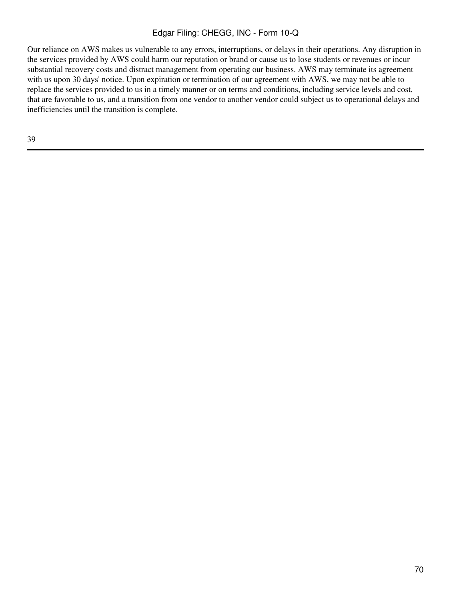Our reliance on AWS makes us vulnerable to any errors, interruptions, or delays in their operations. Any disruption in the services provided by AWS could harm our reputation or brand or cause us to lose students or revenues or incur substantial recovery costs and distract management from operating our business. AWS may terminate its agreement with us upon 30 days' notice. Upon expiration or termination of our agreement with AWS, we may not be able to replace the services provided to us in a timely manner or on terms and conditions, including service levels and cost, that are favorable to us, and a transition from one vendor to another vendor could subject us to operational delays and inefficiencies until the transition is complete.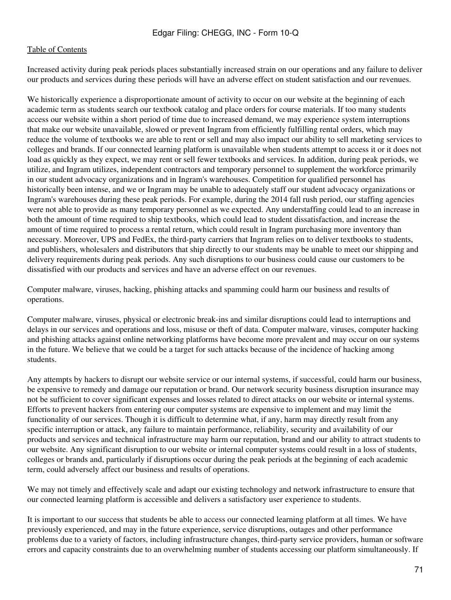Increased activity during peak periods places substantially increased strain on our operations and any failure to deliver our products and services during these periods will have an adverse effect on student satisfaction and our revenues.

We historically experience a disproportionate amount of activity to occur on our website at the beginning of each academic term as students search our textbook catalog and place orders for course materials. If too many students access our website within a short period of time due to increased demand, we may experience system interruptions that make our website unavailable, slowed or prevent Ingram from efficiently fulfilling rental orders, which may reduce the volume of textbooks we are able to rent or sell and may also impact our ability to sell marketing services to colleges and brands. If our connected learning platform is unavailable when students attempt to access it or it does not load as quickly as they expect, we may rent or sell fewer textbooks and services. In addition, during peak periods, we utilize, and Ingram utilizes, independent contractors and temporary personnel to supplement the workforce primarily in our student advocacy organizations and in Ingram's warehouses. Competition for qualified personnel has historically been intense, and we or Ingram may be unable to adequately staff our student advocacy organizations or Ingram's warehouses during these peak periods. For example, during the 2014 fall rush period, our staffing agencies were not able to provide as many temporary personnel as we expected. Any understaffing could lead to an increase in both the amount of time required to ship textbooks, which could lead to student dissatisfaction, and increase the amount of time required to process a rental return, which could result in Ingram purchasing more inventory than necessary. Moreover, UPS and FedEx, the third-party carriers that Ingram relies on to deliver textbooks to students, and publishers, wholesalers and distributors that ship directly to our students may be unable to meet our shipping and delivery requirements during peak periods. Any such disruptions to our business could cause our customers to be dissatisfied with our products and services and have an adverse effect on our revenues.

Computer malware, viruses, hacking, phishing attacks and spamming could harm our business and results of operations.

Computer malware, viruses, physical or electronic break-ins and similar disruptions could lead to interruptions and delays in our services and operations and loss, misuse or theft of data. Computer malware, viruses, computer hacking and phishing attacks against online networking platforms have become more prevalent and may occur on our systems in the future. We believe that we could be a target for such attacks because of the incidence of hacking among students.

Any attempts by hackers to disrupt our website service or our internal systems, if successful, could harm our business, be expensive to remedy and damage our reputation or brand. Our network security business disruption insurance may not be sufficient to cover significant expenses and losses related to direct attacks on our website or internal systems. Efforts to prevent hackers from entering our computer systems are expensive to implement and may limit the functionality of our services. Though it is difficult to determine what, if any, harm may directly result from any specific interruption or attack, any failure to maintain performance, reliability, security and availability of our products and services and technical infrastructure may harm our reputation, brand and our ability to attract students to our website. Any significant disruption to our website or internal computer systems could result in a loss of students, colleges or brands and, particularly if disruptions occur during the peak periods at the beginning of each academic term, could adversely affect our business and results of operations.

We may not timely and effectively scale and adapt our existing technology and network infrastructure to ensure that our connected learning platform is accessible and delivers a satisfactory user experience to students.

It is important to our success that students be able to access our connected learning platform at all times. We have previously experienced, and may in the future experience, service disruptions, outages and other performance problems due to a variety of factors, including infrastructure changes, third-party service providers, human or software errors and capacity constraints due to an overwhelming number of students accessing our platform simultaneously. If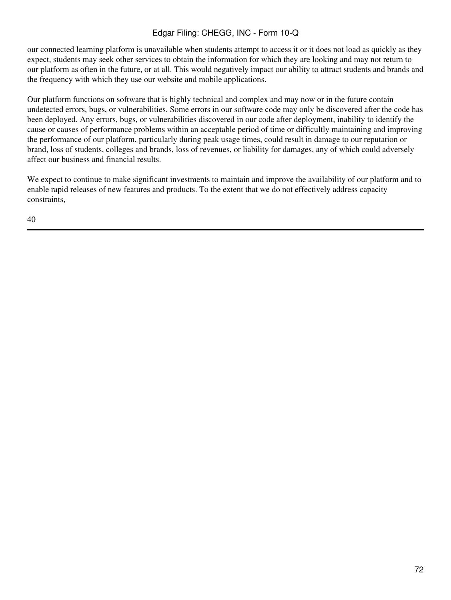our connected learning platform is unavailable when students attempt to access it or it does not load as quickly as they expect, students may seek other services to obtain the information for which they are looking and may not return to our platform as often in the future, or at all. This would negatively impact our ability to attract students and brands and the frequency with which they use our website and mobile applications.

Our platform functions on software that is highly technical and complex and may now or in the future contain undetected errors, bugs, or vulnerabilities. Some errors in our software code may only be discovered after the code has been deployed. Any errors, bugs, or vulnerabilities discovered in our code after deployment, inability to identify the cause or causes of performance problems within an acceptable period of time or difficultly maintaining and improving the performance of our platform, particularly during peak usage times, could result in damage to our reputation or brand, loss of students, colleges and brands, loss of revenues, or liability for damages, any of which could adversely affect our business and financial results.

We expect to continue to make significant investments to maintain and improve the availability of our platform and to enable rapid releases of new features and products. To the extent that we do not effectively address capacity constraints,

40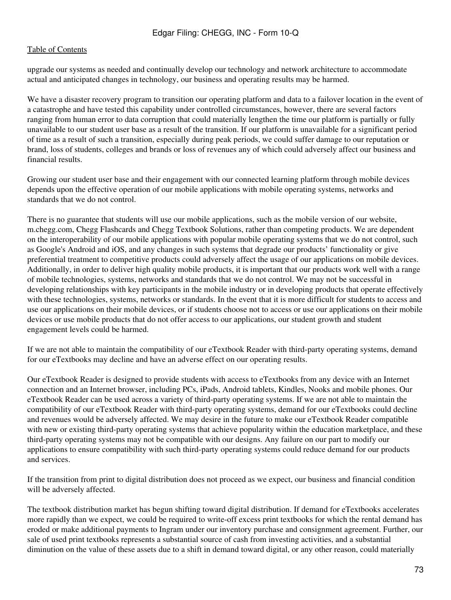upgrade our systems as needed and continually develop our technology and network architecture to accommodate actual and anticipated changes in technology, our business and operating results may be harmed.

We have a disaster recovery program to transition our operating platform and data to a failover location in the event of a catastrophe and have tested this capability under controlled circumstances, however, there are several factors ranging from human error to data corruption that could materially lengthen the time our platform is partially or fully unavailable to our student user base as a result of the transition. If our platform is unavailable for a significant period of time as a result of such a transition, especially during peak periods, we could suffer damage to our reputation or brand, loss of students, colleges and brands or loss of revenues any of which could adversely affect our business and financial results.

Growing our student user base and their engagement with our connected learning platform through mobile devices depends upon the effective operation of our mobile applications with mobile operating systems, networks and standards that we do not control.

There is no guarantee that students will use our mobile applications, such as the mobile version of our website, m.chegg.com, Chegg Flashcards and Chegg Textbook Solutions, rather than competing products. We are dependent on the interoperability of our mobile applications with popular mobile operating systems that we do not control, such as Google's Android and iOS, and any changes in such systems that degrade our products' functionality or give preferential treatment to competitive products could adversely affect the usage of our applications on mobile devices. Additionally, in order to deliver high quality mobile products, it is important that our products work well with a range of mobile technologies, systems, networks and standards that we do not control. We may not be successful in developing relationships with key participants in the mobile industry or in developing products that operate effectively with these technologies, systems, networks or standards. In the event that it is more difficult for students to access and use our applications on their mobile devices, or if students choose not to access or use our applications on their mobile devices or use mobile products that do not offer access to our applications, our student growth and student engagement levels could be harmed.

If we are not able to maintain the compatibility of our eTextbook Reader with third-party operating systems, demand for our eTextbooks may decline and have an adverse effect on our operating results.

Our eTextbook Reader is designed to provide students with access to eTextbooks from any device with an Internet connection and an Internet browser, including PCs, iPads, Android tablets, Kindles, Nooks and mobile phones. Our eTextbook Reader can be used across a variety of third-party operating systems. If we are not able to maintain the compatibility of our eTextbook Reader with third-party operating systems, demand for our eTextbooks could decline and revenues would be adversely affected. We may desire in the future to make our eTextbook Reader compatible with new or existing third-party operating systems that achieve popularity within the education marketplace, and these third-party operating systems may not be compatible with our designs. Any failure on our part to modify our applications to ensure compatibility with such third-party operating systems could reduce demand for our products and services.

If the transition from print to digital distribution does not proceed as we expect, our business and financial condition will be adversely affected.

The textbook distribution market has begun shifting toward digital distribution. If demand for eTextbooks accelerates more rapidly than we expect, we could be required to write-off excess print textbooks for which the rental demand has eroded or make additional payments to Ingram under our inventory purchase and consignment agreement. Further, our sale of used print textbooks represents a substantial source of cash from investing activities, and a substantial diminution on the value of these assets due to a shift in demand toward digital, or any other reason, could materially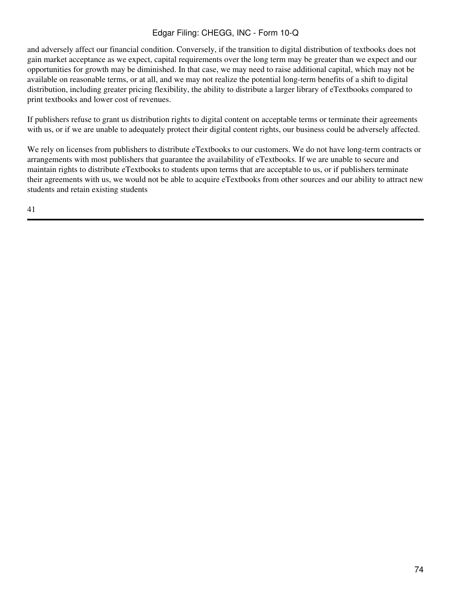and adversely affect our financial condition. Conversely, if the transition to digital distribution of textbooks does not gain market acceptance as we expect, capital requirements over the long term may be greater than we expect and our opportunities for growth may be diminished. In that case, we may need to raise additional capital, which may not be available on reasonable terms, or at all, and we may not realize the potential long-term benefits of a shift to digital distribution, including greater pricing flexibility, the ability to distribute a larger library of eTextbooks compared to print textbooks and lower cost of revenues.

If publishers refuse to grant us distribution rights to digital content on acceptable terms or terminate their agreements with us, or if we are unable to adequately protect their digital content rights, our business could be adversely affected.

We rely on licenses from publishers to distribute eTextbooks to our customers. We do not have long-term contracts or arrangements with most publishers that guarantee the availability of eTextbooks. If we are unable to secure and maintain rights to distribute eTextbooks to students upon terms that are acceptable to us, or if publishers terminate their agreements with us, we would not be able to acquire eTextbooks from other sources and our ability to attract new students and retain existing students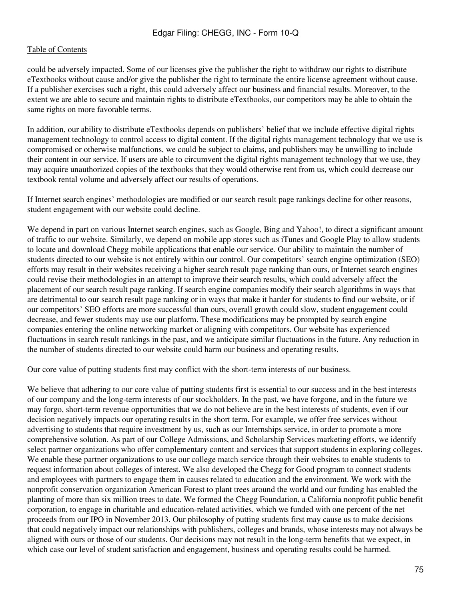could be adversely impacted. Some of our licenses give the publisher the right to withdraw our rights to distribute eTextbooks without cause and/or give the publisher the right to terminate the entire license agreement without cause. If a publisher exercises such a right, this could adversely affect our business and financial results. Moreover, to the extent we are able to secure and maintain rights to distribute eTextbooks, our competitors may be able to obtain the same rights on more favorable terms.

In addition, our ability to distribute eTextbooks depends on publishers' belief that we include effective digital rights management technology to control access to digital content. If the digital rights management technology that we use is compromised or otherwise malfunctions, we could be subject to claims, and publishers may be unwilling to include their content in our service. If users are able to circumvent the digital rights management technology that we use, they may acquire unauthorized copies of the textbooks that they would otherwise rent from us, which could decrease our textbook rental volume and adversely affect our results of operations.

If Internet search engines' methodologies are modified or our search result page rankings decline for other reasons, student engagement with our website could decline.

We depend in part on various Internet search engines, such as Google, Bing and Yahoo!, to direct a significant amount of traffic to our website. Similarly, we depend on mobile app stores such as iTunes and Google Play to allow students to locate and download Chegg mobile applications that enable our service. Our ability to maintain the number of students directed to our website is not entirely within our control. Our competitors' search engine optimization (SEO) efforts may result in their websites receiving a higher search result page ranking than ours, or Internet search engines could revise their methodologies in an attempt to improve their search results, which could adversely affect the placement of our search result page ranking. If search engine companies modify their search algorithms in ways that are detrimental to our search result page ranking or in ways that make it harder for students to find our website, or if our competitors' SEO efforts are more successful than ours, overall growth could slow, student engagement could decrease, and fewer students may use our platform. These modifications may be prompted by search engine companies entering the online networking market or aligning with competitors. Our website has experienced fluctuations in search result rankings in the past, and we anticipate similar fluctuations in the future. Any reduction in the number of students directed to our website could harm our business and operating results.

Our core value of putting students first may conflict with the short-term interests of our business.

We believe that adhering to our core value of putting students first is essential to our success and in the best interests of our company and the long-term interests of our stockholders. In the past, we have forgone, and in the future we may forgo, short-term revenue opportunities that we do not believe are in the best interests of students, even if our decision negatively impacts our operating results in the short term. For example, we offer free services without advertising to students that require investment by us, such as our Internships service, in order to promote a more comprehensive solution. As part of our College Admissions, and Scholarship Services marketing efforts, we identify select partner organizations who offer complementary content and services that support students in exploring colleges. We enable these partner organizations to use our college match service through their websites to enable students to request information about colleges of interest. We also developed the Chegg for Good program to connect students and employees with partners to engage them in causes related to education and the environment. We work with the nonprofit conservation organization American Forest to plant trees around the world and our funding has enabled the planting of more than six million trees to date. We formed the Chegg Foundation, a California nonprofit public benefit corporation, to engage in charitable and education-related activities, which we funded with one percent of the net proceeds from our IPO in November 2013. Our philosophy of putting students first may cause us to make decisions that could negatively impact our relationships with publishers, colleges and brands, whose interests may not always be aligned with ours or those of our students. Our decisions may not result in the long-term benefits that we expect, in which case our level of student satisfaction and engagement, business and operating results could be harmed.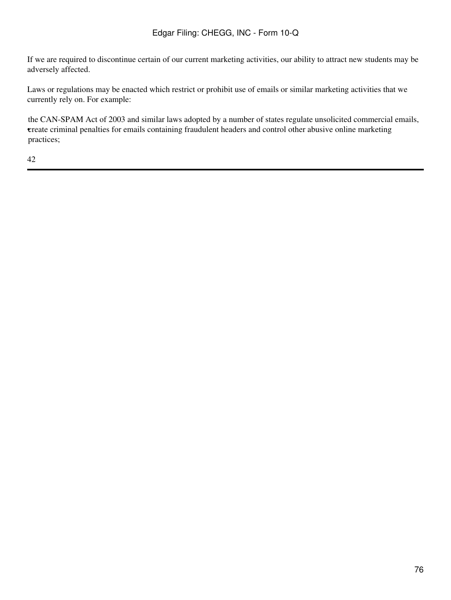If we are required to discontinue certain of our current marketing activities, our ability to attract new students may be adversely affected.

Laws or regulations may be enacted which restrict or prohibit use of emails or similar marketing activities that we currently rely on. For example:

• create criminal penalties for emails containing fraudulent headers and control other abusive online marketing the CAN-SPAM Act of 2003 and similar laws adopted by a number of states regulate unsolicited commercial emails, practices;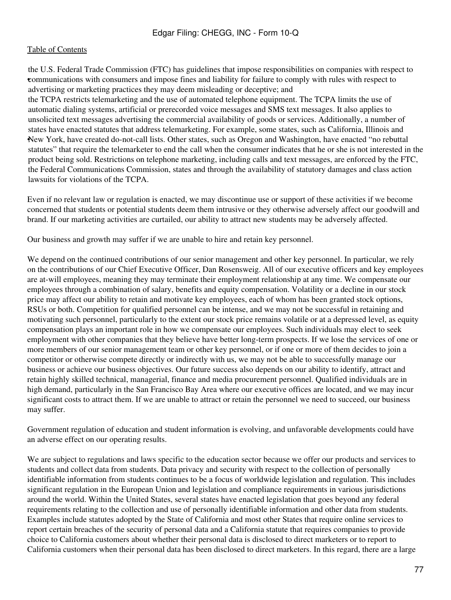• communications with consumers and impose fines and liability for failure to comply with rules with respect to the U.S. Federal Trade Commission (FTC) has guidelines that impose responsibilities on companies with respect to advertising or marketing practices they may deem misleading or deceptive; and • New York, have created do-not-call lists. Other states, such as Oregon and Washington, have enacted "no rebuttal the TCPA restricts telemarketing and the use of automated telephone equipment. The TCPA limits the use of automatic dialing systems, artificial or prerecorded voice messages and SMS text messages. It also applies to unsolicited text messages advertising the commercial availability of goods or services. Additionally, a number of states have enacted statutes that address telemarketing. For example, some states, such as California, Illinois and statutes" that require the telemarketer to end the call when the consumer indicates that he or she is not interested in the product being sold. Restrictions on telephone marketing, including calls and text messages, are enforced by the FTC, the Federal Communications Commission, states and through the availability of statutory damages and class action lawsuits for violations of the TCPA.

Even if no relevant law or regulation is enacted, we may discontinue use or support of these activities if we become concerned that students or potential students deem them intrusive or they otherwise adversely affect our goodwill and brand. If our marketing activities are curtailed, our ability to attract new students may be adversely affected.

Our business and growth may suffer if we are unable to hire and retain key personnel.

We depend on the continued contributions of our senior management and other key personnel. In particular, we rely on the contributions of our Chief Executive Officer, Dan Rosensweig. All of our executive officers and key employees are at-will employees, meaning they may terminate their employment relationship at any time. We compensate our employees through a combination of salary, benefits and equity compensation. Volatility or a decline in our stock price may affect our ability to retain and motivate key employees, each of whom has been granted stock options, RSUs or both. Competition for qualified personnel can be intense, and we may not be successful in retaining and motivating such personnel, particularly to the extent our stock price remains volatile or at a depressed level, as equity compensation plays an important role in how we compensate our employees. Such individuals may elect to seek employment with other companies that they believe have better long-term prospects. If we lose the services of one or more members of our senior management team or other key personnel, or if one or more of them decides to join a competitor or otherwise compete directly or indirectly with us, we may not be able to successfully manage our business or achieve our business objectives. Our future success also depends on our ability to identify, attract and retain highly skilled technical, managerial, finance and media procurement personnel. Qualified individuals are in high demand, particularly in the San Francisco Bay Area where our executive offices are located, and we may incur significant costs to attract them. If we are unable to attract or retain the personnel we need to succeed, our business may suffer.

Government regulation of education and student information is evolving, and unfavorable developments could have an adverse effect on our operating results.

We are subject to regulations and laws specific to the education sector because we offer our products and services to students and collect data from students. Data privacy and security with respect to the collection of personally identifiable information from students continues to be a focus of worldwide legislation and regulation. This includes significant regulation in the European Union and legislation and compliance requirements in various jurisdictions around the world. Within the United States, several states have enacted legislation that goes beyond any federal requirements relating to the collection and use of personally identifiable information and other data from students. Examples include statutes adopted by the State of California and most other States that require online services to report certain breaches of the security of personal data and a California statute that requires companies to provide choice to California customers about whether their personal data is disclosed to direct marketers or to report to California customers when their personal data has been disclosed to direct marketers. In this regard, there are a large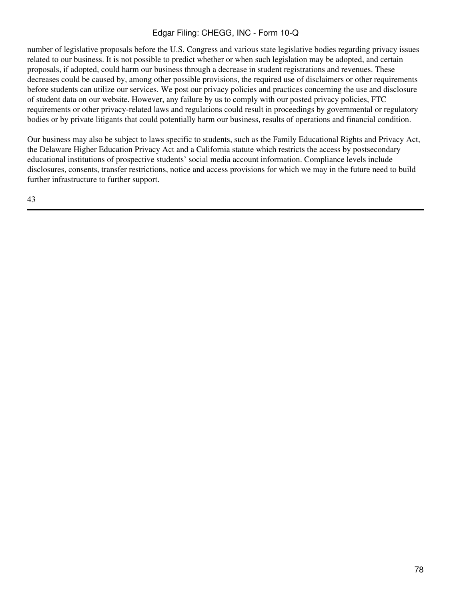number of legislative proposals before the U.S. Congress and various state legislative bodies regarding privacy issues related to our business. It is not possible to predict whether or when such legislation may be adopted, and certain proposals, if adopted, could harm our business through a decrease in student registrations and revenues. These decreases could be caused by, among other possible provisions, the required use of disclaimers or other requirements before students can utilize our services. We post our privacy policies and practices concerning the use and disclosure of student data on our website. However, any failure by us to comply with our posted privacy policies, FTC requirements or other privacy-related laws and regulations could result in proceedings by governmental or regulatory bodies or by private litigants that could potentially harm our business, results of operations and financial condition.

Our business may also be subject to laws specific to students, such as the Family Educational Rights and Privacy Act, the Delaware Higher Education Privacy Act and a California statute which restricts the access by postsecondary educational institutions of prospective students' social media account information. Compliance levels include disclosures, consents, transfer restrictions, notice and access provisions for which we may in the future need to build further infrastructure to further support.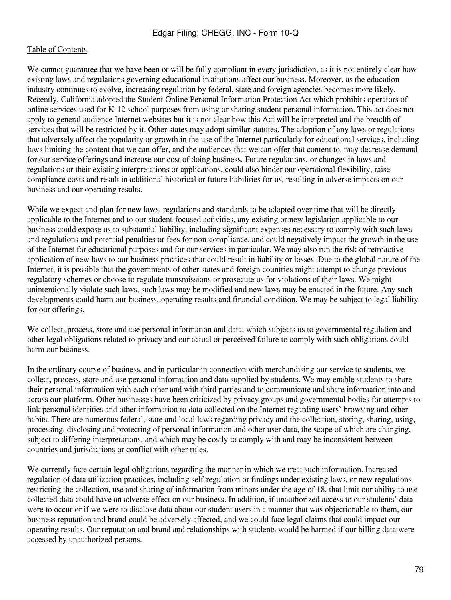We cannot guarantee that we have been or will be fully compliant in every jurisdiction, as it is not entirely clear how existing laws and regulations governing educational institutions affect our business. Moreover, as the education industry continues to evolve, increasing regulation by federal, state and foreign agencies becomes more likely. Recently, California adopted the Student Online Personal Information Protection Act which prohibits operators of online services used for K-12 school purposes from using or sharing student personal information. This act does not apply to general audience Internet websites but it is not clear how this Act will be interpreted and the breadth of services that will be restricted by it. Other states may adopt similar statutes. The adoption of any laws or regulations that adversely affect the popularity or growth in the use of the Internet particularly for educational services, including laws limiting the content that we can offer, and the audiences that we can offer that content to, may decrease demand for our service offerings and increase our cost of doing business. Future regulations, or changes in laws and regulations or their existing interpretations or applications, could also hinder our operational flexibility, raise compliance costs and result in additional historical or future liabilities for us, resulting in adverse impacts on our business and our operating results.

While we expect and plan for new laws, regulations and standards to be adopted over time that will be directly applicable to the Internet and to our student-focused activities, any existing or new legislation applicable to our business could expose us to substantial liability, including significant expenses necessary to comply with such laws and regulations and potential penalties or fees for non-compliance, and could negatively impact the growth in the use of the Internet for educational purposes and for our services in particular. We may also run the risk of retroactive application of new laws to our business practices that could result in liability or losses. Due to the global nature of the Internet, it is possible that the governments of other states and foreign countries might attempt to change previous regulatory schemes or choose to regulate transmissions or prosecute us for violations of their laws. We might unintentionally violate such laws, such laws may be modified and new laws may be enacted in the future. Any such developments could harm our business, operating results and financial condition. We may be subject to legal liability for our offerings.

We collect, process, store and use personal information and data, which subjects us to governmental regulation and other legal obligations related to privacy and our actual or perceived failure to comply with such obligations could harm our business.

In the ordinary course of business, and in particular in connection with merchandising our service to students, we collect, process, store and use personal information and data supplied by students. We may enable students to share their personal information with each other and with third parties and to communicate and share information into and across our platform. Other businesses have been criticized by privacy groups and governmental bodies for attempts to link personal identities and other information to data collected on the Internet regarding users' browsing and other habits. There are numerous federal, state and local laws regarding privacy and the collection, storing, sharing, using, processing, disclosing and protecting of personal information and other user data, the scope of which are changing, subject to differing interpretations, and which may be costly to comply with and may be inconsistent between countries and jurisdictions or conflict with other rules.

We currently face certain legal obligations regarding the manner in which we treat such information. Increased regulation of data utilization practices, including self-regulation or findings under existing laws, or new regulations restricting the collection, use and sharing of information from minors under the age of 18, that limit our ability to use collected data could have an adverse effect on our business. In addition, if unauthorized access to our students' data were to occur or if we were to disclose data about our student users in a manner that was objectionable to them, our business reputation and brand could be adversely affected, and we could face legal claims that could impact our operating results. Our reputation and brand and relationships with students would be harmed if our billing data were accessed by unauthorized persons.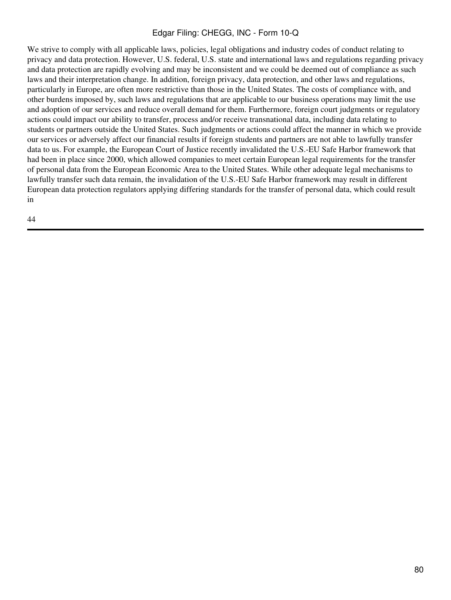We strive to comply with all applicable laws, policies, legal obligations and industry codes of conduct relating to privacy and data protection. However, U.S. federal, U.S. state and international laws and regulations regarding privacy and data protection are rapidly evolving and may be inconsistent and we could be deemed out of compliance as such laws and their interpretation change. In addition, foreign privacy, data protection, and other laws and regulations, particularly in Europe, are often more restrictive than those in the United States. The costs of compliance with, and other burdens imposed by, such laws and regulations that are applicable to our business operations may limit the use and adoption of our services and reduce overall demand for them. Furthermore, foreign court judgments or regulatory actions could impact our ability to transfer, process and/or receive transnational data, including data relating to students or partners outside the United States. Such judgments or actions could affect the manner in which we provide our services or adversely affect our financial results if foreign students and partners are not able to lawfully transfer data to us. For example, the European Court of Justice recently invalidated the U.S.-EU Safe Harbor framework that had been in place since 2000, which allowed companies to meet certain European legal requirements for the transfer of personal data from the European Economic Area to the United States. While other adequate legal mechanisms to lawfully transfer such data remain, the invalidation of the U.S.-EU Safe Harbor framework may result in different European data protection regulators applying differing standards for the transfer of personal data, which could result in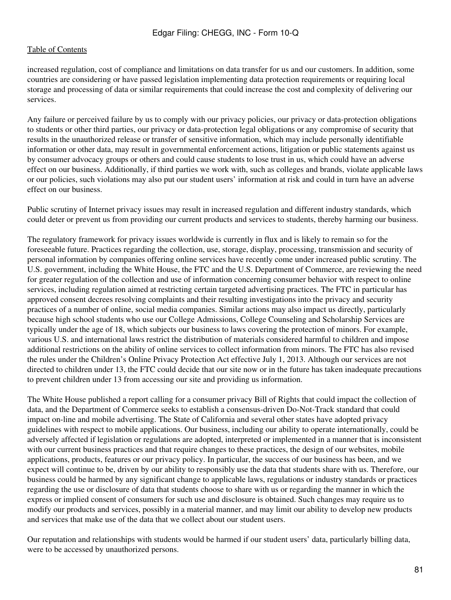increased regulation, cost of compliance and limitations on data transfer for us and our customers. In addition, some countries are considering or have passed legislation implementing data protection requirements or requiring local storage and processing of data or similar requirements that could increase the cost and complexity of delivering our services.

Any failure or perceived failure by us to comply with our privacy policies, our privacy or data-protection obligations to students or other third parties, our privacy or data-protection legal obligations or any compromise of security that results in the unauthorized release or transfer of sensitive information, which may include personally identifiable information or other data, may result in governmental enforcement actions, litigation or public statements against us by consumer advocacy groups or others and could cause students to lose trust in us, which could have an adverse effect on our business. Additionally, if third parties we work with, such as colleges and brands, violate applicable laws or our policies, such violations may also put our student users' information at risk and could in turn have an adverse effect on our business.

Public scrutiny of Internet privacy issues may result in increased regulation and different industry standards, which could deter or prevent us from providing our current products and services to students, thereby harming our business.

The regulatory framework for privacy issues worldwide is currently in flux and is likely to remain so for the foreseeable future. Practices regarding the collection, use, storage, display, processing, transmission and security of personal information by companies offering online services have recently come under increased public scrutiny. The U.S. government, including the White House, the FTC and the U.S. Department of Commerce, are reviewing the need for greater regulation of the collection and use of information concerning consumer behavior with respect to online services, including regulation aimed at restricting certain targeted advertising practices. The FTC in particular has approved consent decrees resolving complaints and their resulting investigations into the privacy and security practices of a number of online, social media companies. Similar actions may also impact us directly, particularly because high school students who use our College Admissions, College Counseling and Scholarship Services are typically under the age of 18, which subjects our business to laws covering the protection of minors. For example, various U.S. and international laws restrict the distribution of materials considered harmful to children and impose additional restrictions on the ability of online services to collect information from minors. The FTC has also revised the rules under the Children's Online Privacy Protection Act effective July 1, 2013. Although our services are not directed to children under 13, the FTC could decide that our site now or in the future has taken inadequate precautions to prevent children under 13 from accessing our site and providing us information.

The White House published a report calling for a consumer privacy Bill of Rights that could impact the collection of data, and the Department of Commerce seeks to establish a consensus-driven Do-Not-Track standard that could impact on-line and mobile advertising. The State of California and several other states have adopted privacy guidelines with respect to mobile applications. Our business, including our ability to operate internationally, could be adversely affected if legislation or regulations are adopted, interpreted or implemented in a manner that is inconsistent with our current business practices and that require changes to these practices, the design of our websites, mobile applications, products, features or our privacy policy. In particular, the success of our business has been, and we expect will continue to be, driven by our ability to responsibly use the data that students share with us. Therefore, our business could be harmed by any significant change to applicable laws, regulations or industry standards or practices regarding the use or disclosure of data that students choose to share with us or regarding the manner in which the express or implied consent of consumers for such use and disclosure is obtained. Such changes may require us to modify our products and services, possibly in a material manner, and may limit our ability to develop new products and services that make use of the data that we collect about our student users.

Our reputation and relationships with students would be harmed if our student users' data, particularly billing data, were to be accessed by unauthorized persons.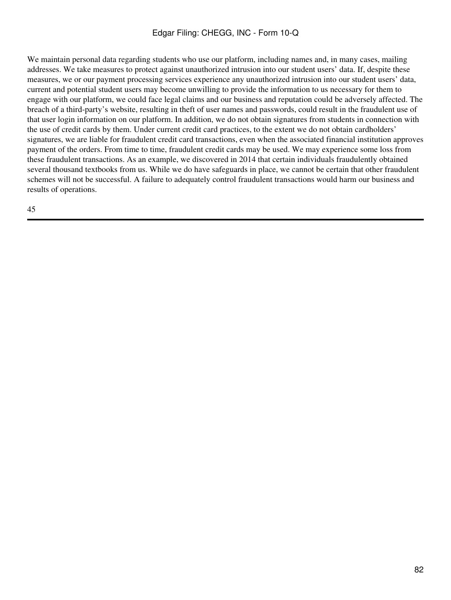We maintain personal data regarding students who use our platform, including names and, in many cases, mailing addresses. We take measures to protect against unauthorized intrusion into our student users' data. If, despite these measures, we or our payment processing services experience any unauthorized intrusion into our student users' data, current and potential student users may become unwilling to provide the information to us necessary for them to engage with our platform, we could face legal claims and our business and reputation could be adversely affected. The breach of a third-party's website, resulting in theft of user names and passwords, could result in the fraudulent use of that user login information on our platform. In addition, we do not obtain signatures from students in connection with the use of credit cards by them. Under current credit card practices, to the extent we do not obtain cardholders' signatures, we are liable for fraudulent credit card transactions, even when the associated financial institution approves payment of the orders. From time to time, fraudulent credit cards may be used. We may experience some loss from these fraudulent transactions. As an example, we discovered in 2014 that certain individuals fraudulently obtained several thousand textbooks from us. While we do have safeguards in place, we cannot be certain that other fraudulent schemes will not be successful. A failure to adequately control fraudulent transactions would harm our business and results of operations.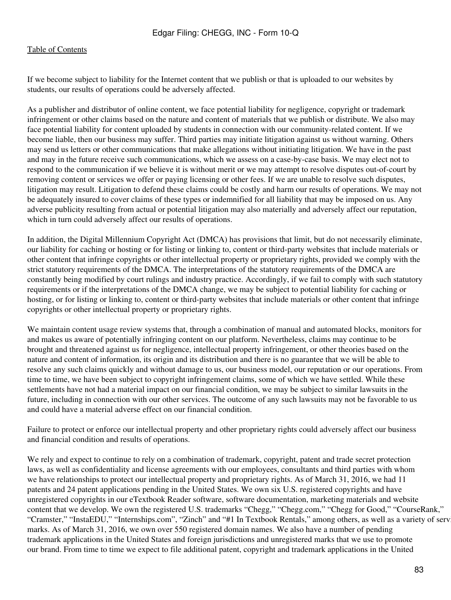If we become subject to liability for the Internet content that we publish or that is uploaded to our websites by students, our results of operations could be adversely affected.

As a publisher and distributor of online content, we face potential liability for negligence, copyright or trademark infringement or other claims based on the nature and content of materials that we publish or distribute. We also may face potential liability for content uploaded by students in connection with our community-related content. If we become liable, then our business may suffer. Third parties may initiate litigation against us without warning. Others may send us letters or other communications that make allegations without initiating litigation. We have in the past and may in the future receive such communications, which we assess on a case-by-case basis. We may elect not to respond to the communication if we believe it is without merit or we may attempt to resolve disputes out-of-court by removing content or services we offer or paying licensing or other fees. If we are unable to resolve such disputes, litigation may result. Litigation to defend these claims could be costly and harm our results of operations. We may not be adequately insured to cover claims of these types or indemnified for all liability that may be imposed on us. Any adverse publicity resulting from actual or potential litigation may also materially and adversely affect our reputation, which in turn could adversely affect our results of operations.

In addition, the Digital Millennium Copyright Act (DMCA) has provisions that limit, but do not necessarily eliminate, our liability for caching or hosting or for listing or linking to, content or third-party websites that include materials or other content that infringe copyrights or other intellectual property or proprietary rights, provided we comply with the strict statutory requirements of the DMCA. The interpretations of the statutory requirements of the DMCA are constantly being modified by court rulings and industry practice. Accordingly, if we fail to comply with such statutory requirements or if the interpretations of the DMCA change, we may be subject to potential liability for caching or hosting, or for listing or linking to, content or third-party websites that include materials or other content that infringe copyrights or other intellectual property or proprietary rights.

We maintain content usage review systems that, through a combination of manual and automated blocks, monitors for and makes us aware of potentially infringing content on our platform. Nevertheless, claims may continue to be brought and threatened against us for negligence, intellectual property infringement, or other theories based on the nature and content of information, its origin and its distribution and there is no guarantee that we will be able to resolve any such claims quickly and without damage to us, our business model, our reputation or our operations. From time to time, we have been subject to copyright infringement claims, some of which we have settled. While these settlements have not had a material impact on our financial condition, we may be subject to similar lawsuits in the future, including in connection with our other services. The outcome of any such lawsuits may not be favorable to us and could have a material adverse effect on our financial condition.

Failure to protect or enforce our intellectual property and other proprietary rights could adversely affect our business and financial condition and results of operations.

We rely and expect to continue to rely on a combination of trademark, copyright, patent and trade secret protection laws, as well as confidentiality and license agreements with our employees, consultants and third parties with whom we have relationships to protect our intellectual property and proprietary rights. As of March 31, 2016, we had 11 patents and 24 patent applications pending in the United States. We own six U.S. registered copyrights and have unregistered copyrights in our eTextbook Reader software, software documentation, marketing materials and website content that we develop. We own the registered U.S. trademarks "Chegg," "Chegg.com," "Chegg for Good," "CourseRank," "Cramster," "InstaEDU," "Internships.com", "Zinch" and "#1 In Textbook Rentals," among others, as well as a variety of serv marks. As of March 31, 2016, we own over 550 registered domain names. We also have a number of pending trademark applications in the United States and foreign jurisdictions and unregistered marks that we use to promote our brand. From time to time we expect to file additional patent, copyright and trademark applications in the United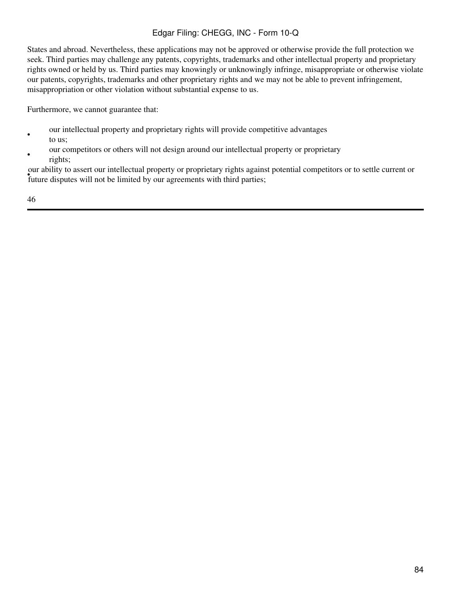States and abroad. Nevertheless, these applications may not be approved or otherwise provide the full protection we seek. Third parties may challenge any patents, copyrights, trademarks and other intellectual property and proprietary rights owned or held by us. Third parties may knowingly or unknowingly infringe, misappropriate or otherwise violate our patents, copyrights, trademarks and other proprietary rights and we may not be able to prevent infringement, misappropriation or other violation without substantial expense to us.

Furthermore, we cannot guarantee that:

- our intellectual property and proprietary rights will provide competitive advantages to us;
- our competitors or others will not design around our intellectual property or proprietary rights;

Future disputes will not be limited by our agreements with third parties; our ability to assert our intellectual property or proprietary rights against potential competitors or to settle current or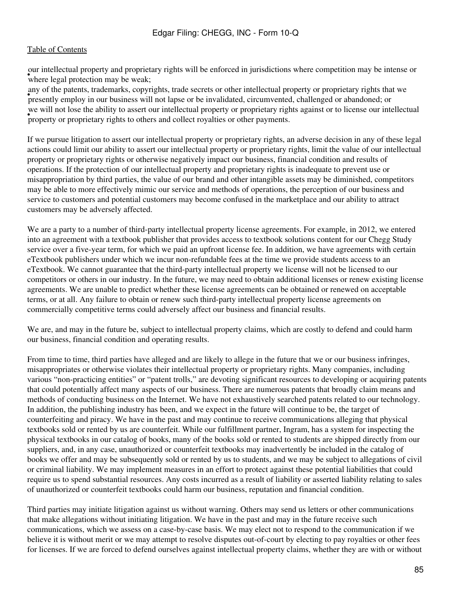where legal protection may be weak; our intellectual property and proprietary rights will be enforced in jurisdictions where competition may be intense or

employ in our business will not lapse or be invalidated, circumvented, challenged or abandoned; or presently employ in our business will not lapse or be invalidated, circumvented, challenged or abandoned; or any of the patents, trademarks, copyrights, trade secrets or other intellectual property or proprietary rights that we • property or proprietary rights to others and collect royalties or other payments. we will not lose the ability to assert our intellectual property or proprietary rights against or to license our intellectual

If we pursue litigation to assert our intellectual property or proprietary rights, an adverse decision in any of these legal actions could limit our ability to assert our intellectual property or proprietary rights, limit the value of our intellectual property or proprietary rights or otherwise negatively impact our business, financial condition and results of operations. If the protection of our intellectual property and proprietary rights is inadequate to prevent use or misappropriation by third parties, the value of our brand and other intangible assets may be diminished, competitors may be able to more effectively mimic our service and methods of operations, the perception of our business and service to customers and potential customers may become confused in the marketplace and our ability to attract customers may be adversely affected.

We are a party to a number of third-party intellectual property license agreements. For example, in 2012, we entered into an agreement with a textbook publisher that provides access to textbook solutions content for our Chegg Study service over a five-year term, for which we paid an upfront license fee. In addition, we have agreements with certain eTextbook publishers under which we incur non-refundable fees at the time we provide students access to an eTextbook. We cannot guarantee that the third-party intellectual property we license will not be licensed to our competitors or others in our industry. In the future, we may need to obtain additional licenses or renew existing license agreements. We are unable to predict whether these license agreements can be obtained or renewed on acceptable terms, or at all. Any failure to obtain or renew such third-party intellectual property license agreements on commercially competitive terms could adversely affect our business and financial results.

We are, and may in the future be, subject to intellectual property claims, which are costly to defend and could harm our business, financial condition and operating results.

From time to time, third parties have alleged and are likely to allege in the future that we or our business infringes, misappropriates or otherwise violates their intellectual property or proprietary rights. Many companies, including various "non-practicing entities" or "patent trolls," are devoting significant resources to developing or acquiring patents that could potentially affect many aspects of our business. There are numerous patents that broadly claim means and methods of conducting business on the Internet. We have not exhaustively searched patents related to our technology. In addition, the publishing industry has been, and we expect in the future will continue to be, the target of counterfeiting and piracy. We have in the past and may continue to receive communications alleging that physical textbooks sold or rented by us are counterfeit. While our fulfillment partner, Ingram, has a system for inspecting the physical textbooks in our catalog of books, many of the books sold or rented to students are shipped directly from our suppliers, and, in any case, unauthorized or counterfeit textbooks may inadvertently be included in the catalog of books we offer and may be subsequently sold or rented by us to students, and we may be subject to allegations of civil or criminal liability. We may implement measures in an effort to protect against these potential liabilities that could require us to spend substantial resources. Any costs incurred as a result of liability or asserted liability relating to sales of unauthorized or counterfeit textbooks could harm our business, reputation and financial condition.

Third parties may initiate litigation against us without warning. Others may send us letters or other communications that make allegations without initiating litigation. We have in the past and may in the future receive such communications, which we assess on a case-by-case basis. We may elect not to respond to the communication if we believe it is without merit or we may attempt to resolve disputes out-of-court by electing to pay royalties or other fees for licenses. If we are forced to defend ourselves against intellectual property claims, whether they are with or without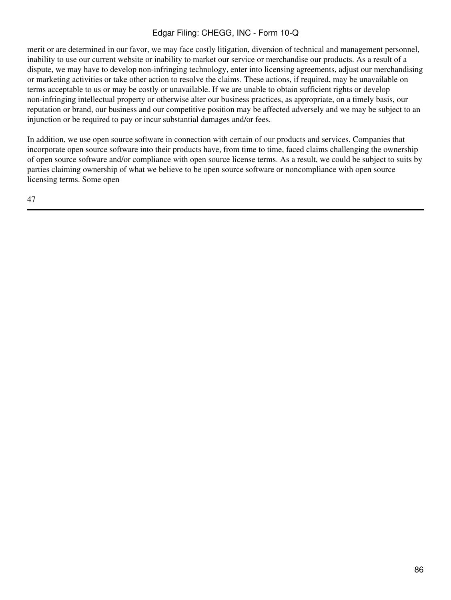merit or are determined in our favor, we may face costly litigation, diversion of technical and management personnel, inability to use our current website or inability to market our service or merchandise our products. As a result of a dispute, we may have to develop non-infringing technology, enter into licensing agreements, adjust our merchandising or marketing activities or take other action to resolve the claims. These actions, if required, may be unavailable on terms acceptable to us or may be costly or unavailable. If we are unable to obtain sufficient rights or develop non-infringing intellectual property or otherwise alter our business practices, as appropriate, on a timely basis, our reputation or brand, our business and our competitive position may be affected adversely and we may be subject to an injunction or be required to pay or incur substantial damages and/or fees.

In addition, we use open source software in connection with certain of our products and services. Companies that incorporate open source software into their products have, from time to time, faced claims challenging the ownership of open source software and/or compliance with open source license terms. As a result, we could be subject to suits by parties claiming ownership of what we believe to be open source software or noncompliance with open source licensing terms. Some open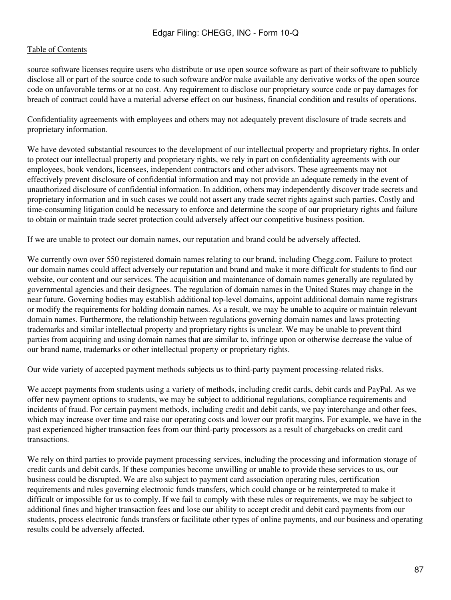source software licenses require users who distribute or use open source software as part of their software to publicly disclose all or part of the source code to such software and/or make available any derivative works of the open source code on unfavorable terms or at no cost. Any requirement to disclose our proprietary source code or pay damages for breach of contract could have a material adverse effect on our business, financial condition and results of operations.

Confidentiality agreements with employees and others may not adequately prevent disclosure of trade secrets and proprietary information.

We have devoted substantial resources to the development of our intellectual property and proprietary rights. In order to protect our intellectual property and proprietary rights, we rely in part on confidentiality agreements with our employees, book vendors, licensees, independent contractors and other advisors. These agreements may not effectively prevent disclosure of confidential information and may not provide an adequate remedy in the event of unauthorized disclosure of confidential information. In addition, others may independently discover trade secrets and proprietary information and in such cases we could not assert any trade secret rights against such parties. Costly and time-consuming litigation could be necessary to enforce and determine the scope of our proprietary rights and failure to obtain or maintain trade secret protection could adversely affect our competitive business position.

If we are unable to protect our domain names, our reputation and brand could be adversely affected.

We currently own over 550 registered domain names relating to our brand, including Chegg.com. Failure to protect our domain names could affect adversely our reputation and brand and make it more difficult for students to find our website, our content and our services. The acquisition and maintenance of domain names generally are regulated by governmental agencies and their designees. The regulation of domain names in the United States may change in the near future. Governing bodies may establish additional top-level domains, appoint additional domain name registrars or modify the requirements for holding domain names. As a result, we may be unable to acquire or maintain relevant domain names. Furthermore, the relationship between regulations governing domain names and laws protecting trademarks and similar intellectual property and proprietary rights is unclear. We may be unable to prevent third parties from acquiring and using domain names that are similar to, infringe upon or otherwise decrease the value of our brand name, trademarks or other intellectual property or proprietary rights.

Our wide variety of accepted payment methods subjects us to third-party payment processing-related risks.

We accept payments from students using a variety of methods, including credit cards, debit cards and PayPal. As we offer new payment options to students, we may be subject to additional regulations, compliance requirements and incidents of fraud. For certain payment methods, including credit and debit cards, we pay interchange and other fees, which may increase over time and raise our operating costs and lower our profit margins. For example, we have in the past experienced higher transaction fees from our third-party processors as a result of chargebacks on credit card transactions.

We rely on third parties to provide payment processing services, including the processing and information storage of credit cards and debit cards. If these companies become unwilling or unable to provide these services to us, our business could be disrupted. We are also subject to payment card association operating rules, certification requirements and rules governing electronic funds transfers, which could change or be reinterpreted to make it difficult or impossible for us to comply. If we fail to comply with these rules or requirements, we may be subject to additional fines and higher transaction fees and lose our ability to accept credit and debit card payments from our students, process electronic funds transfers or facilitate other types of online payments, and our business and operating results could be adversely affected.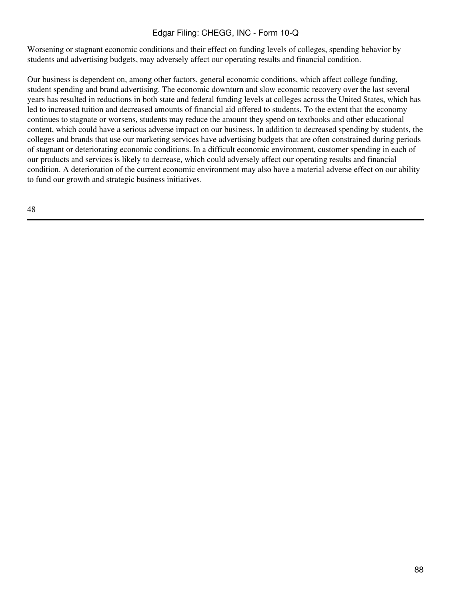Worsening or stagnant economic conditions and their effect on funding levels of colleges, spending behavior by students and advertising budgets, may adversely affect our operating results and financial condition.

Our business is dependent on, among other factors, general economic conditions, which affect college funding, student spending and brand advertising. The economic downturn and slow economic recovery over the last several years has resulted in reductions in both state and federal funding levels at colleges across the United States, which has led to increased tuition and decreased amounts of financial aid offered to students. To the extent that the economy continues to stagnate or worsens, students may reduce the amount they spend on textbooks and other educational content, which could have a serious adverse impact on our business. In addition to decreased spending by students, the colleges and brands that use our marketing services have advertising budgets that are often constrained during periods of stagnant or deteriorating economic conditions. In a difficult economic environment, customer spending in each of our products and services is likely to decrease, which could adversely affect our operating results and financial condition. A deterioration of the current economic environment may also have a material adverse effect on our ability to fund our growth and strategic business initiatives.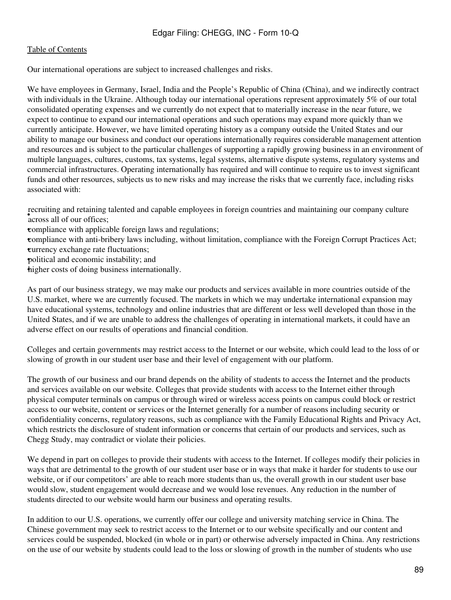Our international operations are subject to increased challenges and risks.

We have employees in Germany, Israel, India and the People's Republic of China (China), and we indirectly contract with individuals in the Ukraine. Although today our international operations represent approximately 5% of our total consolidated operating expenses and we currently do not expect that to materially increase in the near future, we expect to continue to expand our international operations and such operations may expand more quickly than we currently anticipate. However, we have limited operating history as a company outside the United States and our ability to manage our business and conduct our operations internationally requires considerable management attention and resources and is subject to the particular challenges of supporting a rapidly growing business in an environment of multiple languages, cultures, customs, tax systems, legal systems, alternative dispute systems, regulatory systems and commercial infrastructures. Operating internationally has required and will continue to require us to invest significant funds and other resources, subjects us to new risks and may increase the risks that we currently face, including risks associated with:

• **Containing and retaining** recruiting and retaining talented and capable employees in foreign countries and maintaining our company culture

•compliance with applicable foreign laws and regulations;

•compliance with anti-bribery laws including, without limitation, compliance with the Foreign Corrupt Practices Act; *currency exchange rate fluctuations;* 

•political and economic instability; and

•higher costs of doing business internationally.

As part of our business strategy, we may make our products and services available in more countries outside of the U.S. market, where we are currently focused. The markets in which we may undertake international expansion may have educational systems, technology and online industries that are different or less well developed than those in the United States, and if we are unable to address the challenges of operating in international markets, it could have an adverse effect on our results of operations and financial condition.

Colleges and certain governments may restrict access to the Internet or our website, which could lead to the loss of or slowing of growth in our student user base and their level of engagement with our platform.

The growth of our business and our brand depends on the ability of students to access the Internet and the products and services available on our website. Colleges that provide students with access to the Internet either through physical computer terminals on campus or through wired or wireless access points on campus could block or restrict access to our website, content or services or the Internet generally for a number of reasons including security or confidentiality concerns, regulatory reasons, such as compliance with the Family Educational Rights and Privacy Act, which restricts the disclosure of student information or concerns that certain of our products and services, such as Chegg Study, may contradict or violate their policies.

We depend in part on colleges to provide their students with access to the Internet. If colleges modify their policies in ways that are detrimental to the growth of our student user base or in ways that make it harder for students to use our website, or if our competitors' are able to reach more students than us, the overall growth in our student user base would slow, student engagement would decrease and we would lose revenues. Any reduction in the number of students directed to our website would harm our business and operating results.

In addition to our U.S. operations, we currently offer our college and university matching service in China. The Chinese government may seek to restrict access to the Internet or to our website specifically and our content and services could be suspended, blocked (in whole or in part) or otherwise adversely impacted in China. Any restrictions on the use of our website by students could lead to the loss or slowing of growth in the number of students who use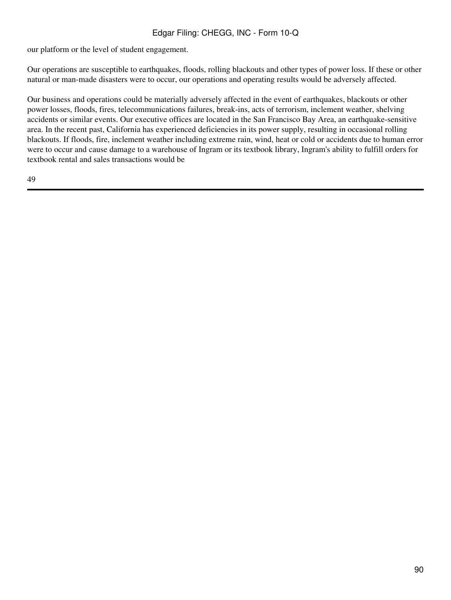our platform or the level of student engagement.

Our operations are susceptible to earthquakes, floods, rolling blackouts and other types of power loss. If these or other natural or man-made disasters were to occur, our operations and operating results would be adversely affected.

Our business and operations could be materially adversely affected in the event of earthquakes, blackouts or other power losses, floods, fires, telecommunications failures, break-ins, acts of terrorism, inclement weather, shelving accidents or similar events. Our executive offices are located in the San Francisco Bay Area, an earthquake-sensitive area. In the recent past, California has experienced deficiencies in its power supply, resulting in occasional rolling blackouts. If floods, fire, inclement weather including extreme rain, wind, heat or cold or accidents due to human error were to occur and cause damage to a warehouse of Ingram or its textbook library, Ingram's ability to fulfill orders for textbook rental and sales transactions would be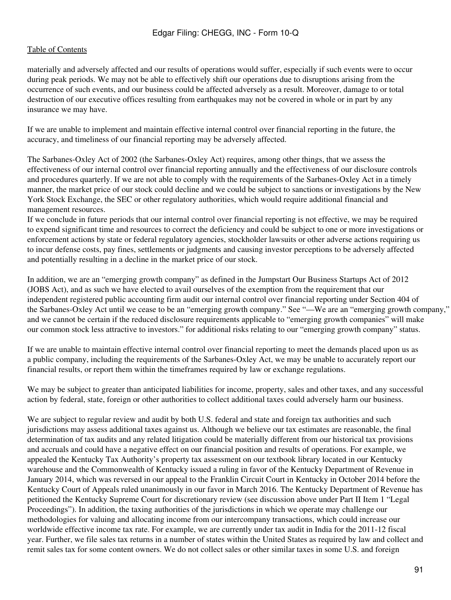materially and adversely affected and our results of operations would suffer, especially if such events were to occur during peak periods. We may not be able to effectively shift our operations due to disruptions arising from the occurrence of such events, and our business could be affected adversely as a result. Moreover, damage to or total destruction of our executive offices resulting from earthquakes may not be covered in whole or in part by any insurance we may have.

If we are unable to implement and maintain effective internal control over financial reporting in the future, the accuracy, and timeliness of our financial reporting may be adversely affected.

The Sarbanes-Oxley Act of 2002 (the Sarbanes-Oxley Act) requires, among other things, that we assess the effectiveness of our internal control over financial reporting annually and the effectiveness of our disclosure controls and procedures quarterly. If we are not able to comply with the requirements of the Sarbanes-Oxley Act in a timely manner, the market price of our stock could decline and we could be subject to sanctions or investigations by the New York Stock Exchange, the SEC or other regulatory authorities, which would require additional financial and management resources.

If we conclude in future periods that our internal control over financial reporting is not effective, we may be required to expend significant time and resources to correct the deficiency and could be subject to one or more investigations or enforcement actions by state or federal regulatory agencies, stockholder lawsuits or other adverse actions requiring us to incur defense costs, pay fines, settlements or judgments and causing investor perceptions to be adversely affected and potentially resulting in a decline in the market price of our stock.

In addition, we are an "emerging growth company" as defined in the Jumpstart Our Business Startups Act of 2012 (JOBS Act), and as such we have elected to avail ourselves of the exemption from the requirement that our independent registered public accounting firm audit our internal control over financial reporting under Section 404 of the Sarbanes-Oxley Act until we cease to be an "emerging growth company." See "—We are an "emerging growth company," and we cannot be certain if the reduced disclosure requirements applicable to "emerging growth companies" will make our common stock less attractive to investors." for additional risks relating to our "emerging growth company" status.

If we are unable to maintain effective internal control over financial reporting to meet the demands placed upon us as a public company, including the requirements of the Sarbanes-Oxley Act, we may be unable to accurately report our financial results, or report them within the timeframes required by law or exchange regulations.

We may be subject to greater than anticipated liabilities for income, property, sales and other taxes, and any successful action by federal, state, foreign or other authorities to collect additional taxes could adversely harm our business.

We are subject to regular review and audit by both U.S. federal and state and foreign tax authorities and such jurisdictions may assess additional taxes against us. Although we believe our tax estimates are reasonable, the final determination of tax audits and any related litigation could be materially different from our historical tax provisions and accruals and could have a negative effect on our financial position and results of operations. For example, we appealed the Kentucky Tax Authority's property tax assessment on our textbook library located in our Kentucky warehouse and the Commonwealth of Kentucky issued a ruling in favor of the Kentucky Department of Revenue in January 2014, which was reversed in our appeal to the Franklin Circuit Court in Kentucky in October 2014 before the Kentucky Court of Appeals ruled unanimously in our favor in March 2016. The Kentucky Department of Revenue has petitioned the Kentucky Supreme Court for discretionary review (see discussion above under Part II Item 1 "Legal Proceedings"). In addition, the taxing authorities of the jurisdictions in which we operate may challenge our methodologies for valuing and allocating income from our intercompany transactions, which could increase our worldwide effective income tax rate. For example, we are currently under tax audit in India for the 2011-12 fiscal year. Further, we file sales tax returns in a number of states within the United States as required by law and collect and remit sales tax for some content owners. We do not collect sales or other similar taxes in some U.S. and foreign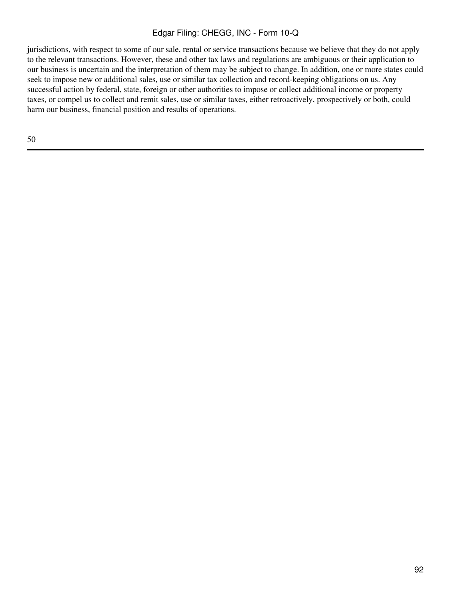jurisdictions, with respect to some of our sale, rental or service transactions because we believe that they do not apply to the relevant transactions. However, these and other tax laws and regulations are ambiguous or their application to our business is uncertain and the interpretation of them may be subject to change. In addition, one or more states could seek to impose new or additional sales, use or similar tax collection and record-keeping obligations on us. Any successful action by federal, state, foreign or other authorities to impose or collect additional income or property taxes, or compel us to collect and remit sales, use or similar taxes, either retroactively, prospectively or both, could harm our business, financial position and results of operations.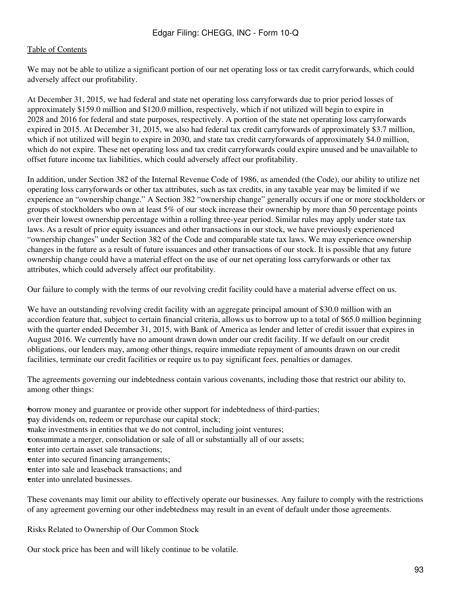We may not be able to utilize a significant portion of our net operating loss or tax credit carryforwards, which could adversely affect our profitability.

At December 31, 2015, we had federal and state net operating loss carryforwards due to prior period losses of approximately \$159.0 million and \$120.0 million, respectively, which if not utilized will begin to expire in 2028 and 2016 for federal and state purposes, respectively. A portion of the state net operating loss carryforwards expired in 2015. At December 31, 2015, we also had federal tax credit carryforwards of approximately \$3.7 million, which if not utilized will begin to expire in 2030, and state tax credit carryforwards of approximately \$4.0 million, which do not expire. These net operating loss and tax credit carryforwards could expire unused and be unavailable to offset future income tax liabilities, which could adversely affect our profitability.

In addition, under Section 382 of the Internal Revenue Code of 1986, as amended (the Code), our ability to utilize net operating loss carryforwards or other tax attributes, such as tax credits, in any taxable year may be limited if we experience an "ownership change." A Section 382 "ownership change" generally occurs if one or more stockholders or groups of stockholders who own at least 5% of our stock increase their ownership by more than 50 percentage points over their lowest ownership percentage within a rolling three-year period. Similar rules may apply under state tax laws. As a result of prior equity issuances and other transactions in our stock, we have previously experienced "ownership changes" under Section 382 of the Code and comparable state tax laws. We may experience ownership changes in the future as a result of future issuances and other transactions of our stock. It is possible that any future ownership change could have a material effect on the use of our net operating loss carryforwards or other tax attributes, which could adversely affect our profitability.

Our failure to comply with the terms of our revolving credit facility could have a material adverse effect on us.

We have an outstanding revolving credit facility with an aggregate principal amount of \$30.0 million with an accordion feature that, subject to certain financial criteria, allows us to borrow up to a total of \$65.0 million beginning with the quarter ended December 31, 2015, with Bank of America as lender and letter of credit issuer that expires in August 2016. We currently have no amount drawn down under our credit facility. If we default on our credit obligations, our lenders may, among other things, require immediate repayment of amounts drawn on our credit facilities, terminate our credit facilities or require us to pay significant fees, penalties or damages.

The agreements governing our indebtedness contain various covenants, including those that restrict our ability to, among other things:

•borrow money and guarantee or provide other support for indebtedness of third-parties; •pay dividends on, redeem or repurchase our capital stock; •make investments in entities that we do not control, including joint ventures; •consummate a merger, consolidation or sale of all or substantially all of our assets; **enter into certain asset sale transactions:** enter into secured financing arrangements; enter into sale and leaseback transactions; and •enter into unrelated businesses.

These covenants may limit our ability to effectively operate our businesses. Any failure to comply with the restrictions of any agreement governing our other indebtedness may result in an event of default under those agreements.

Risks Related to Ownership of Our Common Stock

Our stock price has been and will likely continue to be volatile.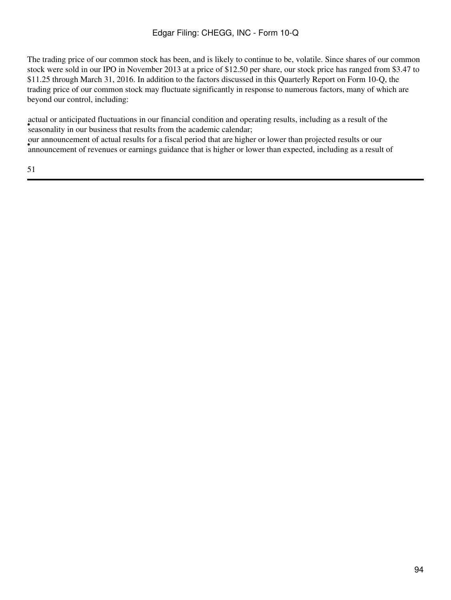The trading price of our common stock has been, and is likely to continue to be, volatile. Since shares of our common stock were sold in our IPO in November 2013 at a price of \$12.50 per share, our stock price has ranged from \$3.47 to \$11.25 through March 31, 2016. In addition to the factors discussed in this Quarterly Report on Form 10-Q, the trading price of our common stock may fluctuate significantly in response to numerous factors, many of which are beyond our control, including:

seasonality in our business that results from the academic calendar; actual or anticipated fluctuations in our financial condition and operating results, including as a result of the announcement of revenues or earnings guidance that is higher or lower than expected, including as a result of announcement of revenues or earnings guidance that is higher or lower than expected, including as a result of our announcement of actual results for a fiscal period that are higher or lower than projected results or our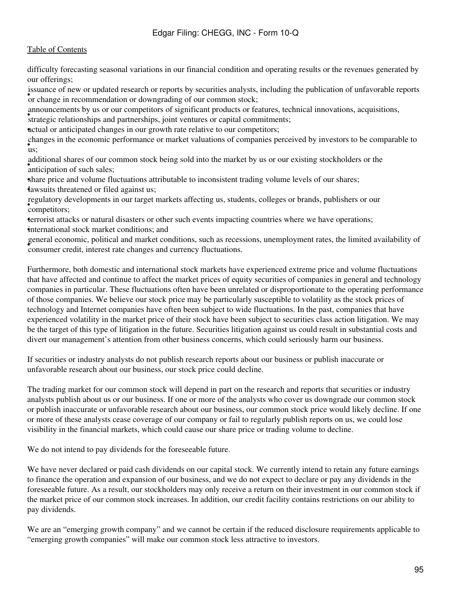difficulty forecasting seasonal variations in our financial condition and operating results or the revenues generated by our offerings;

spalance or new or appeared research or reports by securities analysis, or change in recommendation or downgrading of our common stock; issuance of new or updated research or reports by securities analysts, including the publication of unfavorable reports

announcements by us or our competitors of significant products or features, technical innovations, acquisitions,

atmoducements by as or our competitors or significant products or reatarcs, tectors of relationships and partnerships, joint ventures or capital commitments;

•actual or anticipated changes in our growth rate relative to our competitors;

• us; changes in the economic performance or market valuations of companies perceived by investors to be comparable to

anticipation of such sales; additional shares of our common stock being sold into the market by us or our existing stockholders or the

share price and volume fluctuations attributable to inconsistent trading volume levels of our shares; •lawsuits threatened or filed against us;

• competitors; regulatory developments in our target markets affecting us, students, colleges or brands, publishers or our

•terrorist attacks or natural disasters or other such events impacting countries where we have operations; •international stock market conditions; and

• consumer credit, interest rate changes and currency fluctuations. general economic, political and market conditions, such as recessions, unemployment rates, the limited availability of

Furthermore, both domestic and international stock markets have experienced extreme price and volume fluctuations that have affected and continue to affect the market prices of equity securities of companies in general and technology companies in particular. These fluctuations often have been unrelated or disproportionate to the operating performance of those companies. We believe our stock price may be particularly susceptible to volatility as the stock prices of technology and Internet companies have often been subject to wide fluctuations. In the past, companies that have experienced volatility in the market price of their stock have been subject to securities class action litigation. We may be the target of this type of litigation in the future. Securities litigation against us could result in substantial costs and divert our management's attention from other business concerns, which could seriously harm our business.

If securities or industry analysts do not publish research reports about our business or publish inaccurate or unfavorable research about our business, our stock price could decline.

The trading market for our common stock will depend in part on the research and reports that securities or industry analysts publish about us or our business. If one or more of the analysts who cover us downgrade our common stock or publish inaccurate or unfavorable research about our business, our common stock price would likely decline. If one or more of these analysts cease coverage of our company or fail to regularly publish reports on us, we could lose visibility in the financial markets, which could cause our share price or trading volume to decline.

We do not intend to pay dividends for the foreseeable future.

We have never declared or paid cash dividends on our capital stock. We currently intend to retain any future earnings to finance the operation and expansion of our business, and we do not expect to declare or pay any dividends in the foreseeable future. As a result, our stockholders may only receive a return on their investment in our common stock if the market price of our common stock increases. In addition, our credit facility contains restrictions on our ability to pay dividends.

We are an "emerging growth company" and we cannot be certain if the reduced disclosure requirements applicable to "emerging growth companies" will make our common stock less attractive to investors.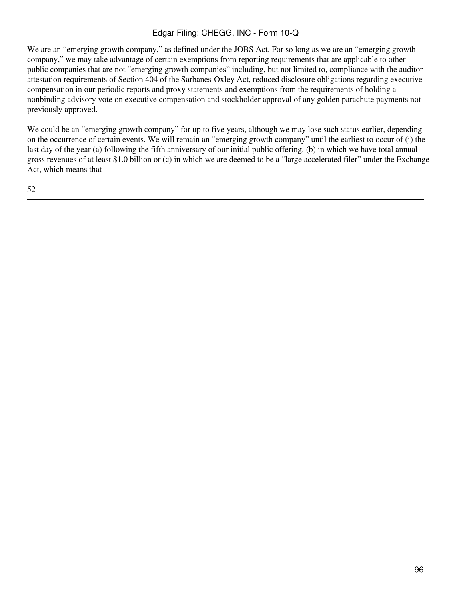We are an "emerging growth company," as defined under the JOBS Act. For so long as we are an "emerging growth" company," we may take advantage of certain exemptions from reporting requirements that are applicable to other public companies that are not "emerging growth companies" including, but not limited to, compliance with the auditor attestation requirements of Section 404 of the Sarbanes-Oxley Act, reduced disclosure obligations regarding executive compensation in our periodic reports and proxy statements and exemptions from the requirements of holding a nonbinding advisory vote on executive compensation and stockholder approval of any golden parachute payments not previously approved.

We could be an "emerging growth company" for up to five years, although we may lose such status earlier, depending on the occurrence of certain events. We will remain an "emerging growth company" until the earliest to occur of (i) the last day of the year (a) following the fifth anniversary of our initial public offering, (b) in which we have total annual gross revenues of at least \$1.0 billion or (c) in which we are deemed to be a "large accelerated filer" under the Exchange Act, which means that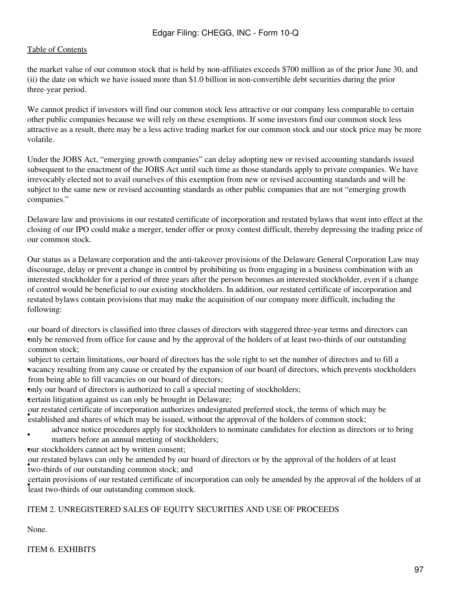the market value of our common stock that is held by non-affiliates exceeds \$700 million as of the prior June 30, and (ii) the date on which we have issued more than \$1.0 billion in non-convertible debt securities during the prior three-year period.

We cannot predict if investors will find our common stock less attractive or our company less comparable to certain other public companies because we will rely on these exemptions. If some investors find our common stock less attractive as a result, there may be a less active trading market for our common stock and our stock price may be more volatile.

Under the JOBS Act, "emerging growth companies" can delay adopting new or revised accounting standards issued subsequent to the enactment of the JOBS Act until such time as those standards apply to private companies. We have irrevocably elected not to avail ourselves of this exemption from new or revised accounting standards and will be subject to the same new or revised accounting standards as other public companies that are not "emerging growth companies."

Delaware law and provisions in our restated certificate of incorporation and restated bylaws that went into effect at the closing of our IPO could make a merger, tender offer or proxy contest difficult, thereby depressing the trading price of our common stock.

Our status as a Delaware corporation and the anti-takeover provisions of the Delaware General Corporation Law may discourage, delay or prevent a change in control by prohibiting us from engaging in a business combination with an interested stockholder for a period of three years after the person becomes an interested stockholder, even if a change of control would be beneficial to our existing stockholders. In addition, our restated certificate of incorporation and restated bylaws contain provisions that may make the acquisition of our company more difficult, including the following:

only be removed from office for cause and by the approval of the holders of at least two-thirds of our outstanding our board of directors is classified into three classes of directors with staggered three-year terms and directors can common stock;

• vacancy resulting from any cause or created by the expansion of our board of directors, which prevents stockholders subject to certain limitations, our board of directors has the sole right to set the number of directors and to fill a from being able to fill vacancies on our board of directors;

•only our board of directors is authorized to call a special meeting of stockholders;

**example 1** external litigation against us can only be brought in Delaware;

For restablished and shares of which may be issued, without the approval of the holders of common stock; our restated certificate of incorporation authorizes undesignated preferred stock, the terms of which may be

• advance notice procedures apply for stockholders to nominate candidates for election as directors or to bring matters before an annual meeting of stockholders;

our stockholders cannot act by written consent;

four resulted by any sean only be amerided by our two-thirds of our outstanding common stock; and our restated bylaws can only be amended by our board of directors or by the approval of the holders of at least

• least two-thirds of our outstanding common stock. certain provisions of our restated certificate of incorporation can only be amended by the approval of the holders of at

## ITEM 2. UNREGISTERED SALES OF EQUITY SECURITIES AND USE OF PROCEEDS

None.

ITEM 6. EXHIBITS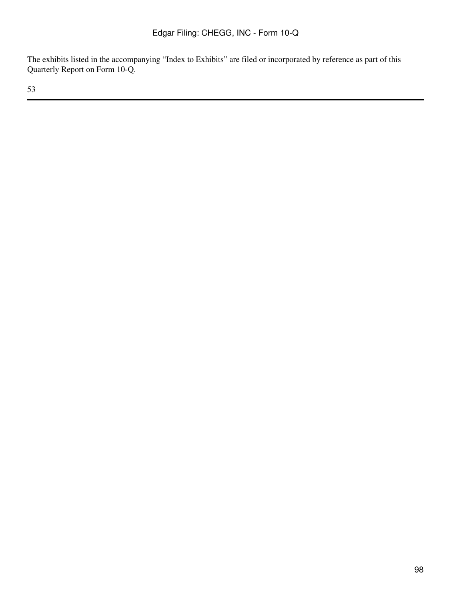The exhibits listed in the accompanying "Index to Exhibits" are filed or incorporated by reference as part of this Quarterly Report on Form 10-Q.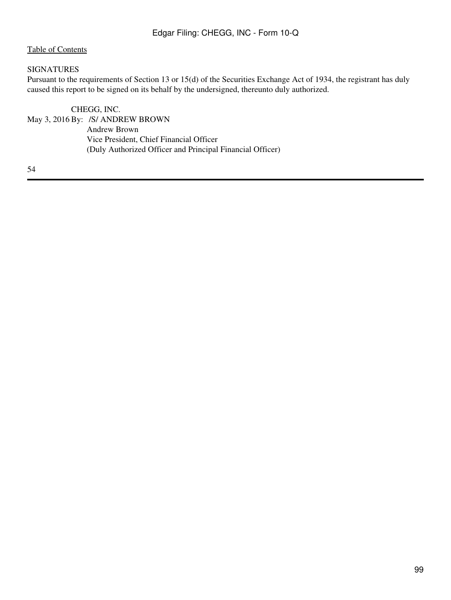#### SIGNATURES

Pursuant to the requirements of Section 13 or 15(d) of the Securities Exchange Act of 1934, the registrant has duly caused this report to be signed on its behalf by the undersigned, thereunto duly authorized.

CHEGG, INC. May 3, 2016 By: /S/ ANDREW BROWN Andrew Brown Vice President, Chief Financial Officer (Duly Authorized Officer and Principal Financial Officer)